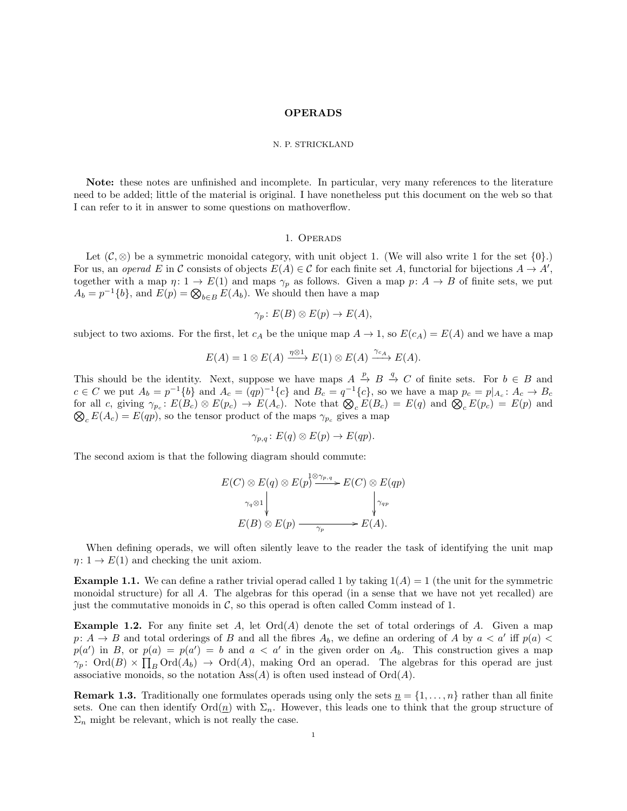## OPERADS

#### N. P. STRICKLAND

Note: these notes are unfinished and incomplete. In particular, very many references to the literature need to be added; little of the material is original. I have nonetheless put this document on the web so that I can refer to it in answer to some questions on mathoverflow.

#### 1. Operads

Let  $(C, \otimes)$  be a symmetric monoidal category, with unit object 1. (We will also write 1 for the set  $\{0\}$ .) For us, an operad E in C consists of objects  $E(A) \in \mathcal{C}$  for each finite set A, functorial for bijections  $A \to A'$ , together with a map  $\eta: 1 \to E(1)$  and maps  $\gamma_p$  as follows. Given a map  $p: A \to B$  of finite sets, we put  $A_b = p^{-1}{b}$ , and  $E(p) = \bigotimes_{b \in B} E(A_b)$ . We should then have a map

$$
\gamma_p \colon E(B) \otimes E(p) \to E(A),
$$

subject to two axioms. For the first, let  $c_A$  be the unique map  $A \to 1$ , so  $E(c_A) = E(A)$  and we have a map

$$
E(A) = 1 \otimes E(A) \xrightarrow{\eta \otimes 1} E(1) \otimes E(A) \xrightarrow{\gamma_{c_A}} E(A).
$$

This should be the identity. Next, suppose we have maps  $A \stackrel{p}{\to} B \stackrel{q}{\to} C$  of finite sets. For  $b \in B$  and  $c \in C$  we put  $A_b = p^{-1}{b}$  and  $A_c = (qp)^{-1}{c}$  and  $B_c = q^{-1}{c}$ , so we have a map  $p_c = p|_{A_c}: A_c \to B_c$ for all c, giving  $\gamma_{p_c}$ :  $E(B_c) \otimes E(p_c) \to E(A_c)$ . Note that  $\mathcal{Q}_c E(B_c) = E(q)$  and  $\mathcal{Q}_c E(p_c) = E(p)$  and  $\mathcal{Q}_c E(A_c) = E(qp)$ , so the tensor product of the maps  $\gamma_{p_c}$  gives a map  $\mathcal{Q}_c E(A_c) = E(qp)$ , so the tensor product of the maps  $\gamma_{p_c}$  gives a map

$$
\gamma_{p,q} \colon E(q) \otimes E(p) \to E(qp).
$$

The second axiom is that the following diagram should commute:

$$
E(C) \otimes E(q) \otimes E(p^{\frac{1}{2}} \longrightarrow E(C) \otimes E(qp)
$$
  
\n
$$
\downarrow_{\gamma_q \otimes 1} \qquad \qquad \downarrow_{\gamma_{qp}}
$$
  
\n
$$
E(B) \otimes E(p) \longrightarrow_{\gamma_p} E(A).
$$

When defining operads, we will often silently leave to the reader the task of identifying the unit map  $\eta: 1 \to E(1)$  and checking the unit axiom.

**Example 1.1.** We can define a rather trivial operad called 1 by taking  $1(A) = 1$  (the unit for the symmetric monoidal structure) for all A. The algebras for this operad (in a sense that we have not yet recalled) are just the commutative monoids in  $\mathcal{C}$ , so this operad is often called Comm instead of 1.

<span id="page-0-0"></span>**Example 1.2.** For any finite set  $A$ , let  $Ord(A)$  denote the set of total orderings of  $A$ . Given a map  $p: A \to B$  and total orderings of B and all the fibres  $A_b$ , we define an ordering of A by  $a < a'$  iff  $p(a) < a$  $p(a')$  in B, or  $p(a) = p(a') = b$  and  $a < a'$  in the given order on  $A_b$ . This construction gives a map  $\gamma_p$ : Ord(B)  $\times \prod_B \text{Ord}(A_b) \to \text{Ord}(A)$ , making Ord an operad. The algebras for this operad are just associative monoids, so the notation  $\text{Ass}(A)$  is often used instead of  $\text{Ord}(A)$ .

**Remark 1.3.** Traditionally one formulates operads using only the sets  $\underline{n} = \{1, \ldots, n\}$  rather than all finite sets. One can then identify  $\text{Ord}(n)$  with  $\Sigma_n$ . However, this leads one to think that the group structure of  $\Sigma_n$  might be relevant, which is not really the case.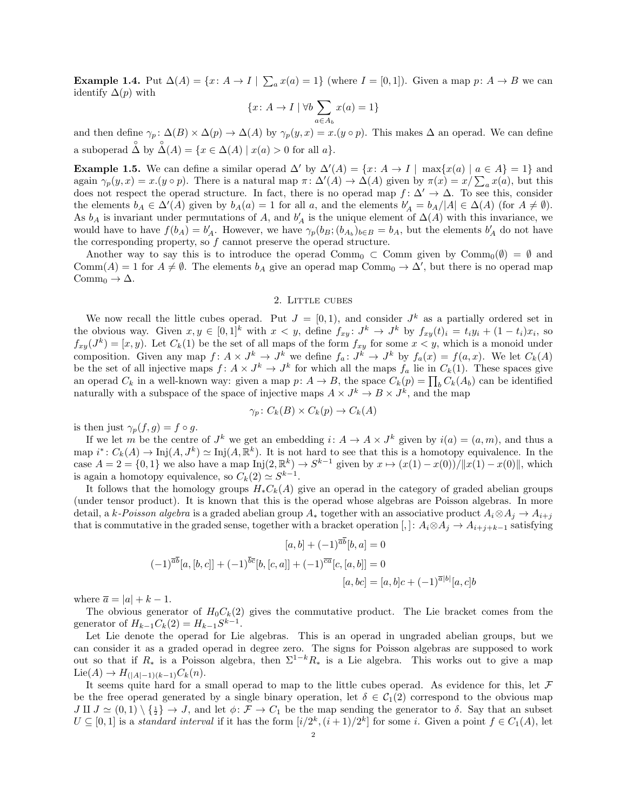<span id="page-1-1"></span>**Example 1.4.** Put  $\Delta(A) = \{x: A \to I \mid \sum_a x(a) = 1\}$  (where  $I = [0,1]$ ). Given a map  $p: A \to B$  we can identify  $\Delta(p)$  with

$$
\{x \colon A \to I \mid \forall b \sum_{a \in A_b} x(a) = 1\}
$$

and then define  $\gamma_p \colon \Delta(B) \times \Delta(p) \to \Delta(A)$  by  $\gamma_p(y, x) = x.(y \circ p)$ . This makes  $\Delta$  an operad. We can define a suboperad  $\Delta$  by  $\Delta(A) = \{x \in \Delta(A) \mid x(a) > 0 \text{ for all } a\}.$ 

**Example 1.5.** We can define a similar operad  $\Delta'$  by  $\Delta'(A) = \{x: A \to I \mid \max\{x(a) \mid a \in A\} = 1\}$  and again  $\gamma_p(y, x) = x.(y \circ p)$ . There is a natural map  $\pi \colon \Delta'(A) \to \Delta(A)$  given by  $\pi(x) = x/\sum_a x(a)$ , but this does not respect the operad structure. In fact, there is no operad map  $f: \Delta' \to \Delta$ . To see this, consider the elements  $b_A \in \Delta'(A)$  given by  $b_A(a) = 1$  for all a, and the elements  $b'_A = b_A/|A| \in \Delta(A)$  (for  $A \neq \emptyset$ ). As  $b_A$  is invariant under permutations of A, and  $b'_A$  is the unique element of  $\Delta(A)$  with this invariance, we would have to have  $f(b_A) = b'_A$ . However, we have  $\gamma_p(b_B; (b_{A_b})_{b \in B} = b_A$ , but the elements  $b'_A$  do not have the corresponding property, so  $f$  cannot preserve the operad structure.

Another way to say this is to introduce the operad Comm<sub>0</sub>  $\subset$  Comm given by Comm<sub>0</sub>( $\emptyset$ ) =  $\emptyset$  and Comm(A) = 1 for  $A \neq \emptyset$ . The elements  $b_A$  give an operad map Comm<sub>0</sub>  $\rightarrow \Delta'$ , but there is no operad map Comm<sub>0</sub>  $\rightarrow \Delta$ .

#### 2. Little cubes

<span id="page-1-0"></span>We now recall the little cubes operad. Put  $J = [0, 1)$ , and consider  $J^k$  as a partially ordered set in the obvious way. Given  $x, y \in [0,1]^k$  with  $x < y$ , define  $f_{xy} : J^k \to J^k$  by  $f_{xy}(t)_i = t_i y_i + (1-t_i)x_i$ , so  $f_{xy}(J^k) = [x, y]$ . Let  $C_k(1)$  be the set of all maps of the form  $f_{xy}$  for some  $x < y$ , which is a monoid under composition. Given any map  $f: A \times J^k \to J^k$  we define  $f_a: J^k \to J^k$  by  $f_a(x) = f(a, x)$ . We let  $C_k(A)$ be the set of all injective maps  $f: A \times J^k \to J^k$  for which all the maps  $f_a$  lie in  $C_k(1)$ . These spaces give an operad  $C_k$  in a well-known way: given a map  $p: A \to B$ , the space  $C_k(p) = \prod_b C_k(A_b)$  can be identified naturally with a subspace of the space of injective maps  $A \times J^k \to B \times J^k$ , and the map

$$
\gamma_p \colon C_k(B) \times C_k(p) \to C_k(A)
$$

is then just  $\gamma_p(f,g) = f \circ g$ .

If we let m be the centre of  $J^k$  we get an embedding  $i: A \to A \times J^k$  given by  $i(a) = (a, m)$ , and thus a map  $i^*: C_k(A) \to \mathrm{Inj}(A, J^k) \simeq \mathrm{Inj}(A, \mathbb{R}^k)$ . It is not hard to see that this is a homotopy equivalence. In the case  $A = 2 = \{0, 1\}$  we also have a map  $\text{Inj}(2, \mathbb{R}^k) \to S^{k-1}$  given by  $x \mapsto (x(1) - x(0))/\|x(1) - x(0)\|$ , which is again a homotopy equivalence, so  $C_k(2) \simeq S^{k-1}$ .

It follows that the homology groups  $H_*C_k(A)$  give an operad in the category of graded abelian groups (under tensor product). It is known that this is the operad whose algebras are Poisson algebras. In more detail, a k-Poisson algebra is a graded abelian group  $A_*$  together with an associative product  $A_i \otimes A_j \to A_{i+j}$ that is commutative in the graded sense, together with a bracket operation  $[,]: A_i \otimes A_j \to A_{i+j+k-1}$  satisfying

$$
[a,b] + (-1)^{\overline{a}\overline{b}}[b,a] = 0
$$
  

$$
(-1)^{\overline{a}\overline{b}}[a,[b,c]] + (-1)^{\overline{b}\overline{c}}[b,[c,a]] + (-1)^{\overline{c}\overline{a}}[c,[a,b]] = 0
$$
  

$$
[a,bc] = [a,b]c + (-1)^{\overline{a}|b|}[a,c]b
$$

where  $\overline{a} = |a| + k - 1$ .

The obvious generator of  $H_0C_k(2)$  gives the commutative product. The Lie bracket comes from the generator of  $H_{k-1}C_k(2) = H_{k-1}S^{k-1}$ .

Let Lie denote the operad for Lie algebras. This is an operad in ungraded abelian groups, but we can consider it as a graded operad in degree zero. The signs for Poisson algebras are supposed to work out so that if  $R_*$  is a Poisson algebra, then  $\Sigma^{1-k}R_*$  is a Lie algebra. This works out to give a map  $\text{Lie}(A) \to H_{(|A|-1)(k-1)}C_k(n).$ 

It seems quite hard for a small operad to map to the little cubes operad. As evidence for this, let  $\mathcal F$ be the free operad generated by a single binary operation, let  $\delta \in C_1(2)$  correspond to the obvious map  $J \amalg J \simeq (0,1) \setminus {\{\frac{1}{2}\}} \to J$ , and let  $\phi \colon \mathcal{F} \to C_1$  be the map sending the generator to  $\delta$ . Say that an subset  $U \subseteq [0,1]$  is a standard interval if it has the form  $[i/2^k, (i+1)/2^k]$  for some i. Given a point  $f \in C_1(A)$ , let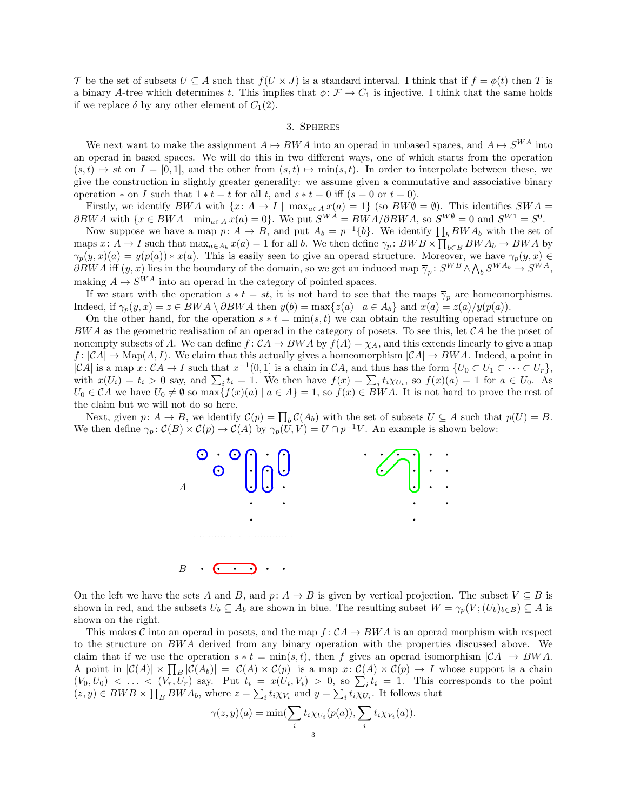T be the set of subsets  $U \subseteq A$  such that  $\overline{f(U \times J)}$  is a standard interval. I think that if  $f = \phi(t)$  then T is a binary A-tree which determines t. This implies that  $\phi \colon \mathcal{F} \to C_1$  is injective. I think that the same holds if we replace  $\delta$  by any other element of  $C_1(2)$ .

### 3. Spheres

We next want to make the assignment  $A \mapsto BWA$  into an operad in unbased spaces, and  $A \mapsto S^{WA}$  into an operad in based spaces. We will do this in two different ways, one of which starts from the operation  $(s, t) \rightarrow st$  on  $I = [0, 1]$ , and the other from  $(s, t) \rightarrow min(s, t)$ . In order to interpolate between these, we give the construction in slightly greater generality: we assume given a commutative and associative binary operation  $*$  on I such that  $1 * t = t$  for all t, and  $s * t = 0$  iff  $(s = 0 \text{ or } t = 0)$ .

Firstly, we identify  $BWA$  with  $\{x: A \to I \mid \max_{a \in A} x(a) = 1\}$  (so  $BW\emptyset = \emptyset$ ). This identifies  $SWA =$  $\partial BWA$  with  $\{x \in BWA \mid \min_{a \in A} x(a) = 0\}$ . We put  $S^{WA} = BWA/\partial BWA$ , so  $S^{W\emptyset} = 0$  and  $S^{W1} = S^0$ .

Now suppose we have a map  $p: A \to B$ , and put  $A_b = p^{-1}{b}$ . We identify  $\prod_b BW A_b$  with the set of maps  $x: A \to I$  such that  $\max_{a \in A_b} x(a) = 1$  for all b. We then define  $\gamma_p: BWB \times \prod_{b \in B} BWA_b \to BWA$  by  $\gamma_p(y,x)(a) = y(p(a)) * x(a)$ . This is easily seen to give an operad structure. Moreover, we have  $\gamma_p(y,x) \in$  $\partial BWA$  iff  $(y, x)$  lies in the boundary of the domain, so we get an induced map  $\overline{\gamma}_p$ :  $S^{WB} \wedge \bigwedge_b S^{WA_b} \to S^{WA}$ , making  $A \mapsto S^{WA}$  into an operad in the category of pointed spaces.

If we start with the operation  $s * t = st$ , it is not hard to see that the maps  $\overline{\gamma}_p$  are homeomorphisms. Indeed, if  $\gamma_p(y, x) = z \in BWA \setminus \partial BWA$  then  $y(b) = \max\{z(a) | a \in A_b\}$  and  $x(a) = z(a)/y(p(a))$ .

On the other hand, for the operation  $s * t = \min(s, t)$  we can obtain the resulting operad structure on  $BWA$  as the geometric realisation of an operad in the category of posets. To see this, let  $CA$  be the poset of nonempty subsets of A. We can define  $f: CA \rightarrow BWA$  by  $f(A) = \chi_A$ , and this extends linearly to give a map  $f: |\mathcal{C}A| \to \text{Map}(A, I)$ . We claim that this actually gives a homeomorphism  $|\mathcal{C}A| \to BWA$ . Indeed, a point in  $|CA|$  is a map  $x: CA \to I$  such that  $x^{-1}(0,1]$  is a chain in CA, and thus has the form  $\{U_0 \subset U_1 \subset \cdots \subset U_r\}$ , with  $x(U_i) = t_i > 0$  say, and  $\sum_i t_i = 1$ . We then have  $f(x) = \sum_i t_i \chi_{U_i}$ , so  $f(x)(a) = 1$  for  $a \in U_0$ . As  $U_0 \in \mathcal{C}A$  we have  $U_0 \neq \emptyset$  so  $\max\{f(x)(a) \mid a \in A\} = 1$ , so  $f(x) \in BWA$ . It is not hard to prove the rest of the claim but we will not do so here.

Next, given  $p: A \to B$ , we identify  $\mathcal{C}(p) = \prod_b \mathcal{C}(A_b)$  with the set of subsets  $U \subseteq A$  such that  $p(U) = B$ . We then define  $\gamma_p : C(B) \times C(p) \to C(A)$  by  $\gamma_p(U, V) = U \cap p^{-1}V$ . An example is shown below:



On the left we have the sets A and B, and p:  $A \to B$  is given by vertical projection. The subset  $V \subseteq B$  is shown in red, and the subsets  $U_b \subseteq A_b$  are shown in blue. The resulting subset  $W = \gamma_p(V; (U_b)_{b \in B}) \subseteq A$  is shown on the right.

This makes C into an operad in posets, and the map  $f: CA \rightarrow BWA$  is an operad morphism with respect to the structure on BWA derived from any binary operation with the properties discussed above. We claim that if we use the operation  $s * t = \min(s, t)$ , then f gives an operad isomorphism  $|CA| \rightarrow BWA$ . A point in  $|\mathcal{C}(A)| \times \prod_B |\mathcal{C}(A_b)| = |\mathcal{C}(A) \times \mathcal{C}(p)|$  is a map  $x: \mathcal{C}(A) \times \mathcal{C}(p) \to I$  whose support is a chain  $(V_0, U_0)$  < ... <  $(V_r, U_r)$  say. Put  $t_i = x(U_i, V_i) > 0$ , so  $\sum_i t_i = 1$ . This corresponds to the point  $(z, y) \in BWB \times \prod_B BWA_b$ , where  $z = \sum_i t_i \chi_{V_i}$  and  $y = \sum_i t_i \chi_{U_i}$ . It follows that

$$
\gamma(z,y)(a) = \min(\sum_{i} t_i \chi_{U_i}(p(a)), \sum_{i} t_i \chi_{V_i}(a)).
$$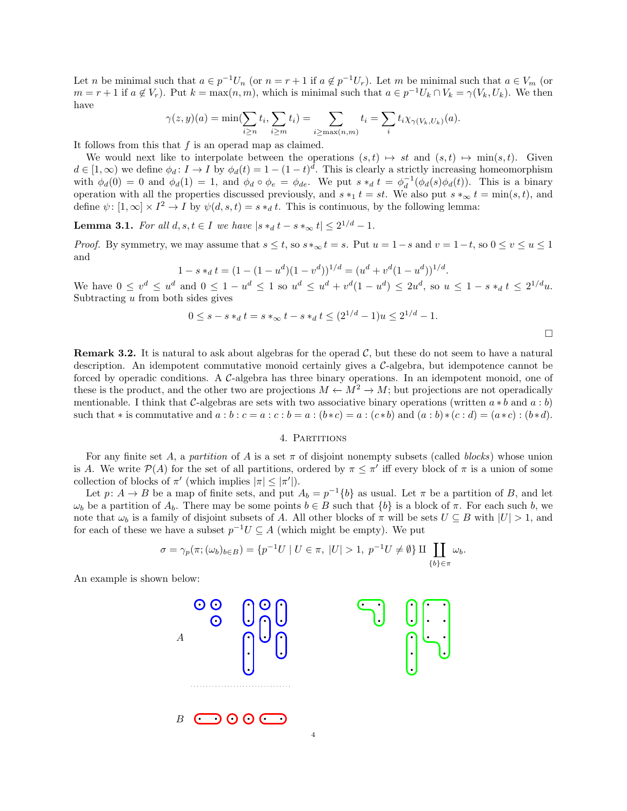Let n be minimal such that  $a \in p^{-1}U_n$  (or  $n = r + 1$  if  $a \notin p^{-1}U_r$ ). Let m be minimal such that  $a \in V_m$  (or  $m = r + 1$  if  $a \notin V_r$ ). Put  $k = \max(n, m)$ , which is minimal such that  $a \in p^{-1}U_k \cap V_k = \gamma(V_k, U_k)$ . We then have

$$
\gamma(z,y)(a) = \min(\sum_{i \geq n} t_i, \sum_{i \geq m} t_i) = \sum_{i \geq \max(n,m)} t_i = \sum_i t_i \chi_{\gamma(V_k, U_k)}(a).
$$

It follows from this that  $f$  is an operad map as claimed.

We would next like to interpolate between the operations  $(s, t) \mapsto st$  and  $(s, t) \mapsto min(s, t)$ . Given  $d \in [1,\infty)$  we define  $\phi_d: I \to I$  by  $\phi_d(t) = 1 - (1-t)^d$ . This is clearly a strictly increasing homeomorphism with  $\phi_d(0) = 0$  and  $\phi_d(1) = 1$ , and  $\phi_d \circ \phi_e = \phi_{de}$ . We put  $s *_d t = \phi_d^{-1}(\phi_d(s)\phi_d(t))$ . This is a binary operation with all the properties discussed previously, and  $s *_1 t = st$ . We also put  $s *_\infty t = \min(s, t)$ , and define  $\psi: [1, \infty] \times I^2 \to I$  by  $\psi(d, s, t) = s *_d t$ . This is continuous, by the following lemma:

**Lemma 3.1.** For all  $d, s, t \in I$  we have  $|s *_d t - s *_\infty t| \leq 2^{1/d} - 1$ .

*Proof.* By symmetry, we may assume that  $s \le t$ , so  $s *_{\infty} t = s$ . Put  $u = 1 - s$  and  $v = 1 - t$ , so  $0 \le v \le u \le 1$ and

$$
1 - s *_{d} t = (1 - (1 - u^{d})(1 - v^{d}))^{1/d} = (u^{d} + v^{d}(1 - u^{d}))^{1/d}.
$$

We have  $0 \leq v^d \leq u^d$  and  $0 \leq 1 - u^d \leq 1$  so  $u^d \leq u^d + v^d(1 - u^d) \leq 2u^d$ , so  $u \leq 1 - s *_d t \leq 2^{1/d}u$ . Subtracting  $u$  from both sides gives

$$
0 \le s - s*_d t = s*_\infty t - s*_d t \le (2^{1/d} - 1)u \le 2^{1/d} - 1.
$$

**Remark 3.2.** It is natural to ask about algebras for the operad  $\mathcal{C}$ , but these do not seem to have a natural description. An idempotent commutative monoid certainly gives a C-algebra, but idempotence cannot be forced by operadic conditions. A C-algebra has three binary operations. In an idempotent monoid, one of these is the product, and the other two are projections  $M \leftarrow M^2 \rightarrow M$ ; but projections are not operadically mentionable. I think that C-algebras are sets with two associative binary operations (written  $a * b$  and  $a : b$ ) such that  $*$  is commutative and  $a:b:c = a:c:b = a:(b*c) = a:(c*b)$  and  $(a:b)*(c:d) = (a*c):(b*d)$ .

### 4. Partitions

For any finite set A, a partition of A is a set  $\pi$  of disjoint nonempty subsets (called blocks) whose union is A. We write  $\mathcal{P}(A)$  for the set of all partitions, ordered by  $\pi \leq \pi'$  iff every block of  $\pi$  is a union of some collection of blocks of  $\pi'$  (which implies  $|\pi| \leq |\pi'|$ ).

Let  $p: A \to B$  be a map of finite sets, and put  $A_b = p^{-1}{b}$  as usual. Let  $\pi$  be a partition of B, and let  $ω<sub>b</sub>$  be a partition of  $A<sub>b</sub>$ . There may be some points  $b \in B$  such that  $\{b\}$  is a block of π. For each such b, we note that  $\omega_b$  is a family of disjoint subsets of A. All other blocks of  $\pi$  will be sets  $U \subseteq B$  with  $|U| > 1$ , and for each of these we have a subset  $p^{-1}U \subseteq A$  (which might be empty). We put

$$
\sigma = \gamma_p(\pi; (\omega_b)_{b \in B}) = \{ p^{-1}U \mid U \in \pi, \ |U| > 1, \ p^{-1}U \neq \emptyset \} \amalg \coprod_{\{b\} \in \pi} \omega_b.
$$

An example is shown below:

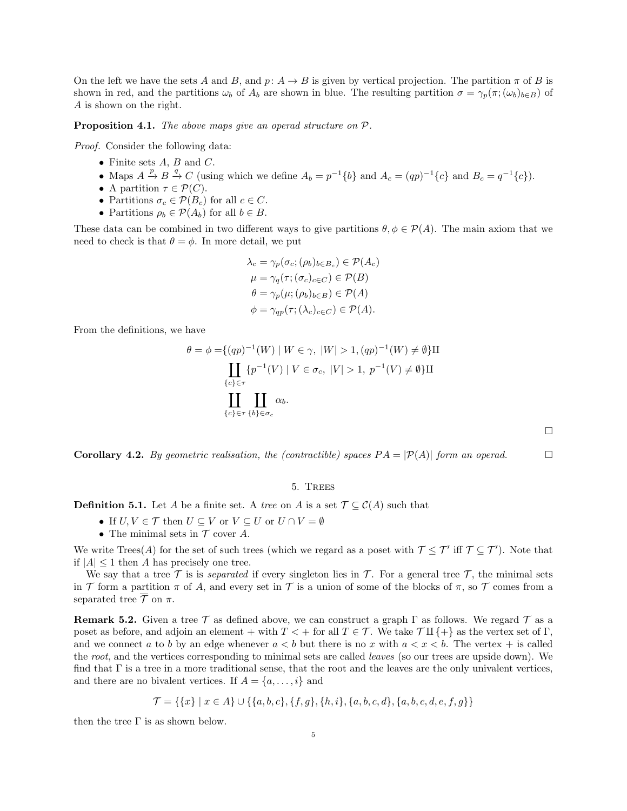On the left we have the sets A and B, and  $p: A \to B$  is given by vertical projection. The partition  $\pi$  of B is shown in red, and the partitions  $\omega_b$  of  $A_b$  are shown in blue. The resulting partition  $\sigma = \gamma_p(\pi; (\omega_b)_{b \in B})$  of A is shown on the right.

Proposition 4.1. The above maps give an operad structure on  $P$ .

Proof. Consider the following data:

- Finite sets  $A, B$  and  $C$ .
- Maps  $A \xrightarrow{p} B \xrightarrow{q} C$  (using which we define  $A_b = p^{-1}{b}$  and  $A_c = (qp)^{-1}{c}$  and  $B_c = q^{-1}{c}$ ).
- A partition  $\tau \in \mathcal{P}(C)$ .
- Partitions  $\sigma_c \in \mathcal{P}(B_c)$  for all  $c \in C$ .
- Partitions  $\rho_b \in \mathcal{P}(A_b)$  for all  $b \in B$ .

These data can be combined in two different ways to give partitions  $\theta, \phi \in \mathcal{P}(A)$ . The main axiom that we need to check is that  $\theta = \phi$ . In more detail, we put

$$
\lambda_c = \gamma_p(\sigma_c; (\rho_b)_{b \in B_c}) \in \mathcal{P}(A_c)
$$

$$
\mu = \gamma_q(\tau; (\sigma_c)_{c \in C}) \in \mathcal{P}(B)
$$

$$
\theta = \gamma_p(\mu; (\rho_b)_{b \in B}) \in \mathcal{P}(A)
$$

$$
\phi = \gamma_{qp}(\tau; (\lambda_c)_{c \in C}) \in \mathcal{P}(A).
$$

From the definitions, we have

$$
\theta = \phi = \{(qp)^{-1}(W) \mid W \in \gamma, \ |W| > 1, (qp)^{-1}(W) \neq \emptyset\} \amalg
$$
  

$$
\coprod_{\{c\} \in \tau} \{p^{-1}(V) \mid V \in \sigma_c, \ |V| > 1, \ p^{-1}(V) \neq \emptyset\} \amalg
$$
  

$$
\coprod_{\{c\} \in \tau} \coprod_{\{b\} \in \sigma_c} \alpha_b.
$$

 $\Box$ 

**Corollary 4.2.** By geometric realisation, the (contractible) spaces  $PA = |\mathcal{P}(A)|$  form an operad.

# 5. Trees

<span id="page-4-1"></span>**Definition 5.1.** Let A be a finite set. A tree on A is a set  $\mathcal{T} \subseteq \mathcal{C}(A)$  such that

- If  $U, V \in \mathcal{T}$  then  $U \subset V$  or  $V \subset U$  or  $U \cap V = \emptyset$
- The minimal sets in  $T$  cover A.

We write Trees(A) for the set of such trees (which we regard as a poset with  $\mathcal{T} \leq \mathcal{T}'$  iff  $\mathcal{T} \subseteq \mathcal{T}'$ ). Note that if  $|A| \leq 1$  then A has precisely one tree.

We say that a tree  $\mathcal T$  is is separated if every singleton lies in  $\mathcal T$ . For a general tree  $\mathcal T$ , the minimal sets in T form a partition  $\pi$  of A, and every set in T is a union of some of the blocks of  $\pi$ , so T comes from a separated tree  $\overline{\mathcal{T}}$  on  $\pi$ .

<span id="page-4-0"></span>**Remark 5.2.** Given a tree  $\mathcal T$  as defined above, we can construct a graph  $\Gamma$  as follows. We regard  $\mathcal T$  as a poset as before, and adjoin an element + with  $T < +$  for all  $T \in \mathcal{T}$ . We take  $\mathcal{T} \amalg \{+\}$  as the vertex set of  $\Gamma$ , and we connect a to b by an edge whenever  $a < b$  but there is no x with  $a < x < b$ . The vertex + is called the root, and the vertices corresponding to minimal sets are called leaves (so our trees are upside down). We find that  $\Gamma$  is a tree in a more traditional sense, that the root and the leaves are the only univalent vertices, and there are no bivalent vertices. If  $A = \{a, \ldots, i\}$  and

$$
\mathcal{T} = \{ \{x\} \mid x \in A \} \cup \{ \{a, b, c\}, \{f, g\}, \{h, i\}, \{a, b, c, d\}, \{a, b, c, d, e, f, g\} \}
$$

then the tree  $\Gamma$  is as shown below.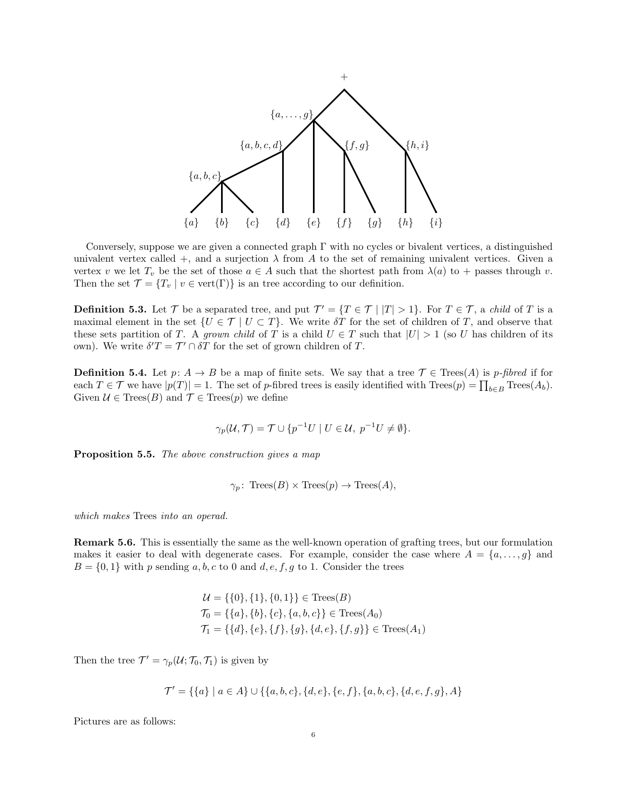

Conversely, suppose we are given a connected graph  $\Gamma$  with no cycles or bivalent vertices, a distinguished univalent vertex called  $+$ , and a surjection  $\lambda$  from A to the set of remaining univalent vertices. Given a vertex v we let  $T_v$  be the set of those  $a \in A$  such that the shortest path from  $\lambda(a)$  to + passes through v. Then the set  $\mathcal{T} = \{T_v \mid v \in \text{vert}(\Gamma)\}\$  is an tree according to our definition.

<span id="page-5-0"></span>**Definition 5.3.** Let  $\mathcal{T}$  be a separated tree, and put  $\mathcal{T}' = \{T \in \mathcal{T} \mid |T| > 1\}$ . For  $T \in \mathcal{T}$ , a child of T is a maximal element in the set  $\{U \in \mathcal{T} \mid U \subset T\}$ . We write  $\delta T$  for the set of children of T, and observe that these sets partition of T. A grown child of T is a child  $U \in T$  such that  $|U| > 1$  (so U has children of its own). We write  $\delta' T = \mathcal{T}' \cap \delta T$  for the set of grown children of T.

**Definition 5.4.** Let  $p: A \to B$  be a map of finite sets. We say that a tree  $\mathcal{T} \in \text{Tree}(A)$  is p-fibred if for each  $T \in \mathcal{T}$  we have  $|p(T)| = 1$ . The set of p-fibred trees is easily identified with  $\text{Trees}(p) = \prod_{b \in B} \text{Trees}(A_b)$ . Given  $\mathcal{U} \in \text{Trees}(B)$  and  $\mathcal{T} \in \text{Trees}(p)$  we define

$$
\gamma_p(\mathcal{U}, \mathcal{T}) = \mathcal{T} \cup \{p^{-1}U \mid U \in \mathcal{U}, \ p^{-1}U \neq \emptyset\}.
$$

Proposition 5.5. The above construction gives a map

$$
\gamma_p
$$
: Trees(B) × Trees(p) → Trees(A),

which makes Trees into an operad.

Remark 5.6. This is essentially the same as the well-known operation of grafting trees, but our formulation makes it easier to deal with degenerate cases. For example, consider the case where  $A = \{a, \ldots, g\}$  and  $B = \{0, 1\}$  with p sending a, b, c to 0 and d, e, f, g to 1. Consider the trees

$$
\mathcal{U} = \{\{0\}, \{1\}, \{0, 1\}\} \in \text{Tree}(B)
$$
  

$$
\mathcal{T}_0 = \{\{a\}, \{b\}, \{c\}, \{a, b, c\}\} \in \text{Trees}(A_0)
$$
  

$$
\mathcal{T}_1 = \{\{d\}, \{e\}, \{f\}, \{g\}, \{d, e\}, \{f, g\}\} \in \text{Trees}(A_1)
$$

Then the tree  $\mathcal{T}' = \gamma_p(\mathcal{U}; \mathcal{T}_0, \mathcal{T}_1)$  is given by

$$
\mathcal{T}' = \{ \{a\} \mid a \in A \} \cup \{ \{a,b,c\}, \{d,e\}, \{e,f\}, \{a,b,c\}, \{d,e,f,g\}, A \}
$$

Pictures are as follows: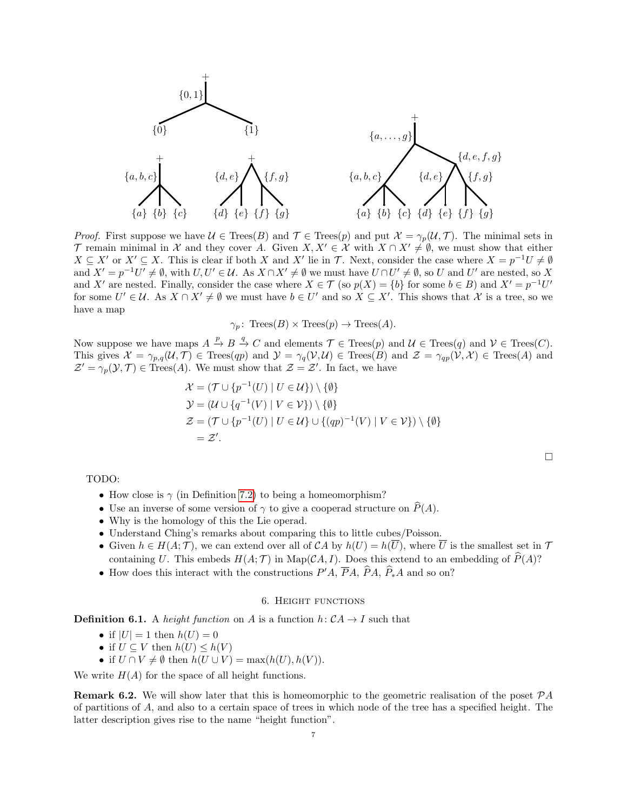

*Proof.* First suppose we have  $\mathcal{U} \in \text{Trees}(B)$  and  $\mathcal{T} \in \text{Trees}(p)$  and put  $\mathcal{X} = \gamma_p(\mathcal{U}, \mathcal{T})$ . The minimal sets in T remain minimal in X and they cover A. Given  $X, X' \in \mathcal{X}$  with  $X \cap X' \neq \emptyset$ , we must show that either  $X \subseteq X'$  or  $X' \subseteq X$ . This is clear if both X and X' lie in T. Next, consider the case where  $X = p^{-1}U \neq \emptyset$ and  $X' = p^{-1}U' \neq \emptyset$ , with  $U, U' \in \mathcal{U}$ . As  $X \cap X' \neq \emptyset$  we must have  $U \cap U' \neq \emptyset$ , so U and U' are nested, so X and X' are nested. Finally, consider the case where  $X \in \mathcal{T}$  (so  $p(X) = \{b\}$  for some  $b \in B$ ) and  $X' = p^{-1}U'$ for some  $U' \in \mathcal{U}$ . As  $X \cap X' \neq \emptyset$  we must have  $b \in U'$  and so  $X \subseteq X'$ . This shows that X is a tree, so we have a map

$$
\gamma_p
$$
: Trees(B) × Trees(p)  $\rightarrow$  Trees(A).

Now suppose we have maps  $A \stackrel{p}{\to} B \stackrel{q}{\to} C$  and elements  $\mathcal{T} \in \text{Tree}(p)$  and  $\mathcal{U} \in \text{Tree}(q)$  and  $\mathcal{V} \in \text{Tree}(C)$ . This gives  $\mathcal{X} = \gamma_{p,q}(\mathcal{U}, \mathcal{T}) \in \text{Trees}(qp)$  and  $\mathcal{Y} = \gamma_q(\mathcal{V}, \mathcal{U}) \in \text{Trees}(B)$  and  $\mathcal{Z} = \gamma_{qp}(\mathcal{V}, \mathcal{X}) \in \text{Trees}(A)$  and  $\mathcal{Z}' = \gamma_p(\mathcal{Y}, \mathcal{T}) \in \text{Trees}(A)$ . We must show that  $\mathcal{Z} = \mathcal{Z}'$ . In fact, we have

$$
\mathcal{X} = (\mathcal{T} \cup \{p^{-1}(U) \mid U \in \mathcal{U}\}) \setminus \{\emptyset\}
$$
  
\n
$$
\mathcal{Y} = (\mathcal{U} \cup \{q^{-1}(V) \mid V \in \mathcal{V}\}) \setminus \{\emptyset\}
$$
  
\n
$$
\mathcal{Z} = (\mathcal{T} \cup \{p^{-1}(U) \mid U \in \mathcal{U}\} \cup \{(qp)^{-1}(V) \mid V \in \mathcal{V}\}) \setminus \{\emptyset\}
$$
  
\n
$$
= \mathcal{Z}'.
$$

TODO:

- How close is  $\gamma$  (in Definition [7.2\)](#page-11-0) to being a homeomorphism?
- Use an inverse of some version of  $\gamma$  to give a cooperad structure on  $P(A)$ .
- Why is the homology of this the Lie operad.
- Understand Ching's remarks about comparing this to little cubes/Poisson.
- Given  $h \in H(A; \mathcal{T})$ , we can extend over all of  $\mathcal{C}A$  by  $h(U) = h(\overline{U})$ , where  $\overline{U}$  is the smallest set in  $\mathcal{T}$ containing U. This embeds  $H(A; \mathcal{T})$  in Map(CA, I). Does this extend to an embedding of  $\widehat{P}(A)$ ?
- How does this interact with the constructions  $P'A$ ,  $\overline{P}A$ ,  $\overline{P}A$ ,  $\widehat{P}_*A$  and so on?

### 6. Height functions

**Definition 6.1.** A *height function* on A is a function  $h: CA \rightarrow I$  such that

- if  $|U| = 1$  then  $h(U) = 0$
- if  $U \subseteq V$  then  $h(U) \leq h(V)$
- if  $U \cap V \neq \emptyset$  then  $h(U \cup V) = \max(h(U), h(V)).$

We write  $H(A)$  for the space of all height functions.

**Remark 6.2.** We will show later that this is homeomorphic to the geometric realisation of the poset  $\mathcal{P}A$ of partitions of A, and also to a certain space of trees in which node of the tree has a specified height. The latter description gives rise to the name "height function".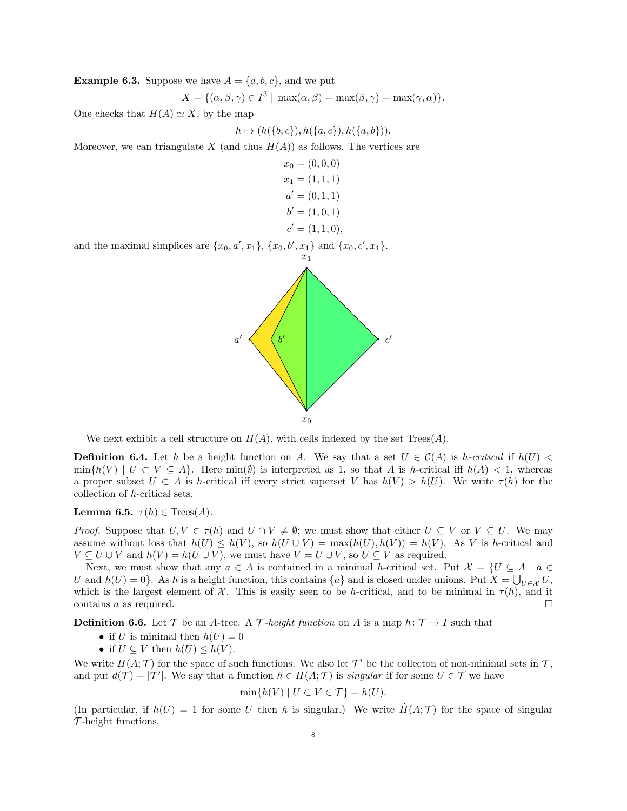<span id="page-7-0"></span>**Example 6.3.** Suppose we have  $A = \{a, b, c\}$ , and we put

$$
X = \{(\alpha, \beta, \gamma) \in I^3 \mid \max(\alpha, \beta) = \max(\beta, \gamma) = \max(\gamma, \alpha)\}.
$$

One checks that  $H(A) \simeq X$ , by the map

$$
h \mapsto (h(\{b,c\}), h(\{a,c\}), h(\{a,b\})).
$$

Moreover, we can triangulate X (and thus  $H(A)$ ) as follows. The vertices are

$$
x_0 = (0, 0, 0)
$$
  
\n
$$
x_1 = (1, 1, 1)
$$
  
\n
$$
a' = (0, 1, 1)
$$
  
\n
$$
b' = (1, 0, 1)
$$
  
\n
$$
c' = (1, 1, 0)
$$

and the maximal simplices are  $\{x_0, a', x_1\}$ ,  $\{x_0, b', x_1\}$  and  $\{x_0, c', x_1\}$ .



We next exhibit a cell structure on  $H(A)$ , with cells indexed by the set  $Trees(A)$ .

**Definition 6.4.** Let h be a height function on A. We say that a set  $U \in C(A)$  is h-critical if  $h(U)$  <  $\min\{h(V) \mid U \subset V \subseteq A\}.$  Here  $\min(\emptyset)$  is interpreted as 1, so that A is h-critical iff  $h(A) < 1$ , whereas a proper subset  $U \subset A$  is h-critical iff every strict superset V has  $h(V) > h(U)$ . We write  $\tau(h)$  for the collection of h-critical sets.

Lemma 6.5.  $\tau(h) \in \text{Trees}(A)$ .

*Proof.* Suppose that  $U, V \in \tau(h)$  and  $U \cap V \neq \emptyset$ ; we must show that either  $U \subseteq V$  or  $V \subseteq U$ . We may assume without loss that  $h(U) \leq h(V)$ , so  $h(U \cup V) = \max(h(U), h(V)) = h(V)$ . As V is h-critical and  $V \subseteq U \cup V$  and  $h(V) = h(U \cup V)$ , we must have  $V = U \cup V$ , so  $U \subseteq V$  as required.

Next, we must show that any  $a \in A$  is contained in a minimal h-critical set. Put  $\mathcal{X} = \{U \subseteq A \mid a \in A\}$ U and  $h(U) = 0$ . As h is a height function, this contains  $\{a\}$  and is closed under unions. Put  $X = \bigcup_{U \in \mathcal{X}} U$ , which is the largest element of X. This is easily seen to be h-critical, and to be minimal in  $\tau(h)$ , and it contains a as required.  $\Box$ 

**Definition 6.6.** Let T be an A-tree. A T-height function on A is a map h:  $T \rightarrow I$  such that

- if U is minimal then  $h(U) = 0$
- if  $U \subseteq V$  then  $h(U) \leq h(V)$ .

We write  $H(A; \mathcal{T})$  for the space of such functions. We also let  $\mathcal{T}'$  be the collecton of non-minimal sets in  $\mathcal{T}$ , and put  $d(\mathcal{T}) = |\mathcal{T}'|$ . We say that a function  $h \in H(A; \mathcal{T})$  is singular if for some  $U \in \mathcal{T}$  we have

$$
\min\{h(V) \mid U \subset V \in \mathcal{T}\} = h(U).
$$

(In particular, if  $h(U) = 1$  for some U then h is singular.) We write  $H(A; \mathcal{T})$  for the space of singular  $\mathcal{T}\text{-height}$  functions.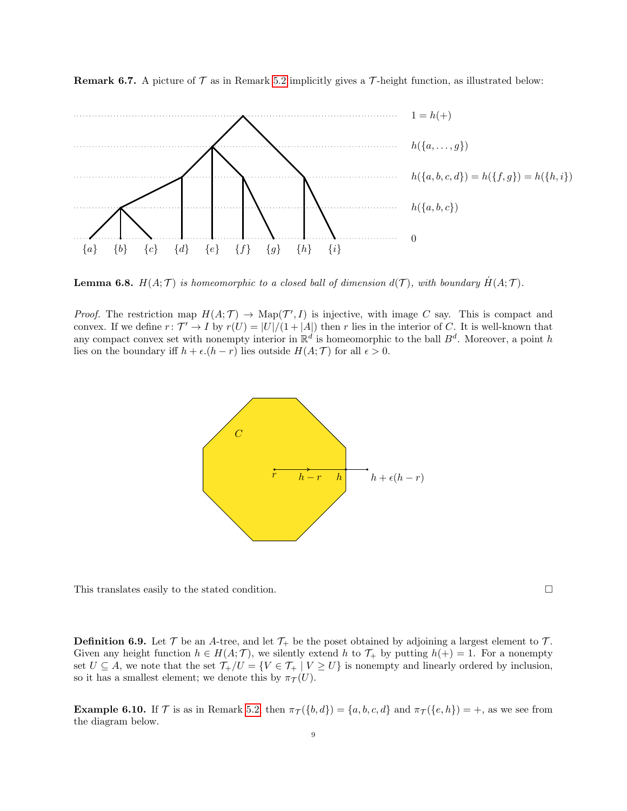

**Remark 6.7.** A picture of  $\mathcal T$  as in Remark [5.2](#page-4-0) implicitly gives a  $\mathcal T$ -height function, as illustrated below:

**Lemma 6.8.**  $H(A; \mathcal{T})$  is homeomorphic to a closed ball of dimension  $d(\mathcal{T})$ , with boundary  $H(A; \mathcal{T})$ .

*Proof.* The restriction map  $H(A; \mathcal{T}) \to \text{Map}(\mathcal{T}', I)$  is injective, with image C say. This is compact and convex. If we define  $r: \mathcal{T}' \to I$  by  $r(U) = |U|/(1+|A|)$  then r lies in the interior of C. It is well-known that any compact convex set with nonempty interior in  $\mathbb{R}^d$  is homeomorphic to the ball  $B^d$ . Moreover, a point h lies on the boundary iff  $h + \epsilon (h - r)$  lies outside  $H(A; \mathcal{T})$  for all  $\epsilon > 0$ .



This translates easily to the stated condition.

**Definition 6.9.** Let  $\mathcal{T}$  be an A-tree, and let  $\mathcal{T}_+$  be the poset obtained by adjoining a largest element to  $\mathcal{T}_-$ . Given any height function  $h \in H(A; \mathcal{T})$ , we silently extend h to  $\mathcal{T}_+$  by putting  $h(+) = 1$ . For a nonempty set  $U \subseteq A$ , we note that the set  $\mathcal{T}_+/U = \{V \in \mathcal{T}_+ \mid V \geq U\}$  is nonempty and linearly ordered by inclusion, so it has a smallest element; we denote this by  $\pi_{\mathcal{T}}(U)$ .

**Example 6.10.** If T is as in Remark [5.2,](#page-4-0) then  $\pi_{\mathcal{T}}(\{b, d\}) = \{a, b, c, d\}$  and  $\pi_{\mathcal{T}}(\{e, h\}) = +$ , as we see from the diagram below.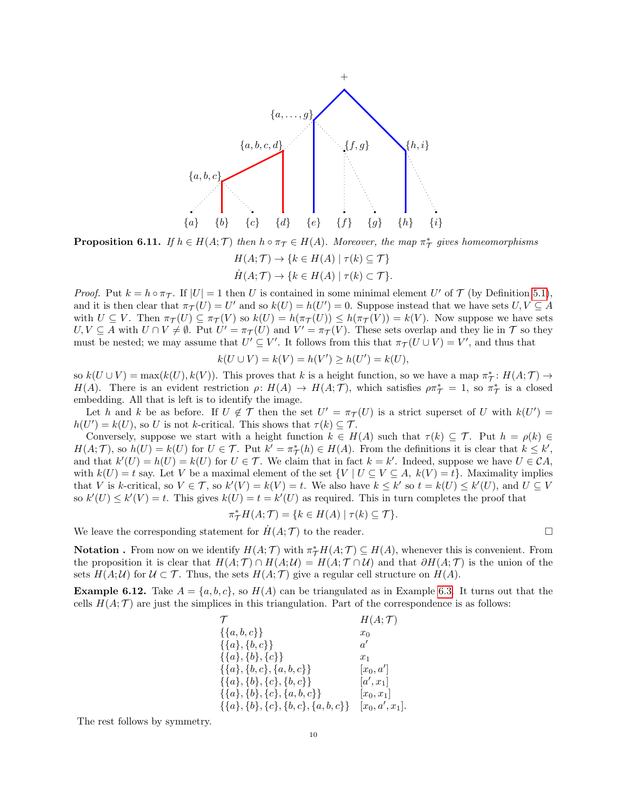

**Proposition 6.11.** If  $h \in H(A; \mathcal{T})$  then  $h \circ \pi_{\mathcal{T}} \in H(A)$ . Moreover, the map  $\pi_{\mathcal{T}}^*$  gives homeomorphisms

$$
H(A; \mathcal{T}) \to \{k \in H(A) \mid \tau(k) \subseteq \mathcal{T}\}
$$
  

$$
H(A; \mathcal{T}) \to \{k \in H(A) \mid \tau(k) \subset \mathcal{T}\}.
$$

*Proof.* Put  $k = h \circ \pi_{\mathcal{T}}$ . If  $|U| = 1$  then U is contained in some minimal element U' of T (by Definition [5.1\)](#page-4-1), and it is then clear that  $\pi_{\mathcal{T}}(U) = U'$  and so  $k(U) = h(U') = 0$ . Suppose instead that we have sets  $U, V \subseteq A$ with  $U \subseteq V$ . Then  $\pi_{\mathcal{T}}(U) \subseteq \pi_{\mathcal{T}}(V)$  so  $k(U) = h(\pi_{\mathcal{T}}(U)) \leq h(\pi_{\mathcal{T}}(V)) = k(V)$ . Now suppose we have sets  $U, V \subseteq A$  with  $U \cap V \neq \emptyset$ . Put  $U' = \pi_{\mathcal{T}}(U)$  and  $V' = \pi_{\mathcal{T}}(V)$ . These sets overlap and they lie in  $\mathcal{T}$  so they must be nested; we may assume that  $U' \subseteq V'$ . It follows from this that  $\pi_{\mathcal{T}}(U \cup V) = V'$ , and thus that

$$
k(U \cup V) = k(V) = h(V') \ge h(U') = k(U),
$$

so  $k(U \cup V) = \max(k(U), k(V))$ . This proves that k is a height function, so we have a map  $\pi^*$ :  $H(A; \mathcal{T}) \to$  $H(A)$ . There is an evident restriction  $\rho: H(A) \to H(A; \mathcal{T})$ , which satisfies  $\rho \pi^*_{\mathcal{T}} = 1$ , so  $\pi^*_{\mathcal{T}}$  is a closed embedding. All that is left is to identify the image.

Let h and k be as before. If  $U \notin \mathcal{T}$  then the set  $U' = \pi_{\mathcal{T}}(U)$  is a strict superset of U with  $k(U') =$  $h(U') = k(U)$ , so U is not k-critical. This shows that  $\tau(k) \subseteq \mathcal{T}$ .

Conversely, suppose we start with a height function  $k \in H(A)$  such that  $\tau(k) \subseteq \mathcal{T}$ . Put  $h = \rho(k) \in$  $H(A; \mathcal{T})$ , so  $h(U) = k(U)$  for  $U \in \mathcal{T}$ . Put  $k' = \pi_{\mathcal{T}}^*(h) \in H(A)$ . From the definitions it is clear that  $k \leq k'$ , and that  $k'(U) = h(U) = k(U)$  for  $U \in \mathcal{T}$ . We claim that in fact  $k = k'$ . Indeed, suppose we have  $U \in \mathcal{C}A$ , with  $k(U) = t$  say. Let V be a maximal element of the set  $\{V | U \subseteq V \subseteq A, k(V) = t\}$ . Maximality implies that V is k-critical, so  $V \in \mathcal{T}$ , so  $k'(V) = k(V) = t$ . We also have  $k \leq k'$  so  $t = k(U) \leq k'(U)$ , and  $U \subseteq V$ so  $k'(U) \leq k'(V) = t$ . This gives  $k(U) = t = k'(U)$  as required. This in turn completes the proof that

$$
\pi_{\mathcal{T}}^* H(A; \mathcal{T}) = \{ k \in H(A) \mid \tau(k) \subseteq \mathcal{T} \}.
$$

We leave the corresponding statement for  $H(A; \mathcal{T})$  to the reader.

**Notation**. From now on we identify  $H(A; \mathcal{T})$  with  $\pi^* H(A; \mathcal{T}) \subseteq H(A)$ , whenever this is convenient. From the proposition it is clear that  $H(A; \mathcal{T}) \cap H(A; \mathcal{U}) = H(A; \mathcal{T} \cap \mathcal{U})$  and that  $\partial H(A; \mathcal{T})$  is the union of the sets  $H(A;U)$  for  $U \subset \mathcal{T}$ . Thus, the sets  $H(A;\mathcal{T})$  give a regular cell structure on  $H(A)$ .

**Example 6.12.** Take  $A = \{a, b, c\}$ , so  $H(A)$  can be triangulated as in Example [6.3.](#page-7-0) It turns out that the cells  $H(A; \mathcal{T})$  are just the simplices in this triangulation. Part of the correspondence is as follows:

| $\tau$                                     | H(A;T)            |
|--------------------------------------------|-------------------|
| $\{\{a, b, c\}\}\$                         | $x_0$             |
| $\{\{a\},\{b,c\}\}\$                       | $a^{\prime}$      |
| $\{\{a\},\{b\},\{c\}\}\$                   | $x_1$             |
| $\{\{a\},\{b,c\},\{a,b,c\}\}\$             | $ x_0, a' $       |
| $\{\{a\},\{b\},\{c\},\{b,c\}\}\$           | $[a',x_1]$        |
| $\{\{a\},\{b\},\{c\},\{a,b,c\}\}\$         | $ x_0, x_1 $      |
| $\{\{a\},\{b\},\{c\},\{b,c\},\{a,b,c\}\}\$ | $[x_0, a', x_1].$ |

The rest follows by symmetry.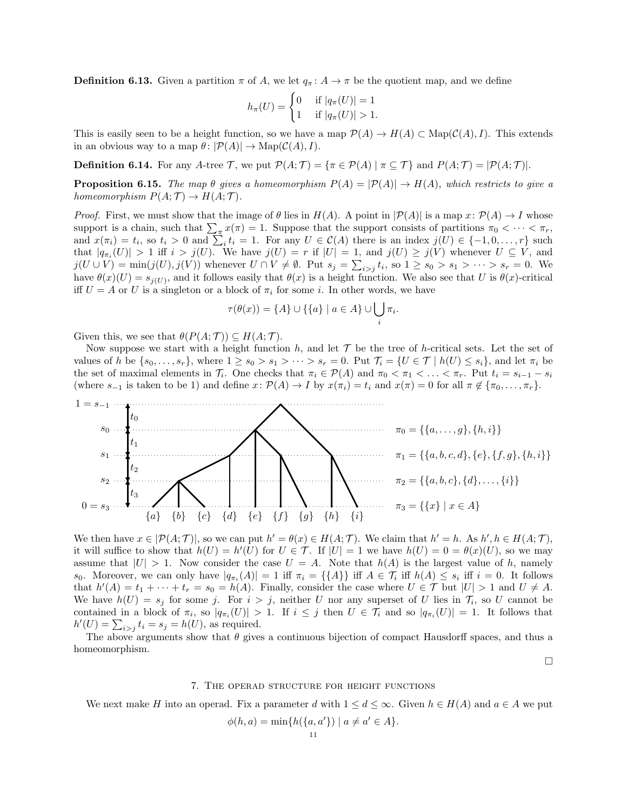**Definition 6.13.** Given a partition  $\pi$  of A, we let  $q_{\pi}$ :  $A \to \pi$  be the quotient map, and we define

$$
h_{\pi}(U) = \begin{cases} 0 & \text{if } |q_{\pi}(U)| = 1 \\ 1 & \text{if } |q_{\pi}(U)| > 1. \end{cases}
$$

This is easily seen to be a height function, so we have a map  $\mathcal{P}(A) \to H(A) \subset \text{Map}(\mathcal{C}(A), I)$ . This extends in an obvious way to a map  $\theta \colon |\mathcal{P}(A)| \to \mathrm{Map}(\mathcal{C}(A), I).$ 

**Definition 6.14.** For any A-tree T, we put  $\mathcal{P}(A; \mathcal{T}) = {\pi \in \mathcal{P}(A) | \pi \subseteq \mathcal{T}}}$  and  $P(A; \mathcal{T}) = |\mathcal{P}(A; \mathcal{T})|$ .

<span id="page-10-0"></span>**Proposition 6.15.** The map  $\theta$  gives a homeomorphism  $P(A) = |\mathcal{P}(A)| \rightarrow H(A)$ , which restricts to give a homeomorphism  $P(A; \mathcal{T}) \to H(A; \mathcal{T})$ .

*Proof.* First, we must show that the image of  $\theta$  lies in  $H(A)$ . A point in  $|\mathcal{P}(A)|$  is a map  $x: \mathcal{P}(A) \to I$  whose support is a chain, such that  $\sum_{\pi} x(\pi) = 1$ . Suppose that the support consists of partitions  $\pi_0 < \cdots < \pi_r$ , and  $x(\pi_i) = t_i$ , so  $t_i > 0$  and  $\sum_i t_i = 1$ . For any  $U \in C(A)$  there is an index  $j(U) \in \{-1, 0, \ldots, r\}$  such that  $|q_{\pi_i}(U)| > 1$  iff  $i > j(U)$ . We have  $j(U) = r$  if  $|U| = 1$ , and  $j(U) \ge j(V)$  whenever  $U \subseteq V$ , and  $j(U \cup V) = \min(j(U), j(V))$  whenever  $U \cap V \neq \emptyset$ . Put  $s_j = \sum_{i>j} t_i$ , so  $1 \ge s_0 > s_1 > \cdots > s_r = 0$ . We have  $\theta(x)(U) = s_{j(U)}$ , and it follows easily that  $\theta(x)$  is a height function. We also see that U is  $\theta(x)$ -critical iff  $U = A$  or U is a singleton or a block of  $\pi_i$  for some i. In other words, we have

$$
\tau(\theta(x)) = \{A\} \cup \{\{a\} \mid a \in A\} \cup \bigcup_i \pi_i.
$$

Given this, we see that  $\theta(P(A; \mathcal{T})) \subseteq H(A; \mathcal{T})$ .

Now suppose we start with a height function h, and let  $\mathcal T$  be the tree of h-critical sets. Let the set of values of h be  $\{s_0, \ldots, s_r\}$ , where  $1 \ge s_0 > s_1 > \cdots > s_r = 0$ . Put  $\mathcal{T}_i = \{U \in \mathcal{T} \mid h(U) \le s_i\}$ , and let  $\pi_i$  be the set of maximal elements in  $\mathcal{T}_i$ . One checks that  $\pi_i \in \mathcal{P}(A)$  and  $\pi_0 < \pi_1 < \ldots < \pi_r$ . Put  $t_i = s_{i-1} - s_i$ (where  $s_{-1}$  is taken to be 1) and define  $x: \mathcal{P}(A) \to I$  by  $x(\pi_i) = t_i$  and  $x(\pi) = 0$  for all  $\pi \notin {\pi_0, \dots, \pi_r}$ .



We then have  $x \in |\mathcal{P}(A;\mathcal{T})|$ , so we can put  $h' = \theta(x) \in H(A;\mathcal{T})$ . We claim that  $h' = h$ . As  $h', h \in H(A;\mathcal{T})$ , it will suffice to show that  $h(U) = h'(U)$  for  $U \in \mathcal{T}$ . If  $|U| = 1$  we have  $h(U) = 0 = \theta(x)(U)$ , so we may assume that  $|U| > 1$ . Now consider the case  $U = A$ . Note that  $h(A)$  is the largest value of h, namely s<sub>0</sub>. Moreover, we can only have  $|q_{\pi_i}(A)| = 1$  iff  $\pi_i = {\{\{A\}\}\}\$ iff  $A \in \mathcal{T}_i$  iff  $h(A) \leq s_i$  iff  $i = 0$ . It follows that  $h'(A) = t_1 + \cdots + t_r = s_0 = h(A)$ . Finally, consider the case where  $U \in \mathcal{T}$  but  $|U| > 1$  and  $U \neq A$ . We have  $h(U) = s_j$  for some j. For  $i > j$ , neither U nor any superset of U lies in  $\mathcal{T}_i$ , so U cannot be contained in a block of  $\pi_i$ , so  $|q_{\pi_i}(U)| > 1$ . If  $i \leq j$  then  $U \in \mathcal{T}_i$  and so  $|q_{\pi_i}(U)| = 1$ . It follows that  $h'(U) = \sum_{i>j} t_i = s_j = h(U)$ , as required.

The above arguments show that  $\theta$  gives a continuous bijection of compact Hausdorff spaces, and thus a homeomorphism.

 $\Box$ 

#### 7. The operad structure for height functions

We next make H into an operad. Fix a parameter d with  $1 \leq d \leq \infty$ . Given  $h \in H(A)$  and  $a \in A$  we put

$$
\phi(h, a) = \min\{h(\{a, a'\}) \mid a \neq a' \in A\}.
$$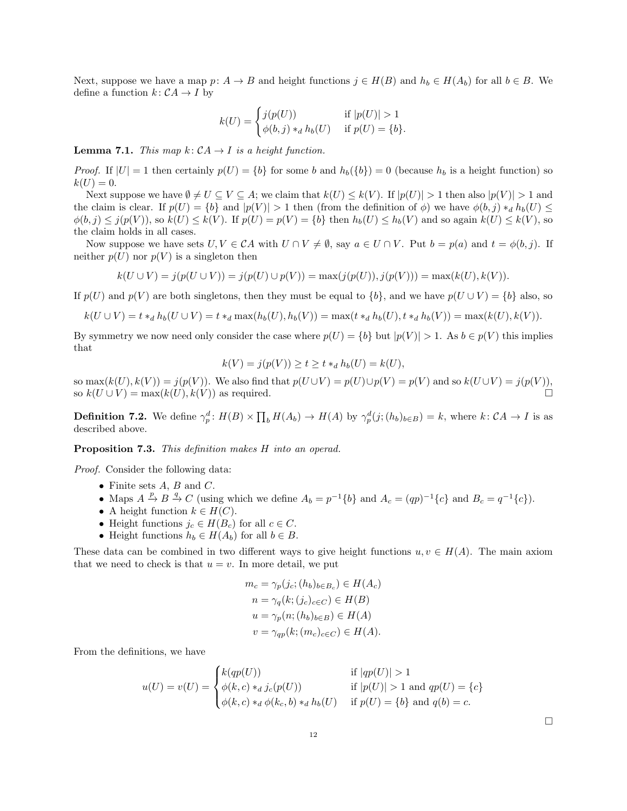Next, suppose we have a map  $p: A \to B$  and height functions  $j \in H(B)$  and  $h_b \in H(A_b)$  for all  $b \in B$ . We define a function  $k: \mathcal{C}A \rightarrow I$  by

$$
k(U) = \begin{cases} j(p(U)) & \text{if } |p(U)| > 1\\ \phi(b, j) *_{d} h_{b}(U) & \text{if } p(U) = \{b\}. \end{cases}
$$

**Lemma 7.1.** This map  $k: CA \rightarrow I$  is a height function.

*Proof.* If  $|U| = 1$  then certainly  $p(U) = \{b\}$  for some b and  $h_b(\{b\}) = 0$  (because  $h_b$  is a height function) so  $k(U) = 0.$ 

Next suppose we have  $\emptyset \neq U \subseteq V \subseteq A$ ; we claim that  $k(U) \leq k(V)$ . If  $|p(U)| > 1$  then also  $|p(V)| > 1$  and the claim is clear. If  $p(U) = \{b\}$  and  $|p(V)| > 1$  then (from the definition of  $\phi$ ) we have  $\phi(b, j) *_{d} h_{b}(U) \leq$  $\phi(b, j) \leq j(p(V))$ , so  $k(U) \leq k(V)$ . If  $p(U) = p(V) = \{b\}$  then  $h_b(U) \leq h_b(V)$  and so again  $k(U) \leq k(V)$ , so the claim holds in all cases.

Now suppose we have sets  $U, V \in CA$  with  $U \cap V \neq \emptyset$ , say  $a \in U \cap V$ . Put  $b = p(a)$  and  $t = \phi(b, j)$ . If neither  $p(U)$  nor  $p(V)$  is a singleton then

$$
k(U \cup V) = j(p(U \cup V)) = j(p(U) \cup p(V)) = \max(j(p(U)), j(p(V))) = \max(k(U), k(V)).
$$

If  $p(U)$  and  $p(V)$  are both singletons, then they must be equal to  $\{b\}$ , and we have  $p(U \cup V) = \{b\}$  also, so

$$
k(U \cup V) = t *_{d} h_{b}(U \cup V) = t *_{d} \max(h_{b}(U), h_{b}(V)) = \max(t *_{d} h_{b}(U), t *_{d} h_{b}(V)) = \max(k(U), k(V)).
$$

By symmetry we now need only consider the case where  $p(U) = \{b\}$  but  $|p(V)| > 1$ . As  $b \in p(V)$  this implies that

$$
k(V) = j(p(V)) \ge t \ge t *_{d} h_{b}(U) = k(U),
$$

so  $\max(k(U), k(V)) = j(p(V))$ . We also find that  $p(U \cup V) = p(U) \cup p(V) = p(V)$  and so  $k(U \cup V) = j(p(V))$ , so  $k(U \cup V) = \max(k(U), k(V))$  as required.

<span id="page-11-0"></span>**Definition 7.2.** We define  $\gamma_p^d: H(B) \times \prod_b H(A_b) \to H(A)$  by  $\gamma_p^d(j; (h_b)_{b \in B}) = k$ , where  $k: \mathcal{C}A \to I$  is as described above.

Proposition 7.3. This definition makes H into an operad.

Proof. Consider the following data:

- Finite sets  $A, B$  and  $C$ .
- Maps  $A \xrightarrow{p} B \xrightarrow{q} C$  (using which we define  $A_b = p^{-1}{b}$  and  $A_c = (qp)^{-1}{c}$  and  $B_c = q^{-1}{c}$ ).
- A height function  $k \in H(C)$ .
- Height functions  $j_c \in H(B_c)$  for all  $c \in C$ .
- Height functions  $h_b \in H(A_b)$  for all  $b \in B$ .

These data can be combined in two different ways to give height functions  $u, v \in H(A)$ . The main axiom that we need to check is that  $u = v$ . In more detail, we put

$$
m_c = \gamma_p(j_c; (h_b)_{b \in B_c}) \in H(A_c)
$$
  
\n
$$
n = \gamma_q(k; (j_c)_{c \in C}) \in H(B)
$$
  
\n
$$
u = \gamma_p(n; (h_b)_{b \in B}) \in H(A)
$$
  
\n
$$
v = \gamma_{qp}(k; (m_c)_{c \in C}) \in H(A).
$$

From the definitions, we have

$$
u(U) = v(U) = \begin{cases} k(qp(U)) & \text{if } |qp(U)| > 1\\ \phi(k, c) *_{d} j_{c}(p(U)) & \text{if } |p(U)| > 1 \text{ and } qp(U) = \{c\} \\ \phi(k, c) *_{d} \phi(k_{c}, b) *_{d} h_{b}(U) & \text{if } p(U) = \{b\} \text{ and } q(b) = c. \end{cases}
$$

 $\Box$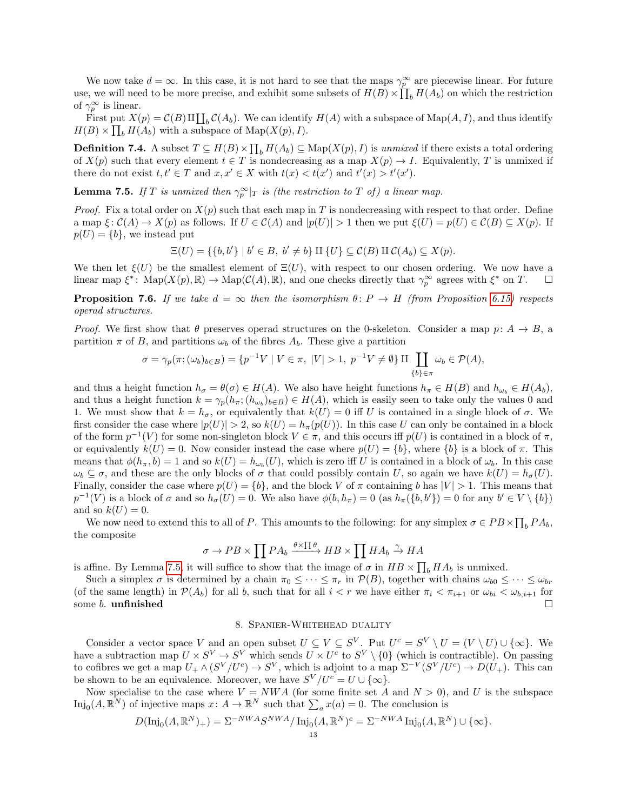We now take  $d = \infty$ . In this case, it is not hard to see that the maps  $\gamma_p^{\infty}$  are piecewise linear. For future use, we will need to be more precise, and exhibit some subsets of  $H(B) \times \prod_b H(A_b)$  on which the restriction of  $\gamma_p^{\infty}$  is linear.

First put  $X(p) = C(B) \amalg \coprod_b C(A_b)$ . We can identify  $H(A)$  with a subspace of  $\text{Map}(A, I)$ , and thus identify  $H(B) \times \prod_b H(A_b)$  with a subspace of  $\text{Map}(X(p), I)$ .

**Definition 7.4.** A subset  $T \subseteq H(B) \times \prod_b H(A_b) \subseteq \text{Map}(X(p), I)$  is unmixed if there exists a total ordering of  $X(p)$  such that every element  $t \in T$  is nondecreasing as a map  $X(p) \to I$ . Equivalently, T is unmixed if there do not exist  $t, t' \in T$  and  $x, x' \in X$  with  $t(x) < t(x')$  and  $t'(x) > t'(x')$ .

<span id="page-12-0"></span>**Lemma 7.5.** If T is unmixed then  $\gamma_p^{\infty}|_T$  is (the restriction to T of) a linear map.

*Proof.* Fix a total order on  $X(p)$  such that each map in T is nondecreasing with respect to that order. Define a map  $\xi: \mathcal{C}(A) \to X(p)$  as follows. If  $U \in \mathcal{C}(A)$  and  $|p(U)| > 1$  then we put  $\xi(U) = p(U) \in \mathcal{C}(B) \subseteq X(p)$ . If  $p(U) = \{b\}$ , we instead put

 $\Xi(U) = \{\{b, b'\} \mid b' \in B, b' \neq b\} \amalg \{U\} \subseteq \mathcal{C}(B) \amalg \mathcal{C}(A_b) \subseteq X(p).$ 

We then let  $\xi(U)$  be the smallest element of  $\Xi(U)$ , with respect to our chosen ordering. We now have a linear map  $\xi^*$ : Map $(X(p), \mathbb{R}) \to \mathrm{Map}(\mathcal{C}(A), \mathbb{R})$ , and one checks directly that  $\gamma_p^{\infty}$  agrees with  $\xi^*$  on  $T$ .

**Proposition 7.6.** If we take  $d = \infty$  then the isomorphism  $\theta: P \to H$  (from Proposition [6.15\)](#page-10-0) respects operad structures.

*Proof.* We first show that  $\theta$  preserves operad structures on the 0-skeleton. Consider a map  $p: A \to B$ , a partition  $\pi$  of B, and partitions  $\omega_b$  of the fibres  $A_b$ . These give a partition

$$
\sigma = \gamma_p(\pi; (\omega_b)_{b \in B}) = \{p^{-1}V \mid V \in \pi, \ |V| > 1, \ p^{-1}V \neq \emptyset\} \amalg \coprod_{\{b\} \in \pi} \omega_b \in \mathcal{P}(A),
$$

and thus a height function  $h_{\sigma} = \theta(\sigma) \in H(A)$ . We also have height functions  $h_{\pi} \in H(B)$  and  $h_{\omega_b} \in H(A_b)$ , and thus a height function  $k = \gamma_p(h_\pi; (h_{\omega_b})_{b \in B}) \in H(A)$ , which is easily seen to take only the values 0 and 1. We must show that  $k = h_{\sigma}$ , or equivalently that  $k(U) = 0$  iff U is contained in a single block of  $\sigma$ . We first consider the case where  $|p(U)| > 2$ , so  $k(U) = h_{\pi}(p(U))$ . In this case U can only be contained in a block of the form  $p^{-1}(V)$  for some non-singleton block  $V \in \pi$ , and this occurs iff  $p(U)$  is contained in a block of  $\pi$ , or equivalently  $k(U) = 0$ . Now consider instead the case where  $p(U) = \{b\}$ , where  $\{b\}$  is a block of π. This means that  $\phi(h_\pi, b) = 1$  and so  $k(U) = h_{\omega_b}(U)$ , which is zero iff U is contained in a block of  $\omega_b$ . In this case  $\omega_b \subseteq \sigma$ , and these are the only blocks of  $\sigma$  that could possibly contain U, so again we have  $k(U) = h_{\sigma}(U)$ . Finally, consider the case where  $p(U) = \{b\}$ , and the block V of  $\pi$  containing b has  $|V| > 1$ . This means that  $p^{-1}(V)$  is a block of  $\sigma$  and so  $h_{\sigma}(U) = 0$ . We also have  $\phi(b, h_{\pi}) = 0$  (as  $h_{\pi}(\{b, b'\}) = 0$  for any  $b' \in V \setminus \{b\}$ ) and so  $k(U) = 0$ .

We now need to extend this to all of P. This amounts to the following: for any simplex  $\sigma \in PB \times \prod_b PA_b$ , the composite

$$
\sigma \to PB \times \prod PA_b \xrightarrow{\theta \times \prod \theta} HB \times \prod HA_b \xrightarrow{\gamma} HA
$$

is affine. By Lemma [7.5,](#page-12-0) it will suffice to show that the image of  $\sigma$  in  $HB \times \prod_b HA_b$  is unmixed.

Such a simplex  $\sigma$  is determined by a chain  $\pi_0 \leq \cdots \leq \pi_r$  in  $\mathcal{P}(B)$ , together with chains  $\omega_{b0} \leq \cdots \leq \omega_{br}$ (of the same length) in  $\mathcal{P}(A_b)$  for all b, such that for all  $i < r$  we have either  $\pi_i < \pi_{i+1}$  or  $\omega_{bi} < \omega_{b,i+1}$  for some b. unfinished  $\square$ 

# 8. Spanier-Whitehead duality

Consider a vector space V and an open subset  $U \subseteq V \subseteq S^V$ . Put  $U^c = S^V \setminus U = (V \setminus U) \cup \{\infty\}$ . We have a subtraction map  $U \times S^V \to S^V$  which sends  $U \times U^c$  to  $S^V \setminus \{0\}$  (which is contractible). On passing to cofibres we get a map  $U_+ \wedge (S^V/U^c) \to S^V$ , which is adjoint to a map  $\Sigma^{-V}(S^V/U^c) \to D(U_+)$ . This can be shown to be an equivalence. Moreover, we have  $S^V/U^c = U \cup \{\infty\}.$ 

Now specialise to the case where  $V = NWA$  (for some finite set A and  $N > 0$ ), and U is the subspace Inj<sub>0</sub> $(A, \mathbb{R}^N)$  of injective maps  $x \colon A \to \mathbb{R}^N$  such that  $\sum_a x(a) = 0$ . The conclusion is

$$
D(\mathrm{Inj}_0(A, \mathbb{R}^N)_+) = \Sigma^{-NWA} S^{NWA} / \mathrm{Inj}_0(A, \mathbb{R}^N)^c = \Sigma^{-NWA} \mathrm{Inj}_0(A, \mathbb{R}^N) \cup \{\infty\}.
$$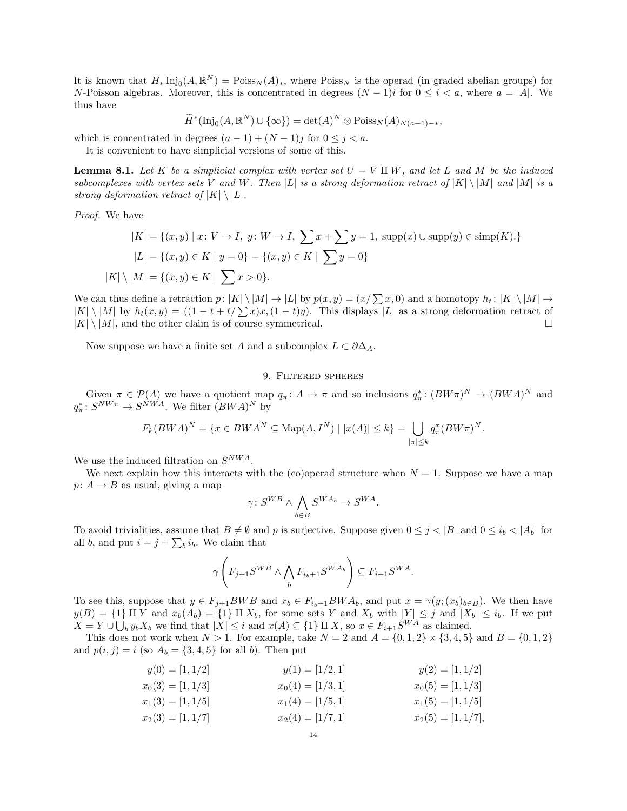It is known that  $H_* \text{Inj}_0(A, \mathbb{R}^N) = \text{Poiss}_N(A)_*,$  where  $\text{Poiss}_N$  is the operad (in graded abelian groups) for N-Poisson algebras. Moreover, this is concentrated in degrees  $(N-1)i$  for  $0 \leq i \leq a$ , where  $a = |A|$ . We thus have

$$
\widetilde{H}^*(\text{Inj}_0(A, \mathbb{R}^N) \cup \{\infty\}) = \det(A)^N \otimes \text{Poiss}_N(A)_{N(a-1)-*},
$$

which is concentrated in degrees  $(a-1) + (N-1)j$  for  $0 \le j < a$ .

It is convenient to have simplicial versions of some of this.

**Lemma 8.1.** Let K be a simplicial complex with vertex set  $U = V \amalg W$ , and let L and M be the induced subcomplexes with vertex sets V and W. Then |L| is a strong deformation retract of  $|K| \setminus |M|$  and  $|M|$  is a strong deformation retract of  $|K| \setminus |L|$ .

Proof. We have

$$
|K| = \{(x, y) \mid x \colon V \to I, \ y \colon W \to I, \ \sum x + \sum y = 1, \ \text{supp}(x) \cup \text{supp}(y) \in \text{simp}(K). \}
$$

$$
|L| = \{(x, y) \in K \mid y = 0\} = \{(x, y) \in K \mid \sum y = 0\}
$$

$$
|K| \setminus |M| = \{(x, y) \in K \mid \sum x > 0\}.
$$

We can thus define a retraction  $p: |K| \setminus |M| \to |L|$  by  $p(x, y) = (x/\sum x, 0)$  and a homotopy  $h_t: |K| \setminus |M| \to$  $|K| \backslash |M|$  by  $h_t(x, y) = ((1 - t + t/\sum x)x, (1 - t)y)$ . This displays  $|L|$  as a strong deformation retract of  $|K| \setminus |M|$ , and the other claim is of course symmetrical.

Now suppose we have a finite set A and a subcomplex  $L \subset \partial \Delta_A$ .

### 9. Filtered spheres

Given  $\pi \in \mathcal{P}(A)$  we have a quotient map  $q_{\pi} : A \to \pi$  and so inclusions  $q_{\pi}^* : (BW\pi)^N \to (BW A)^N$  and  $q_{\pi}^* \colon S^{N W \pi} \to S^{N W A}$ . We filter  $(BWA)^N$  by

$$
F_k(BWA)^N = \{x \in BWA^N \subseteq \text{Map}(A, I^N) \mid |x(A)| \le k\} = \bigcup_{|\pi| \le k} q_{\pi}^*(BW\pi)^N.
$$

We use the induced filtration on  $S^{NWA}$ .

We next explain how this interacts with the (co)operad structure when  $N = 1$ . Suppose we have a map  $p: A \to B$  as usual, giving a map

$$
\gamma\colon S^{WB}\wedge \bigwedge_{b\in B}S^{WA_b}\to S^{WA}.
$$

To avoid trivialities, assume that  $B \neq \emptyset$  and p is surjective. Suppose given  $0 \leq j < |B|$  and  $0 \leq i_b < |A_b|$  for all *b*, and put  $i = j + \sum_b i_b$ . We claim that

$$
\gamma\left(F_{j+1}S^{WB}\wedge\bigwedge_{b}F_{i_{b}+1}S^{WA_{b}}\right)\subseteq F_{i+1}S^{WA}.
$$

To see this, suppose that  $y \in F_{j+1}BWB$  and  $x_b \in F_{i_b+1}BWA_b$ , and put  $x = \gamma(y;(x_b)_{b\in B})$ . We then have  $y(B) = \{1\} \amalg Y$  and  $x_b(A_b) = \{1\} \amalg X_b$ , for some sets Y and  $X_b$  with  $|Y| \leq j$  and  $|X_b| \leq i_b$ . If we put  $X = Y \cup \bigcup_b y_b X_b$  we find that  $|X| \leq i$  and  $x(A) \subseteq \{1\} \amalg X$ , so  $x \in F_{i+1}S^{WA}$  as claimed.

This does not work when  $N > 1$ . For example, take  $N = 2$  and  $A = \{0, 1, 2\} \times \{3, 4, 5\}$  and  $B = \{0, 1, 2\}$ and  $p(i, j) = i$  (so  $A_b = \{3, 4, 5\}$  for all b). Then put

$$
y(0) = [1, 1/2] \qquad y(1) = [1/2, 1] \qquad y(2) = [1, 1/2]
$$
  
\n
$$
x_0(3) = [1, 1/3] \qquad x_0(4) = [1/3, 1] \qquad x_0(5) = [1, 1/3]
$$
  
\n
$$
x_1(3) = [1, 1/5] \qquad x_1(4) = [1/5, 1] \qquad x_1(5) = [1, 1/5]
$$
  
\n
$$
x_2(3) = [1, 1/7] \qquad x_2(4) = [1/7, 1] \qquad x_2(5) = [1, 1/7],
$$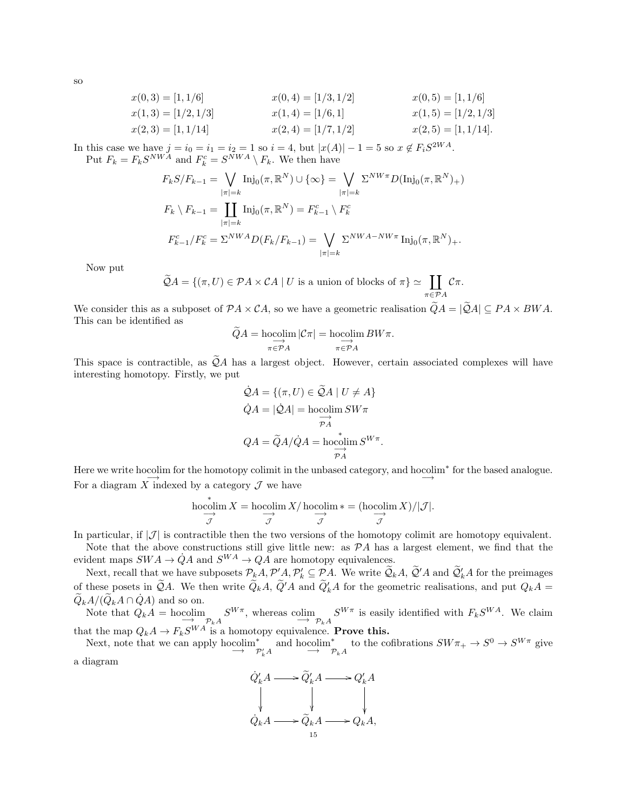$$
x(0,3) = [1,1/6]
$$
  
\n
$$
x(1,3) = [1/2,1/3]
$$
  
\n
$$
x(2,3) = [1,1/14]
$$
  
\n
$$
x(1,4) = [1/6,1]
$$
  
\n
$$
x(2,4) = [1/7,1/2]
$$
  
\n
$$
x(1,5) = [1/2,1/3]
$$
  
\n
$$
x(2,5) = [1,1/14].
$$
  
\n
$$
x(2,6) = [1,1/14].
$$

In this case we have  $j = i_0 = i_1 = i_2 = 1$  so  $i = 4$ , but  $|x(A)| - 1 = 5$  so  $x \notin F_i S^{2WA}$ . Put  $F_k = F_k S^{NWA}$  and  $F_k^c = S^{NWA} \setminus F_k$ . We then have

$$
F_k S/F_{k-1} = \bigvee_{|\pi|=k} \text{Inj}_0(\pi, \mathbb{R}^N) \cup \{\infty\} = \bigvee_{|\pi|=k} \Sigma^{NW\pi} D(\text{Inj}_0(\pi, \mathbb{R}^N)_+)
$$
  

$$
F_k \setminus F_{k-1} = \coprod_{|\pi|=k} \text{Inj}_0(\pi, \mathbb{R}^N) = F_{k-1}^c \setminus F_k^c
$$
  

$$
F_{k-1}^c / F_k^c = \Sigma^{NWA} D(F_k/F_{k-1}) = \bigvee_{|\pi|=k} \Sigma^{NWA-NW\pi} \text{Inj}_0(\pi, \mathbb{R}^N)_+.
$$

Now put

$$
\widetilde{Q}A = \{ (\pi, U) \in \mathcal{P}A \times \mathcal{C}A \mid U \text{ is a union of blocks of } \pi \} \simeq \coprod_{\pi \in \mathcal{P}A} \mathcal{C}\pi.
$$

We consider this as a subposet of  $\mathcal{P}A \times \mathcal{C}A$ , so we have a geometric realisation  $\widetilde{Q}A = |\widetilde{Q}A| \subseteq PA \times BWA$ . This can be identified as

$$
\widetilde{Q}A = \operatornamewithlimits{hocolim}_{\pi \in \mathcal{P} A} |\mathcal{C}\pi| = \operatornamewithlimits{hocolim}_{\pi \in \mathcal{P} A} BW\pi.
$$

This space is contractible, as  $\widetilde{Q}A$  has a largest object. However, certain associated complexes will have interesting homotopy. Firstly, we put

$$
\dot{Q}A = \{ (\pi, U) \in \widetilde{Q}A \mid U \neq A \}
$$

$$
\dot{Q}A = |\dot{Q}A| = \text{hocolim } SW\pi
$$

$$
\overrightarrow{PA}
$$

$$
QA = \widetilde{Q}A/\dot{Q}A = \text{hocolim } S^{W\pi}.
$$

Here we write hocolim for the homotopy colimit in the unbased category, and hocolim<sup>\*</sup> for the based analogue. For a diagram  $\overrightarrow{X}$  indexed by a category  $\mathcal J$  we have

$$
\operatornamewithlimits{hocolim}_{\mathcal J}X=\operatornamewithlimits{hocolim}_{\mathcal J}X/\operatornamewithlimits{hocolim}_{\mathcal J}\ast=(\operatornamewithlimits{hocolim}_{\mathcal J}X)/|\mathcal J|.
$$

In particular, if  $|\mathcal{J}|$  is contractible then the two versions of the homotopy colimit are homotopy equivalent.

Note that the above constructions still give little new: as  $\mathcal{P}A$  has a largest element, we find that the evident maps  $SWA \rightarrow \dot{Q}A$  and  $S^{WA} \rightarrow QA$  are homotopy equivalences.

Next, recall that we have subposets  $\mathcal{P}_k A, \mathcal{P}'_k \subseteq \mathcal{P}_k A$ . We write  $\mathcal{Q}_k A, \mathcal{Q}' A$  and  $\mathcal{Q}'_k A$  for the preimages of these posets in  $\widetilde{Q}A$ . We then write  $\widetilde{Q}_kA$ ,  $\widetilde{Q}'A$  and  $\widetilde{Q}'_kA$  for the geometric realisations, and put  $Q_kA = \widetilde{Q}_{k-1}$  $\widetilde{Q}_k A/(\widetilde{Q}_k A \cap \dot{Q} A)$  and so on.

Note that  $Q_k A = \text{hocolim}_{\mathcal{P}_k A} S^{W\pi}$ , whereas  $\text{colim}_{\mathcal{P}_k A} S^{W\pi}$  is easily identified with  $F_k S^{WA}$ . We claim that the map  $Q_k A \to F_k S^{WA}$  is a homotopy equivalence. **Prove this.** 

Next, note that we can apply hocolim<sup>\*</sup><sub>γ</sub> \* and hocolim<sup>\*</sup><sub> $\mathcal{P}'_k A$ </sub> <sup>\*</sup> to the cofibrations  $SW\pi_+ \to S^0 \to S^{W\pi}$  give a diagram



so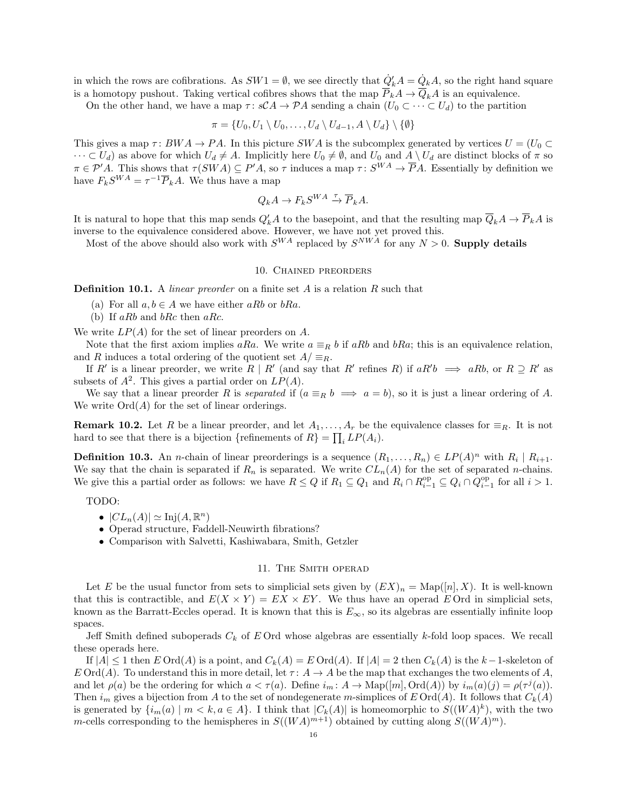in which the rows are cofibrations. As  $SW1 = \emptyset$ , we see directly that  $\dot{Q}'_k A = \dot{Q}_k A$ , so the right hand square is a homotopy pushout. Taking vertical cofibres shows that the map  $\overline{P}_k A \to \overline{Q}_k A$  is an equivalence.

On the other hand, we have a map  $\tau : \mathcal{SCA} \to \mathcal{PA}$  sending a chain  $(U_0 \subset \cdots \subset U_d)$  to the partition

$$
\pi = \{U_0, U_1 \setminus U_0, \ldots, U_d \setminus U_{d-1}, A \setminus U_d\} \setminus \{\emptyset\}
$$

This gives a map  $\tau: BWA \to PA$ . In this picture SWA is the subcomplex generated by vertices  $U = (U_0 \subset$  $\cdots \subset U_d$ ) as above for which  $U_d \neq A$ . Implicitly here  $U_0 \neq \emptyset$ , and  $U_0$  and  $A \setminus U_d$  are distinct blocks of  $\pi$  so  $\pi \in \mathcal{P}'A$ . This shows that  $\tau(SWA) \subseteq P'A$ , so  $\tau$  induces a map  $\tau \colon S^{WA} \to \overline{P}A$ . Essentially by definition we have  $F_k S^{WA} = \tau^{-1} \overline{P}_k A$ . We thus have a map

$$
Q_k A \to F_k S^{WA} \xrightarrow{\tau} \overline{P}_k A.
$$

It is natural to hope that this map sends  $Q'_kA$  to the basepoint, and that the resulting map  $\overline{Q}_kA \to \overline{P}_kA$  is inverse to the equivalence considered above. However, we have not yet proved this.

Most of the above should also work with  $S^{WA}$  replaced by  $S^{NWA}$  for any  $N > 0$ . **Supply details** 

# 10. Chained preorders

**Definition 10.1.** A *linear preorder* on a finite set  $A$  is a relation  $R$  such that

- (a) For all  $a, b \in A$  we have either aRb or bRa.
- (b) If  $aRb$  and  $bRc$  then  $aRc$ .

We write  $LP(A)$  for the set of linear preorders on A.

Note that the first axiom implies aRa. We write  $a \equiv_R b$  if aRb and bRa; this is an equivalence relation, and R induces a total ordering of the quotient set  $A/\equiv_R$ .

If R' is a linear preorder, we write R | R' (and say that R' refines R) if  $aR'b \implies aRb$ , or  $R \supseteq R'$  as subsets of  $A^2$ . This gives a partial order on  $LP(A)$ .

We say that a linear preorder R is separated if  $(a \equiv_R b \implies a = b)$ , so it is just a linear ordering of A. We write  $Ord(A)$  for the set of linear orderings.

**Remark 10.2.** Let R be a linear preorder, and let  $A_1, \ldots, A_r$  be the equivalence classes for  $\equiv_R$ . It is not hard to see that there is a bijection {refinements of  $R$ } =  $\prod_i LP(A_i)$ .

**Definition 10.3.** An *n*-chain of linear preorderings is a sequence  $(R_1, \ldots, R_n) \in LP(A)^n$  with  $R_i | R_{i+1}$ . We say that the chain is separated if  $R_n$  is separated. We write  $CL_n(A)$  for the set of separated n-chains. We give this a partial order as follows: we have  $R \leq Q$  if  $R_1 \subseteq Q_1$  and  $R_i \cap R_{i-1}^{\text{op}} \subseteq Q_i \cap Q_{i-1}^{\text{op}}$  for all  $i > 1$ .

TODO:

- $|CL_n(A)| \simeq \mathrm{Inj}(A, \mathbb{R}^n)$
- Operad structure, Faddell-Neuwirth fibrations?
- Comparison with Salvetti, Kashiwabara, Smith, Getzler

## 11. The Smith operad

Let E be the usual functor from sets to simplicial sets given by  $(EX)_n = \text{Map}([n], X)$ . It is well-known that this is contractible, and  $E(X \times Y) = EX \times EY$ . We thus have an operad E Ord in simplicial sets, known as the Barratt-Eccles operad. It is known that this is  $E_{\infty}$ , so its algebras are essentially infinite loop spaces.

Jeff Smith defined suboperads  $C_k$  of E Ord whose algebras are essentially k-fold loop spaces. We recall these operads here.

If  $|A| \leq 1$  then  $E \text{Ord}(A)$  is a point, and  $C_k(A) = E \text{Ord}(A)$ . If  $|A| = 2$  then  $C_k(A)$  is the  $k-1$ -skeleton of  $E \text{Ord}(A)$ . To understand this in more detail, let  $\tau: A \to A$  be the map that exchanges the two elements of A, and let  $\rho(a)$  be the ordering for which  $a < \tau(a)$ . Define  $i_m : A \to \text{Map}([m], \text{Ord}(A))$  by  $i_m(a)(j) = \rho(\tau^j(a))$ . Then  $i_m$  gives a bijection from A to the set of nondegenerate m-simplices of E Ord(A). It follows that  $C_k(A)$ is generated by  $\{i_m(a) \mid m < k, a \in A\}$ . I think that  $|C_k(A)|$  is homeomorphic to  $S((WA)^k)$ , with the two m-cells corresponding to the hemispheres in  $S((WA)^{m+1})$  obtained by cutting along  $S((WA)^m)$ .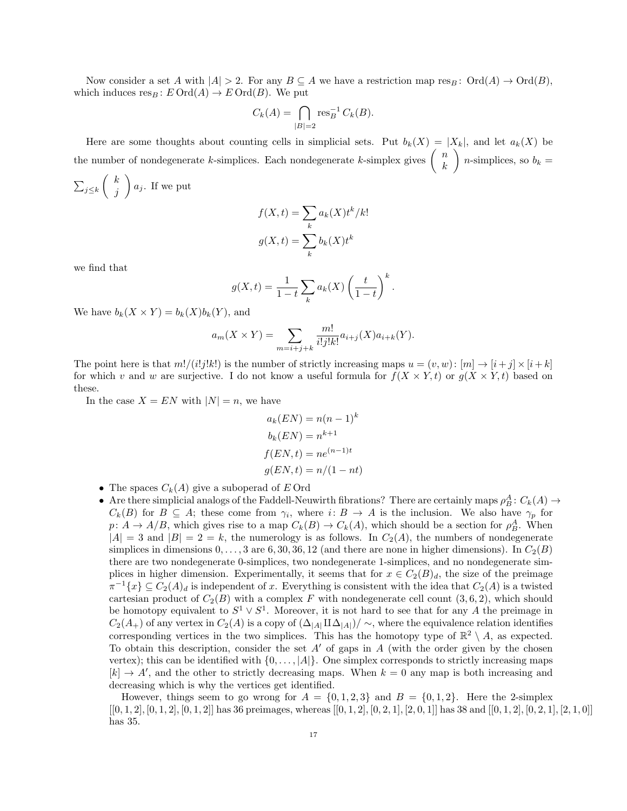Now consider a set A with  $|A| > 2$ . For any  $B \subseteq A$  we have a restriction map res<sub>B</sub>:  $\text{Ord}(A) \to \text{Ord}(B)$ , which induces  $res_B : E \text{Ord}(A) \to E \text{Ord}(B)$ . We put

$$
C_k(A) = \bigcap_{|B|=2} \operatorname{res}_B^{-1} C_k(B).
$$

Here are some thoughts about counting cells in simplicial sets. Put  $b_k(X) = |X_k|$ , and let  $a_k(X)$  be the number of nondegenerate k-simplices. Each nondegenerate k-simplex gives  $\begin{pmatrix} n \\ h \end{pmatrix}$ k ) *n*-simplices, so  $b_k =$  $\sum_{j\leq k}$  $\int k$  $\bigg\} a_j$ . If we put

 $a_k(X)t^k/k!$ 

 $b_k(X)t^k$ 

$$
f(X,t) = \sum_{k}
$$

$$
g(X,t) = \sum_{k}
$$

we find that

j

$$
g(X,t) = \frac{1}{1-t} \sum_{k} a_k(X) \left(\frac{t}{1-t}\right)^k.
$$

k

We have  $b_k(X \times Y) = b_k(X)b_k(Y)$ , and

$$
a_m(X \times Y) = \sum_{m=i+j+k} \frac{m!}{i!j!k!} a_{i+j}(X) a_{i+k}(Y).
$$

The point here is that  $m!/(i!j!k!)$  is the number of strictly increasing maps  $u = (v, w): [m] \rightarrow [i + j] \times [i + k]$ for which v and w are surjective. I do not know a useful formula for  $f(X \times Y, t)$  or  $g(X \times Y, t)$  based on these.

In the case  $X = EN$  with  $|N| = n$ , we have

$$
a_k(EN) = n(n-1)^k
$$

$$
b_k(EN) = n^{k+1}
$$

$$
f(EN, t) = ne^{(n-1)t}
$$

$$
g(EN, t) = n/(1 - nt)
$$

- The spaces  $C_k(A)$  give a suboperad of E Ord
- Are there simplicial analogs of the Faddell-Neuwirth fibrations? There are certainly maps  $\rho_B^A: C_k(A) \to$  $C_k(B)$  for  $B \subseteq A$ ; these come from  $\gamma_i$ , where  $i: B \to A$  is the inclusion. We also have  $\gamma_p$  for  $p: A \to A/B$ , which gives rise to a map  $C_k(B) \to C_k(A)$ , which should be a section for  $\rho_B^A$ . When  $|A| = 3$  and  $|B| = 2 = k$ , the numerology is as follows. In  $C_2(A)$ , the numbers of nondegenerate simplices in dimensions  $0, \ldots, 3$  are 6, 30, 36, 12 (and there are none in higher dimensions). In  $C_2(B)$ there are two nondegenerate 0-simplices, two nondegenerate 1-simplices, and no nondegenerate simplices in higher dimension. Experimentally, it seems that for  $x \in C_2(B)_d$ , the size of the preimage  $\pi^{-1}\{x\} \subseteq C_2(A)_d$  is independent of x. Everything is consistent with the idea that  $C_2(A)$  is a twisted cartesian product of  $C_2(B)$  with a complex F with nondegenerate cell count  $(3, 6, 2)$ , which should be homotopy equivalent to  $S^1 \vee S^1$ . Moreover, it is not hard to see that for any A the preimage in  $C_2(A_+)$  of any vertex in  $C_2(A)$  is a copy of  $(\Delta_{|A|}\amalg\Delta_{|A|})/\sim$ , where the equivalence relation identifies corresponding vertices in the two simplices. This has the homotopy type of  $\mathbb{R}^2 \setminus A$ , as expected. To obtain this description, consider the set  $A'$  of gaps in A (with the order given by the chosen vertex); this can be identified with  $\{0, \ldots, |A|\}$ . One simplex corresponds to strictly increasing maps  $[k] \rightarrow A'$ , and the other to strictly decreasing maps. When  $k = 0$  any map is both increasing and decreasing which is why the vertices get identified.

However, things seem to go wrong for  $A = \{0, 1, 2, 3\}$  and  $B = \{0, 1, 2\}$ . Here the 2-simplex  $[[0, 1, 2], [0, 1, 2], [0, 1, 2]]$  has 36 preimages, whereas  $[[0, 1, 2], [0, 2, 1], [2, 0, 1]]$  has 38 and  $[[0, 1, 2], [0, 2, 1], [2, 1, 0]]$ has 35.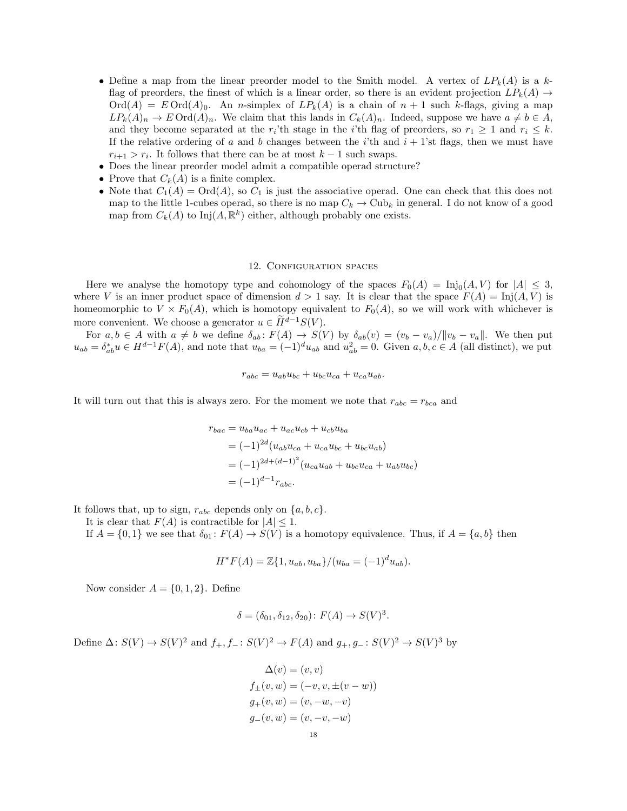- Define a map from the linear preorder model to the Smith model. A vertex of  $LP_k(A)$  is a kflag of preorders, the finest of which is a linear order, so there is an evident projection  $LP_k(A) \rightarrow$  $\text{Ord}(A) = E \text{Ord}(A)_0$ . An *n*-simplex of  $LP_k(A)$  is a chain of  $n + 1$  such k-flags, giving a map  $LP_k(A)_n \to E \text{Ord}(A)_n$ . We claim that this lands in  $C_k(A)_n$ . Indeed, suppose we have  $a \neq b \in A$ , and they become separated at the  $r_i$ 'th stage in the *i*'th flag of preorders, so  $r_1 \geq 1$  and  $r_i \leq k$ . If the relative ordering of a and b changes between the i'th and  $i + 1$ 'st flags, then we must have  $r_{i+1} > r_i$ . It follows that there can be at most  $k-1$  such swaps.
- Does the linear preorder model admit a compatible operad structure?
- Prove that  $C_k(A)$  is a finite complex.
- Note that  $C_1(A) = \text{Ord}(A)$ , so  $C_1$  is just the associative operad. One can check that this does not map to the little 1-cubes operad, so there is no map  $C_k \to \text{Cub}_k$  in general. I do not know of a good map from  $C_k(A)$  to  $\text{Inj}(A,\mathbb{R}^k)$  either, although probably one exists.

#### 12. Configuration spaces

Here we analyse the homotopy type and cohomology of the spaces  $F_0(A) = Inj_0(A, V)$  for  $|A| \leq 3$ , where V is an inner product space of dimension  $d > 1$  say. It is clear that the space  $F(A) = Inj(A, V)$  is homeomorphic to  $V \times F_0(A)$ , which is homotopy equivalent to  $F_0(A)$ , so we will work with whichever is more convenient. We choose a generator  $u \in \widetilde{H}^{d-1}S(V)$ .

For  $a, b \in A$  with  $a \neq b$  we define  $\delta_{ab} \colon F(A) \to S(V)$  by  $\delta_{ab}(v) = (v_b - v_a)/||v_b - v_a||$ . We then put  $u_{ab} = \delta_{ab}^* u \in H^{d-1} F(A)$ , and note that  $u_{ba} = (-1)^d u_{ab}$  and  $u_{ab}^2 = 0$ . Given  $a, b, c \in A$  (all distinct), we put

$$
r_{abc} = u_{ab}u_{bc} + u_{bc}u_{ca} + u_{ca}u_{ab}.
$$

It will turn out that this is always zero. For the moment we note that  $r_{abc} = r_{bca}$  and

$$
r_{bac} = u_{ba}u_{ac} + u_{ac}u_{cb} + u_{cb}u_{ba}
$$
  
=  $(-1)^{2d}(u_{ab}u_{ca} + u_{ca}u_{bc} + u_{bc}u_{ab})$   
=  $(-1)^{2d+(d-1)^2}(u_{ca}u_{ab} + u_{bc}u_{ca} + u_{ab}u_{bc})$   
=  $(-1)^{d-1}r_{abc}$ .

It follows that, up to sign,  $r_{abc}$  depends only on  $\{a, b, c\}$ .

It is clear that  $F(A)$  is contractible for  $|A| \leq 1$ .

If  $A = \{0, 1\}$  we see that  $\delta_{01} : F(A) \to S(V)$  is a homotopy equivalence. Thus, if  $A = \{a, b\}$  then

$$
H^*F(A) = \mathbb{Z}{1, u_{ab}, u_{ba}\}/(u_{ba} = (-1)^d u_{ab}).
$$

Now consider  $A = \{0, 1, 2\}$ . Define

$$
\delta = (\delta_{01}, \delta_{12}, \delta_{20}) : F(A) \to S(V)^3.
$$

Define  $\Delta: S(V) \to S(V)^2$  and  $f_+, f_-: S(V)^2 \to F(A)$  and  $g_+, g_-: S(V)^2 \to S(V)^3$  by

$$
\Delta(v) = (v, v) \nf_{\pm}(v, w) = (-v, v, \pm (v - w)) \ng_{+}(v, w) = (v, -w, -v) \ng_{-}(v, w) = (v, -v, -w)
$$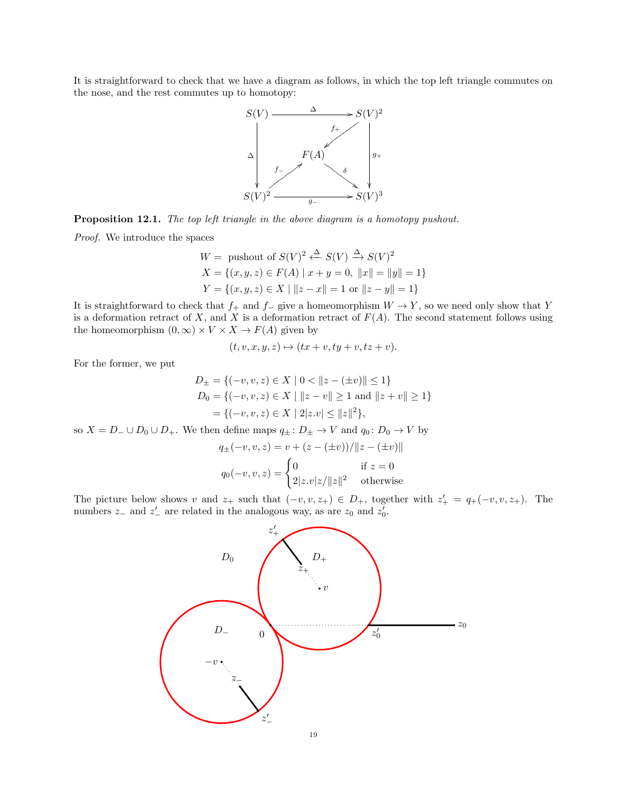It is straightforward to check that we have a diagram as follows, in which the top left triangle commutes on the nose, and the rest commutes up to homotopy:



Proposition 12.1. The top left triangle in the above diagram is a homotopy pushout.

Proof. We introduce the spaces

$$
W = \text{pushout of } S(V)^2 \xleftarrow{\Delta} S(V) \xrightarrow{\Delta} S(V)^2
$$
  

$$
X = \{(x, y, z) \in F(A) \mid x + y = 0, ||x|| = ||y|| = 1\}
$$
  

$$
Y = \{(x, y, z) \in X \mid ||z - x|| = 1 \text{ or } ||z - y|| = 1\}
$$

It is straightforward to check that  $f_+$  and  $f_-\$  give a homeomorphism  $W \to Y$ , so we need only show that Y is a deformation retract of  $X$ , and  $X$  is a deformation retract of  $F(A)$ . The second statement follows using the homeomorphism  $(0, \infty) \times V \times X \to F(A)$  given by

$$
(t, v, x, y, z) \mapsto (tx + v, ty + v, tz + v).
$$

For the former, we put

$$
D_{\pm} = \{(-v, v, z) \in X \mid 0 < ||z - (\pm v)|| \le 1\}
$$
  
\n
$$
D_0 = \{(-v, v, z) \in X \mid ||z - v|| \ge 1 \text{ and } ||z + v|| \ge 1\}
$$
  
\n
$$
= \{(-v, v, z) \in X \mid 2|z.v| \le ||z||^2\},
$$

so  $X = D_-\cup D_0 \cup D_+$ . We then define maps  $q_{\pm} : D_{\pm} \to V$  and  $q_0 : D_0 \to V$  by

$$
q_{\pm}(-v, v, z) = v + (z - (\pm v)) / ||z - (\pm v)||
$$
  

$$
q_0(-v, v, z) = \begin{cases} 0 & \text{if } z = 0\\ 2|z.v|z/\|z\|^2 & \text{otherwise} \end{cases}
$$

The picture below shows v and  $z_+$  such that  $(-v, v, z_+) \in D_+$ , together with  $z'_+ = q_+(-v, v, z_+)$ . The numbers  $z_$  and  $z'_$  are related in the analogous way, as are  $z_0$  and  $z'_0$ .

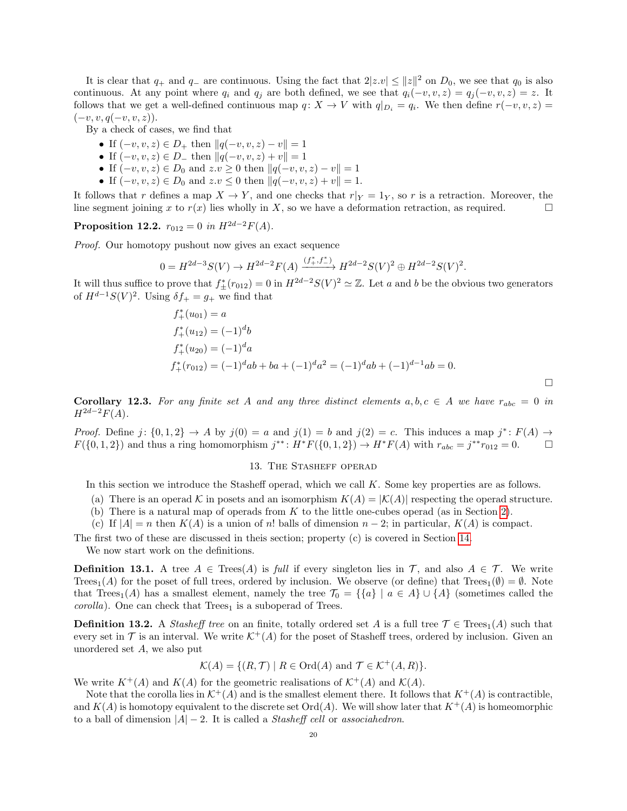It is clear that  $q_+$  and  $q_-$  are continuous. Using the fact that  $2|z.v| \leq ||z||^2$  on  $D_0$ , we see that  $q_0$  is also continuous. At any point where  $q_i$  and  $q_j$  are both defined, we see that  $q_i(-v, v, z) = q_j(-v, v, z) = z$ . It follows that we get a well-defined continuous map  $q: X \to V$  with  $q|_{D_i} = q_i$ . We then define  $r(-v, v, z) =$  $(-v, v, q(-v, v, z)).$ 

By a check of cases, we find that

- If  $(-v, v, z) \in D_+$  then  $||q(-v, v, z) v|| = 1$
- If  $(-v, v, z) \in D_-\$  then  $||q(-v, v, z) + v|| = 1$
- If  $(-v, v, z) \in D_0$  and  $z \cdot v \geq 0$  then  $||q(-v, v, z) v|| = 1$
- If  $(-v, v, z) \in D_0$  and  $z \cdot v \leq 0$  then  $||q(-v, v, z) + v|| = 1$ .

It follows that r defines a map  $X \to Y$ , and one checks that  $r|_Y = 1_Y$ , so r is a retraction. Moreover, the line segment joining x to  $r(x)$  lies wholly in X, so we have a deformation retraction, as required.

Proposition 12.2.  $r_{012} = 0$  in  $H^{2d-2}F(A)$ .

Proof. Our homotopy pushout now gives an exact sequence

$$
0 = H^{2d-3}S(V) \to H^{2d-2}F(A) \xrightarrow{(f_+^*, f_-^*)} H^{2d-2}S(V)^2 \oplus H^{2d-2}S(V)^2.
$$

It will thus suffice to prove that  $f^*_{\pm}(r_{012}) = 0$  in  $H^{2d-2}S(V)^2 \simeq \mathbb{Z}$ . Let a and b be the obvious two generators of  $H^{d-1}S(V)^2$ . Using  $\delta f_+ = g_+$  we find that

$$
f_{+}^{*}(u_{01}) = a
$$
  
\n
$$
f_{+}^{*}(u_{12}) = (-1)^{d}b
$$
  
\n
$$
f_{+}^{*}(u_{20}) = (-1)^{d}a
$$
  
\n
$$
f_{+}^{*}(r_{012}) = (-1)^{d}ab + ba + (-1)^{d}a^{2} = (-1)^{d}ab + (-1)^{d-1}ab = 0.
$$

 $\Box$ 

Corollary 12.3. For any finite set A and any three distinct elements  $a, b, c \in A$  we have  $r_{abc} = 0$  in  $H^{2d-2}F(A).$ 

*Proof.* Define  $j: \{0,1,2\} \to A$  by  $j(0) = a$  and  $j(1) = b$  and  $j(2) = c$ . This induces a map  $j^*: F(A) \to A$  $F({0, 1, 2})$  and thus a ring homomorphism  $j^{**}$ :  $H^*F({0, 1, 2}) \to H^*F(A)$  with  $r_{abc} = j^{**}r_{012} = 0$ .

#### 13. The Stasheff operad

In this section we introduce the Stasheff operad, which we call K. Some key properties are as follows.

- (a) There is an operad K in posets and an isomorphism  $K(A) = |\mathcal{K}(A)|$  respecting the operad structure.
- (b) There is a natural map of operads from  $K$  to the little one-cubes operad (as in Section [2\)](#page-1-0).
- (c) If  $|A| = n$  then  $K(A)$  is a union of n! balls of dimension  $n-2$ ; in particular,  $K(A)$  is compact.

The first two of these are discussed in theis section; property (c) is covered in Section [14.](#page-23-0)

We now start work on the definitions.

**Definition 13.1.** A tree  $A \in \text{Tree}(A)$  is full if every singleton lies in  $\mathcal{T}$ , and also  $A \in \mathcal{T}$ . We write Trees<sub>1</sub>(A) for the poset of full trees, ordered by inclusion. We observe (or define) that Trees<sub>1</sub>( $\emptyset$ ) =  $\emptyset$ . Note that Trees<sub>1</sub>(A) has a smallest element, namely the tree  $\mathcal{T}_0 = \{ \{a\} \mid a \in A \} \cup \{A\}$  (sometimes called the  $corolla$ ). One can check that  $Trees<sub>1</sub>$  is a suboperad of Trees.

**Definition 13.2.** A Stasheff tree on an finite, totally ordered set A is a full tree  $\mathcal{T} \in \text{Tres}_1(A)$  such that every set in  $\mathcal T$  is an interval. We write  $\mathcal K^+(\mathcal A)$  for the poset of Stasheff trees, ordered by inclusion. Given an unordered set A, we also put

$$
\mathcal{K}(A) = \{ (R, \mathcal{T}) \mid R \in \text{Ord}(A) \text{ and } \mathcal{T} \in \mathcal{K}^+(A, R) \}.
$$

We write  $K^+(A)$  and  $K(A)$  for the geometric realisations of  $\mathcal{K}^+(A)$  and  $\mathcal{K}(A)$ .

Note that the corolla lies in  $\mathcal{K}^+(A)$  and is the smallest element there. It follows that  $K^+(A)$  is contractible, and  $K(A)$  is homotopy equivalent to the discrete set  $\text{Ord}(A)$ . We will show later that  $K^+(A)$  is homeomorphic to a ball of dimension  $|A| - 2$ . It is called a *Stasheff cell* or *associahedron*.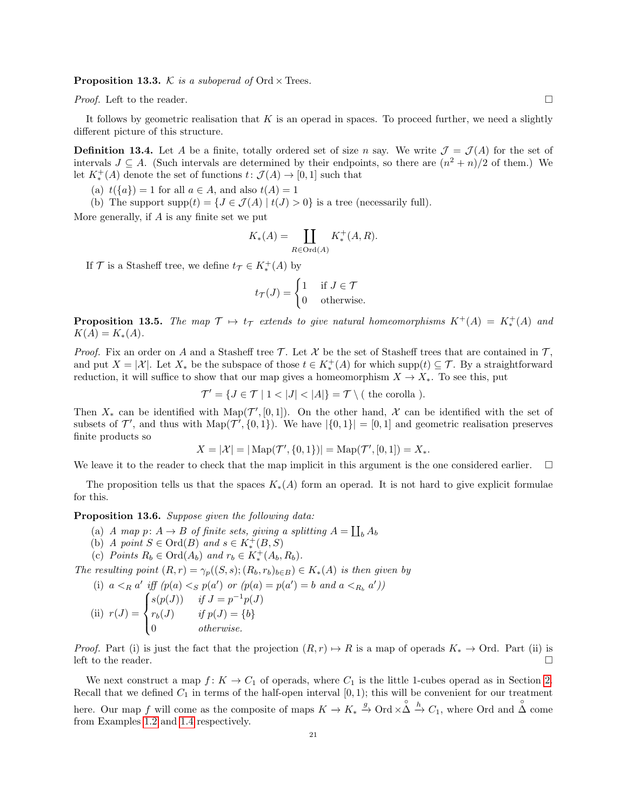**Proposition 13.3.** K is a suboperad of Ord  $\times$  Trees.

*Proof.* Left to the reader.

It follows by geometric realisation that  $K$  is an operad in spaces. To proceed further, we need a slightly different picture of this structure.

**Definition 13.4.** Let A be a finite, totally ordered set of size n say. We write  $\mathcal{J} = \mathcal{J}(A)$  for the set of intervals  $J \subseteq A$ . (Such intervals are determined by their endpoints, so there are  $(n^2 + n)/2$  of them.) We let  $K^+_*(A)$  denote the set of functions  $t: \mathcal{J}(A) \to [0,1]$  such that

(a)  $t({a}) = 1$  for all  $a \in A$ , and also  $t(A) = 1$ 

(b) The support supp $(t) = \{J \in \mathcal{J}(A) \mid t(J) > 0\}$  is a tree (necessarily full).

More generally, if  $A$  is any finite set we put

$$
K_*(A) = \coprod_{R \in \text{Ord}(A)} K^+_*(A, R).
$$

If  $\mathcal{T}$  is a Stasheff tree, we define  $t_{\mathcal{T}} \in K_*^+(A)$  by

$$
t_{\mathcal{T}}(J) = \begin{cases} 1 & \text{if } J \in \mathcal{T} \\ 0 & \text{otherwise.} \end{cases}
$$

<span id="page-20-1"></span>**Proposition 13.5.** The map  $\mathcal{T} \mapsto t_{\mathcal{T}}$  extends to give natural homeomorphisms  $K^+(A) = K_*^+(A)$  and  $K(A) = K_*(A).$ 

*Proof.* Fix an order on A and a Stasheff tree  $\mathcal T$ . Let X be the set of Stasheff trees that are contained in  $\mathcal T$ , and put  $X = |\mathcal{X}|$ . Let  $X_*$  be the subspace of those  $t \in K_*^+(\mathcal{A})$  for which supp $(t) \subseteq \mathcal{T}$ . By a straightforward reduction, it will suffice to show that our map gives a homeomorphism  $X \to X_*$ . To see this, put

 $\mathcal{T}' = \{ J \in \mathcal{T} \mid 1 < |J| < |A| \} = \mathcal{T} \setminus ($  the corolla ).

Then  $X_*$  can be identified with Map( $\mathcal{T}', [0,1]$ ). On the other hand, X can be identified with the set of subsets of  $\mathcal{T}'$ , and thus with  $\text{Map}(\mathcal{T}', \{0, 1\})$ . We have  $|\{0, 1\}| = [0, 1]$  and geometric realisation preserves finite products so

$$
X = |\mathcal{X}| = |\operatorname{Map}(\mathcal{T}', \{0, 1\})| = \operatorname{Map}(\mathcal{T}', [0, 1]) = X_*
$$

We leave it to the reader to check that the map implicit in this argument is the one considered earlier.  $\Box$ 

The proposition tells us that the spaces  $K_*(A)$  form an operad. It is not hard to give explicit formulae for this.

#### <span id="page-20-0"></span>Proposition 13.6. Suppose given the following data:

- (a) A map  $p: A \to B$  of finite sets, giving a splitting  $A = \coprod_b A_b$
- (b) A point  $S \in \text{Ord}(B)$  and  $s \in K^+_*(B,S)$
- (c) Points  $R_b \in \text{Ord}(A_b)$  and  $r_b \in K^+_*(A_b, R_b)$ .

The resulting point  $(R, r) = \gamma_p((S, s); (R_b, r_b)_{b \in B}) \in K_*(A)$  is then given by

(i) 
$$
a <_R a'
$$
 iff  $(p(a) <_S p(a'))$  or  $(p(a) = p(a') = b$  and  $a <_{R_b} a')$ 

(ii) 
$$
r(J) = \begin{cases} s(p(J)) & \text{if } J = p^{-1}p(J) \\ r_b(J) & \text{if } p(J) = \{b\} \\ 0 & \text{otherwise.} \end{cases}
$$

*Proof.* Part (i) is just the fact that the projection  $(R, r) \mapsto R$  is a map of operads  $K_* \to \text{Ord}$ . Part (ii) is left to the reader.  $\Box$ 

We next construct a map  $f: K \to C_1$  of operads, where  $C_1$  is the little 1-cubes operad as in Section [2.](#page-1-0) Recall that we defined  $C_1$  in terms of the half-open interval  $[0, 1)$ ; this will be convenient for our treatment here. Our map f will come as the composite of maps  $K \to K_* \xrightarrow{g} \text{Ord} \times \mathring{\Delta} \xrightarrow{h} C_1$ , where Ord and  $\overset{\circ}{\Delta}$  come from Examples [1.2](#page-0-0) and [1.4](#page-1-1) respectively.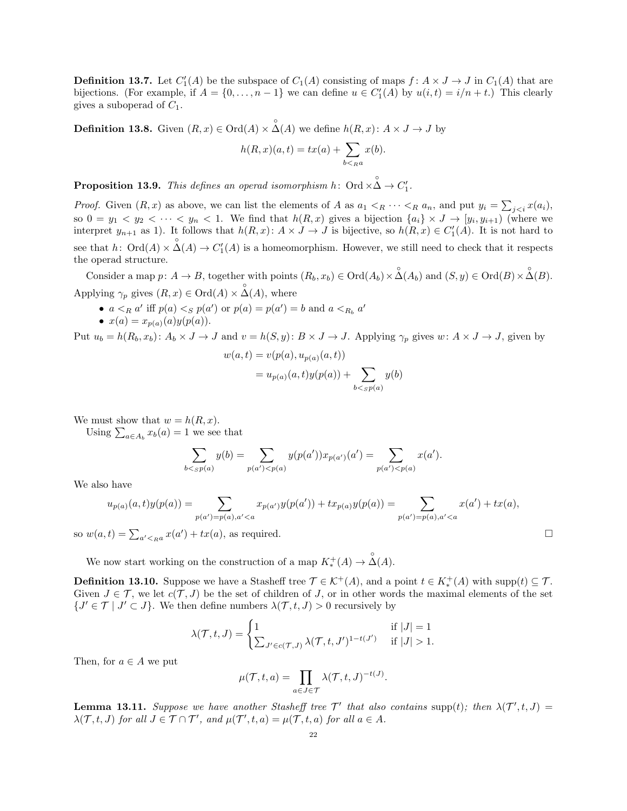**Definition 13.7.** Let  $C'_1(A)$  be the subspace of  $C_1(A)$  consisting of maps  $f: A \times J \to J$  in  $C_1(A)$  that are bijections. (For example, if  $A = \{0, ..., n-1\}$  we can define  $u \in C'_{1}(A)$  by  $u(i,t) = i/n + t$ .) This clearly gives a suboperad of  $C_1$ .

**Definition 13.8.** Given  $(R, x) \in \text{Ord}(A) \times \overset{\circ}{\Delta}(A)$  we define  $h(R, x) : A \times J \to J$  by

$$
h(R, x)(a, t) = tx(a) + \sum_{b <_{R} a} x(b).
$$

**Proposition 13.9.** This defines an operad isomorphism  $h$ : Ord  $\times \overset{\circ}{\Delta} \rightarrow C'_1$ .

*Proof.* Given  $(R, x)$  as above, we can list the elements of A as  $a_1 <_R \cdots <_R a_n$ , and put  $y_i = \sum_{j,$ so  $0 = y_1 < y_2 < \cdots < y_n < 1$ . We find that  $h(R, x)$  gives a bijection  $\{a_i\} \times J \to [y_i, y_{i+1})$  (where we interpret  $y_{n+1}$  as 1). It follows that  $h(R, x)$ :  $A \times J \to J$  is bijective, so  $h(R, x) \in C'_{1}(A)$ . It is not hard to see that  $h\colon \text{Ord}(A)\times \overset{\circ}{\Delta}(A)\to C'_1(A)$  is a homeomorphism. However, we still need to check that it respects the operad structure.

Consider a map  $p: A \to B$ , together with points  $(R_b, x_b) \in \text{Ord}(A_b) \times \overset{\circ}{\Delta}(A_b)$  and  $(S, y) \in \text{Ord}(B) \times \overset{\circ}{\Delta}(B)$ . Applying  $\gamma_p$  gives  $(R, x) \in \text{Ord}(A) \times \overset{\circ}{\Delta}(A)$ , where

- $a <_R a'$  iff  $p(a) <_S p(a')$  or  $p(a) = p(a') = b$  and  $a <_{R_b} a'$
- $x(a) = x_{p(a)}(a)y(p(a)).$

Put  $u_b = h(R_b, x_b)$ :  $A_b \times J \to J$  and  $v = h(S, y)$ :  $B \times J \to J$ . Applying  $\gamma_p$  gives  $w: A \times J \to J$ , given by

$$
w(a,t) = v(p(a), u_{p(a)}(a,t))
$$
  
=  $u_{p(a)}(a,t)y(p(a)) + \sum_{b < s p(a)} y(b)$ 

We must show that  $w = h(R, x)$ .

Using  $\sum_{a \in A_b} x_b(a) = 1$  we see that

$$
\sum_{b < sp(a)} y(b) = \sum_{p(a') < p(a)} y(p(a')) x_{p(a')}(a') = \sum_{p(a') < p(a)} x(a').
$$

We also have

$$
u_{p(a)}(a,t)y(p(a)) = \sum_{p(a')=p(a),a'
$$

so  $w(a,t) = \sum_{a' < a} x(a') + tx(a)$ , as required.

We now start working on the construction of a map  $K_*^+(A) \to \overset{\circ}{\Delta}(A)$ .

**Definition 13.10.** Suppose we have a Stasheff tree  $\mathcal{T} \in \mathcal{K}^+(A)$ , and a point  $t \in K^+(A)$  with supp $(t) \subseteq \mathcal{T}$ . Given  $J \in \mathcal{T}$ , we let  $c(\mathcal{T}, J)$  be the set of children of J, or in other words the maximal elements of the set  $\{J' \in \mathcal{T} \mid J' \subset J\}$ . We then define numbers  $\lambda(\mathcal{T}, t, J) > 0$  recursively by

$$
\lambda(\mathcal{T}, t, J) = \begin{cases} 1 & \text{if } |J| = 1 \\ \sum_{J' \in c(\mathcal{T}, J)} \lambda(\mathcal{T}, t, J')^{1 - t(J')} & \text{if } |J| > 1. \end{cases}
$$

Then, for  $a \in A$  we put

$$
\mu(\mathcal{T}, t, a) = \prod_{a \in J \in \mathcal{T}} \lambda(\mathcal{T}, t, J)^{-t(J)}
$$

.

<span id="page-21-0"></span>**Lemma 13.11.** Suppose we have another Stasheff tree  $\mathcal{T}'$  that also contains supp(t); then  $\lambda(\mathcal{T}',t, J)$  =  $\lambda(\mathcal{T}, t, J)$  for all  $J \in \mathcal{T} \cap \mathcal{T}'$ , and  $\mu(\mathcal{T}', t, a) = \mu(\mathcal{T}, t, a)$  for all  $a \in A$ .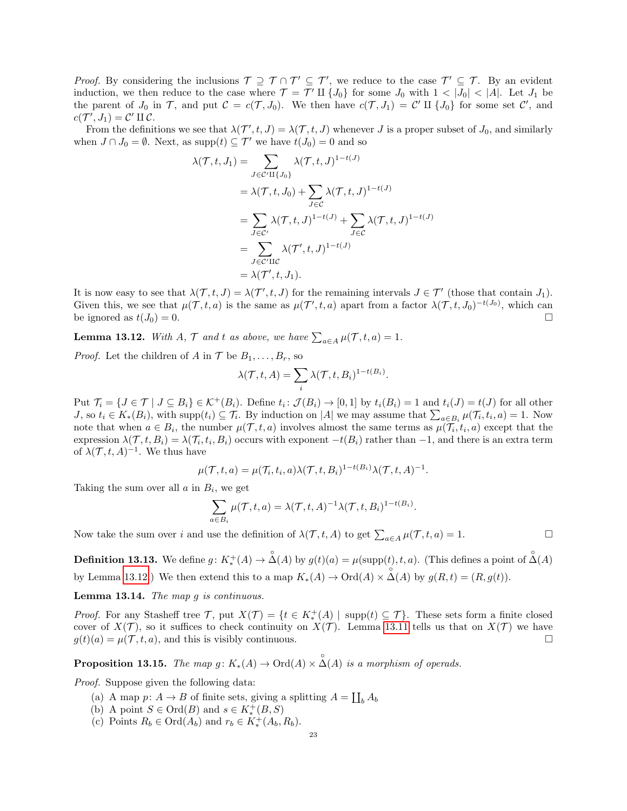*Proof.* By considering the inclusions  $\mathcal{T} \supseteq \mathcal{T} \cap \mathcal{T}' \subseteq \mathcal{T}'$ , we reduce to the case  $\mathcal{T}' \subseteq \mathcal{T}$ . By an evident induction, we then reduce to the case where  $\mathcal{T} = \mathcal{T}' \amalg \{J_0\}$  for some  $J_0$  with  $1 < |J_0| < |A|$ . Let  $J_1$  be the parent of  $J_0$  in  $\mathcal{T}$ , and put  $\mathcal{C} = c(\mathcal{T}, J_0)$ . We then have  $c(\mathcal{T}, J_1) = \mathcal{C}' \amalg \{J_0\}$  for some set  $\mathcal{C}'$ , and  $c(\mathcal{T}', J_1) = \mathcal{C}' \amalg \mathcal{C}.$ 

From the definitions we see that  $\lambda(\mathcal{T}', t, J) = \lambda(\mathcal{T}, t, J)$  whenever J is a proper subset of  $J_0$ , and similarly when  $J \cap J_0 = \emptyset$ . Next, as supp $(t) \subseteq \mathcal{T}'$  we have  $t(J_0) = 0$  and so

$$
\lambda(\mathcal{T}, t, J_1) = \sum_{J \in \mathcal{C}'} \lambda(\mathcal{T}, t, J)^{1-t(J)}
$$
  
\n
$$
= \lambda(\mathcal{T}, t, J_0) + \sum_{J \in \mathcal{C}} \lambda(\mathcal{T}, t, J)^{1-t(J)}
$$
  
\n
$$
= \sum_{J \in \mathcal{C}'} \lambda(\mathcal{T}, t, J)^{1-t(J)} + \sum_{J \in \mathcal{C}} \lambda(\mathcal{T}, t, J)^{1-t(J)}
$$
  
\n
$$
= \sum_{J \in \mathcal{C}'} \lambda(\mathcal{T}', t, J)^{1-t(J)}
$$
  
\n
$$
= \lambda(\mathcal{T}', t, J_1).
$$

It is now easy to see that  $\lambda(\mathcal{T}, t, J) = \lambda(\mathcal{T}', t, J)$  for the remaining intervals  $J \in \mathcal{T}'$  (those that contain  $J_1$ ). Given this, we see that  $\mu(\mathcal{T},t,a)$  is the same as  $\mu(\mathcal{T}',t,a)$  apart from a factor  $\lambda(\mathcal{T},t,J_0)^{-t(J_0)}$ , which can be ignored as  $t(J_0) = 0$ .

<span id="page-22-0"></span>**Lemma 13.12.** With A,  $\mathcal{T}$  and t as above, we have  $\sum_{a \in A} \mu(\mathcal{T}, t, a) = 1$ .

*Proof.* Let the children of A in  $\mathcal{T}$  be  $B_1, \ldots, B_r$ , so

$$
\lambda(\mathcal{T},t,A) = \sum_i \lambda(\mathcal{T},t,B_i)^{1-t(B_i)}
$$

.

Put  $\mathcal{T}_i = \{J \in \mathcal{T} \mid J \subseteq B_i\} \in \mathcal{K}^+(B_i)$ . Define  $t_i : \mathcal{J}(B_i) \to [0,1]$  by  $t_i(B_i) = 1$  and  $t_i(J) = t(J)$  for all other J, so  $t_i \in K_*(B_i)$ , with  $\text{supp}(t_i) \subseteq \mathcal{T}_i$ . By induction on |A| we may assume that  $\sum_{a \in B_i} \mu(\mathcal{T}_i, t_i, a) = 1$ . Now note that when  $a \in B_i$ , the number  $\mu(\mathcal{T}, t, a)$  involves almost the same terms as  $\mu(\mathcal{T}_i, t_i, a)$  except that the expression  $\lambda(\mathcal{T}, t, B_i) = \lambda(\mathcal{T}_i, t_i, B_i)$  occurs with exponent  $-t(B_i)$  rather than  $-1$ , and there is an extra term of  $\lambda(\mathcal{T}, t, A)^{-1}$ . We thus have

$$
\mu(\mathcal{T},t,a) = \mu(\mathcal{T}_i,t_i,a)\lambda(\mathcal{T},t,B_i)^{1-t(B_i)}\lambda(\mathcal{T},t,A)^{-1}.
$$

Taking the sum over all  $a$  in  $B_i$ , we get

$$
\sum_{a \in B_i} \mu(\mathcal{T}, t, a) = \lambda(\mathcal{T}, t, A)^{-1} \lambda(\mathcal{T}, t, B_i)^{1 - t(B_i)}.
$$

Now take the sum over *i* and use the definition of  $\lambda(\mathcal{T}, t, A)$  to get  $\sum_{a \in A} \mu(\mathcal{T}, t, a) = 1$ .

**Definition 13.13.** We define  $g: K^+_*(A) \to \overset{\circ}{\Delta}(A)$  by  $g(t)(a) = \mu(\text{supp}(t), t, a)$ . (This defines a point of  $\overset{\circ}{\Delta}(A)$ by Lemma [13.12.](#page-22-0)) We then extend this to a map  $K_*(A) \to \text{Ord}(A) \times \overset{\circ}{\Delta}(A)$  by  $g(R, t) = (R, g(t)).$ 

Lemma 13.14. The map g is continuous.

*Proof.* For any Stasheff tree  $\mathcal{T}$ , put  $X(\mathcal{T}) = \{t \in K^+_*(A) \mid \text{supp}(t) \subseteq \mathcal{T}\}\)$ . These sets form a finite closed cover of  $X(\mathcal{T})$ , so it suffices to check continuity on  $X(\mathcal{T})$ . Lemma [13.11](#page-21-0) tells us that on  $X(\mathcal{T})$  we have  $g(t)(a) = \mu(\mathcal{T}, t, a)$ , and this is visibly continuous.

**Proposition 13.15.** The map  $g: K_*(A) \to \text{Ord}(A) \times \overset{\circ}{\Delta}(A)$  is a morphism of operads.

Proof. Suppose given the following data:

- (a) A map  $p: A \to B$  of finite sets, giving a splitting  $A = \coprod_b A_b$
- (b) A point  $S \in \text{Ord}(B)$  and  $s \in K_*^+(B,S)$
- (c) Points  $R_b \in \text{Ord}(A_b)$  and  $r_b \in K_*^+(A_b, R_b)$ .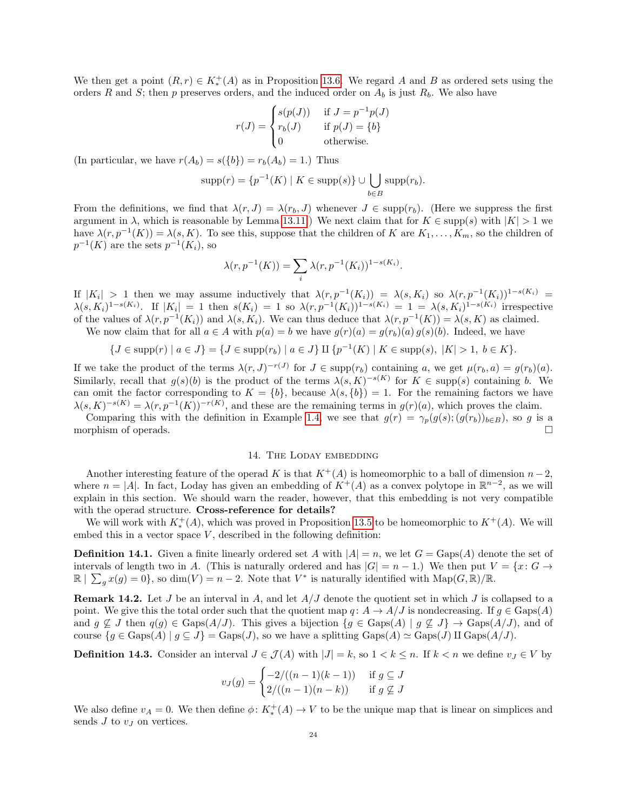We then get a point  $(R, r) \in K_*^+(A)$  as in Proposition [13.6.](#page-20-0) We regard A and B as ordered sets using the orders R and S; then p preserves orders, and the induced order on  $A_b$  is just  $R_b$ . We also have

$$
r(J) = \begin{cases} s(p(J)) & \text{if } J = p^{-1}p(J) \\ r_b(J) & \text{if } p(J) = \{b\} \\ 0 & \text{otherwise.} \end{cases}
$$

(In particular, we have  $r(A_b) = s({b}) = r_b(A_b) = 1$ .) Thus

$$
supp(r) = \{p^{-1}(K) \mid K \in supp(s)\} \cup \bigcup_{b \in B} supp(r_b).
$$

From the definitions, we find that  $\lambda(r, J) = \lambda(r_b, J)$  whenever  $J \in \text{supp}(r_b)$ . (Here we suppress the first argument in  $\lambda$ , which is reasonable by Lemma [13.11.](#page-21-0)) We next claim that for  $K \in \text{supp}(s)$  with  $|K| > 1$  we have  $\lambda(r, p^{-1}(K)) = \lambda(s, K)$ . To see this, suppose that the children of K are  $K_1, \ldots, K_m$ , so the children of  $p^{-1}(K)$  are the sets  $p^{-1}(K_i)$ , so

$$
\lambda(r, p^{-1}(K)) = \sum_{i} \lambda(r, p^{-1}(K_i))^{1 - s(K_i)}.
$$

If  $|K_i| > 1$  then we may assume inductively that  $\lambda(r, p^{-1}(K_i)) = \lambda(s, K_i)$  so  $\lambda(r, p^{-1}(K_i))^{1-s(K_i)} =$  $\lambda(s,K_i)^{1-s(K_i)}$ . If  $|K_i| = 1$  then  $s(K_i) = 1$  so  $\lambda(r,p^{-1}(K_i))^{1-s(K_i)} = 1 = \lambda(s,K_i)^{1-s(K_i)}$  irrespective of the values of  $\lambda(r, p^{-1}(K_i))$  and  $\lambda(s, K_i)$ . We can thus deduce that  $\lambda(r, p^{-1}(K)) = \lambda(s, K)$  as claimed.

We now claim that for all  $a \in A$  with  $p(a) = b$  we have  $g(r)(a) = g(r_b)(a) g(s)(b)$ . Indeed, we have

$$
\{J \in \text{supp}(r) \mid a \in J\} = \{J \in \text{supp}(r_b) \mid a \in J\} \amalg \{p^{-1}(K) \mid K \in \text{supp}(s), \ |K| > 1, \ b \in K\}.
$$

If we take the product of the terms  $\lambda(r, J)^{-r(J)}$  for  $J \in \text{supp}(r_b)$  containing a, we get  $\mu(r_b, a) = g(r_b)(a)$ . Similarly, recall that  $g(s)(b)$  is the product of the terms  $\lambda(s,K)^{-s(K)}$  for  $K \in \text{supp}(s)$  containing b. We can omit the factor corresponding to  $K = \{b\}$ , because  $\lambda(s, \{b\}) = 1$ . For the remaining factors we have  $\lambda(s, K)^{-s(K)} = \lambda(r, p^{-1}(K))^{-r(K)}$ , and these are the remaining terms in  $g(r)(a)$ , which proves the claim.

Comparing this with the definition in Example [1.4,](#page-1-1) we see that  $g(r) = \gamma_p(g(s); (g(r_b))_{b \in B})$ , so g is a morphism of operads.

# 14. THE LODAY EMBEDDING

<span id="page-23-0"></span>Another interesting feature of the operad K is that  $K^+(A)$  is homeomorphic to a ball of dimension  $n-2$ , where  $n = |A|$ . In fact, Loday has given an embedding of  $K^+(A)$  as a convex polytope in  $\mathbb{R}^{n-2}$ , as we will explain in this section. We should warn the reader, however, that this embedding is not very compatible with the operad structure. Cross-reference for details?

We will work with  $K^+_*(A)$ , which was proved in Proposition [13.5](#page-20-1) to be homeomorphic to  $K^+(A)$ . We will embed this in a vector space  $V$ , described in the following definition:

**Definition 14.1.** Given a finite linearly ordered set A with  $|A| = n$ , we let  $G = \text{Gaps}(A)$  denote the set of intervals of length two in A. (This is naturally ordered and has  $|G| = n - 1$ .) We then put  $V = \{x: G \rightarrow$  $\mathbb{R} \mid \sum_{g} x(g) = 0$ , so dim(V) = n - 2. Note that  $V^*$  is naturally identified with  $\text{Map}(G, \mathbb{R})/\mathbb{R}$ .

**Remark 14.2.** Let  $J$  be an interval in  $A$ , and let  $A/J$  denote the quotient set in which  $J$  is collapsed to a point. We give this the total order such that the quotient map  $q: A \to A/J$  is nondecreasing. If  $q \in \text{Gaps}(A)$ and  $g \nsubseteq J$  then  $q(g) \in \text{Gaps}(A/J)$ . This gives a bijection  $\{g \in \text{Gaps}(A) \mid g \nsubseteq J\} \to \text{Gaps}(A/J)$ , and of course  $\{g \in \text{Gaps}(A) \mid g \subseteq J\} = \text{Gaps}(J)$ , so we have a splitting  $\text{Gaps}(A) \simeq \text{Gaps}(J)$  II  $\text{Gaps}(A/J)$ .

**Definition 14.3.** Consider an interval  $J \in \mathcal{J}(A)$  with  $|J| = k$ , so  $1 < k \le n$ . If  $k < n$  we define  $v_J \in V$  by

$$
v_J(g) = \begin{cases} -2/((n-1)(k-1)) & \text{if } g \subseteq J \\ 2/((n-1)(n-k)) & \text{if } g \nsubseteq J \end{cases}
$$

We also define  $v_A = 0$ . We then define  $\phi: K^+_*(A) \to V$  to be the unique map that is linear on simplices and sends  $J$  to  $v<sub>J</sub>$  on vertices.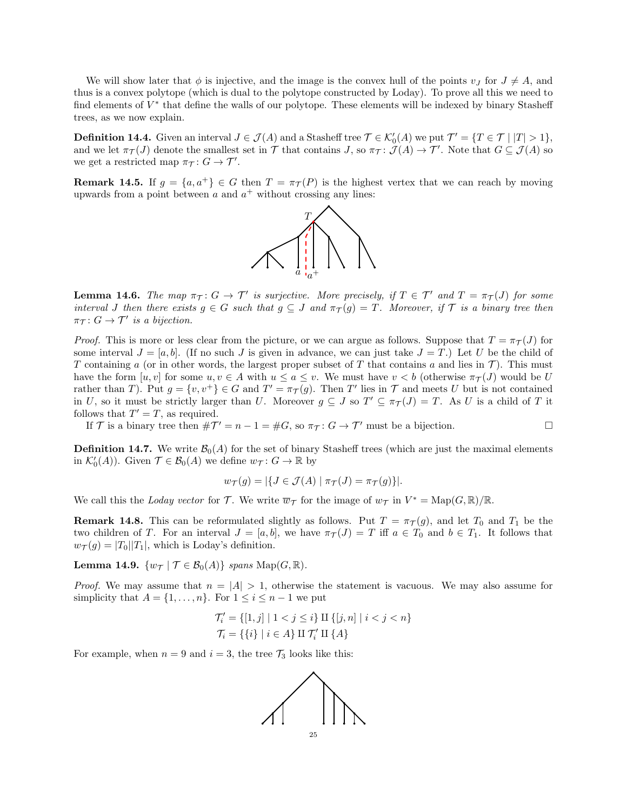We will show later that  $\phi$  is injective, and the image is the convex hull of the points  $v_I$  for  $J \neq A$ , and thus is a convex polytope (which is dual to the polytope constructed by Loday). To prove all this we need to find elements of  $V^*$  that define the walls of our polytope. These elements will be indexed by binary Stasheff trees, as we now explain.

**Definition 14.4.** Given an interval  $J \in \mathcal{J}(A)$  and a Stasheff tree  $\mathcal{T} \in \mathcal{K}'_0(A)$  we put  $\mathcal{T}' = \{T \in \mathcal{T} \mid |T| > 1\}$ , and we let  $\pi_{\mathcal{T}}(J)$  denote the smallest set in  $\mathcal{T}$  that contains  $J$ , so  $\pi_{\mathcal{T}}: \mathcal{J}(A) \to \mathcal{T}'$ . Note that  $G \subseteq \mathcal{J}(A)$  so we get a restricted map  $\pi_{\mathcal{T}}: G \to \mathcal{T}'$ .

**Remark 14.5.** If  $g = \{a, a^+\}\in G$  then  $T = \pi_{\mathcal{T}}(P)$  is the highest vertex that we can reach by moving upwards from a point between  $a$  and  $a^+$  without crossing any lines:



<span id="page-24-0"></span>**Lemma 14.6.** The map  $\pi_T: G \to T'$  is surjective. More precisely, if  $T \in T'$  and  $T = \pi_T(J)$  for some interval J then there exists  $g \in G$  such that  $g \subseteq J$  and  $\pi_{\mathcal{T}}(g) = T$ . Moreover, if  $\mathcal{T}$  is a binary tree then  $\pi_{\mathcal{T}}: G \to \mathcal{T}'$  is a bijection.

*Proof.* This is more or less clear from the picture, or we can argue as follows. Suppose that  $T = \pi_{\mathcal{T}}(J)$  for some interval  $J = [a, b]$ . (If no such J is given in advance, we can just take  $J = T$ .) Let U be the child of T containing a (or in other words, the largest proper subset of T that contains a and lies in  $\mathcal{T}$ ). This must have the form  $[u, v]$  for some  $u, v \in A$  with  $u \le a \le v$ . We must have  $v < b$  (otherwise  $\pi_{\mathcal{T}}(J)$  would be U rather than T). Put  $g = \{v, v^+\} \in G$  and  $T' = \pi_{\mathcal{T}}(g)$ . Then T' lies in T and meets U but is not contained in U, so it must be strictly larger than U. Moreover  $g \subseteq J$  so  $T' \subseteq \pi_{\mathcal{T}}(J) = T$ . As U is a child of T it follows that  $T' = T$ , as required.

If T is a binary tree then  $\#\mathcal{T}' = n - 1 = \#G$ , so  $\pi_{\mathcal{T}} : G \to \mathcal{T}'$  must be a bijection.

**Definition 14.7.** We write  $\mathcal{B}_0(A)$  for the set of binary Stasheff trees (which are just the maximal elements in  $\mathcal{K}'_0(A)$ ). Given  $\mathcal{T} \in \mathcal{B}_0(A)$  we define  $w_{\mathcal{T}}: G \to \mathbb{R}$  by

$$
w_{\mathcal{T}}(g) = |\{ J \in \mathcal{J}(A) \mid \pi_{\mathcal{T}}(J) = \pi_{\mathcal{T}}(g) \}|.
$$

We call this the Loday vector for T. We write  $\overline{w}_{\mathcal{T}}$  for the image of  $w_{\mathcal{T}}$  in  $V^* = \text{Map}(G, \mathbb{R})/\mathbb{R}$ .

**Remark 14.8.** This can be reformulated slightly as follows. Put  $T = \pi_T(g)$ , and let  $T_0$  and  $T_1$  be the two children of T. For an interval  $J = [a, b]$ , we have  $\pi_{\mathcal{T}}(J) = T$  iff  $a \in T_0$  and  $b \in T_1$ . It follows that  $w_{\mathcal{T}}(g) = |T_0||T_1|$ , which is Loday's definition.

**Lemma 14.9.**  $\{w_{\mathcal{T}} | \mathcal{T} \in \mathcal{B}_0(A)\}\$  spans  $\text{Map}(G,\mathbb{R})$ .

*Proof.* We may assume that  $n = |A| > 1$ , otherwise the statement is vacuous. We may also assume for simplicity that  $A = \{1, \ldots, n\}$ . For  $1 \leq i \leq n-1$  we put

$$
\mathcal{T}'_i = \{ [1, j] \mid 1 < j \leq i \} \amalg \{ [j, n] \mid i < j < n \}
$$
\n
$$
\mathcal{T}_i = \{ \{i\} \mid i \in A \} \amalg \mathcal{T}'_i \amalg \{A\}
$$

For example, when  $n = 9$  and  $i = 3$ , the tree  $\mathcal{T}_3$  looks like this:

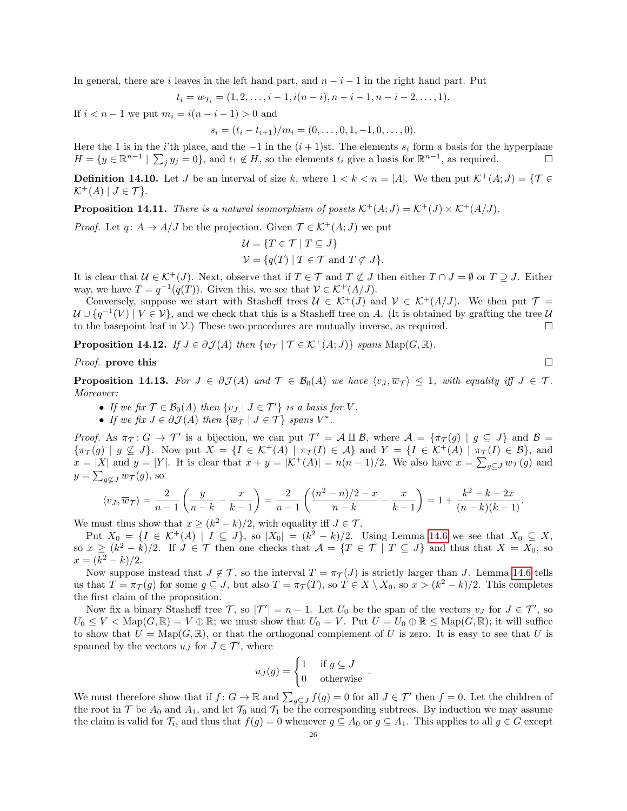In general, there are i leaves in the left hand part, and  $n-i-1$  in the right hand part. Put

$$
t_i = w_{\mathcal{T}_i} = (1, 2, \dots, i-1, i(n-i), n-i-1, n-i-2, \dots, 1).
$$

If  $i < n - 1$  we put  $m_i = i(n - i - 1) > 0$  and

 $s_i = (t_i - t_{i+1})/m_i = (0, \ldots, 0, 1, -1, 0, \ldots, 0).$ 

Here the 1 is in the i'th place, and the  $-1$  in the  $(i + 1)$ st. The elements  $s_i$  form a basis for the hyperplane  $H = \{y \in \mathbb{R}^{n-1} \mid \sum_j y_j = 0\}$ , and  $t_1 \notin H$ , so the elements  $t_i$  give a basis for  $\mathbb{R}^{n-1}$ , as required.

**Definition 14.10.** Let J be an interval of size k, where  $1 < k < n = |A|$ . We then put  $\mathcal{K}^+(A; J) = \{ \mathcal{T} \in \mathcal{K} \mid \mathcal{K} \in \mathcal{K} \mid \mathcal{K} \neq \emptyset \}$  $\mathcal{K}^+(A) \mid J \in \mathcal{T}$ .

**Proposition 14.11.** There is a natural isomorphism of posets  $\mathcal{K}^+(A; J) = \mathcal{K}^+(J) \times \mathcal{K}^+(A/J)$ .

*Proof.* Let  $q: A \to A/J$  be the projection. Given  $\mathcal{T} \in \mathcal{K}^+(A; J)$  we put

$$
\mathcal{U} = \{ T \in \mathcal{T} \mid T \subseteq J \}
$$
  

$$
\mathcal{V} = \{ q(T) \mid T \in \mathcal{T} \text{ and } T \nsubseteq J \}.
$$

It is clear that  $U \in \mathcal{K}^+(J)$ . Next, observe that if  $T \in \mathcal{T}$  and  $T \not\subset J$  then either  $T \cap J = \emptyset$  or  $T \supseteq J$ . Either way, we have  $T = q^{-1}(q(T))$ . Given this, we see that  $V \in \mathcal{K}^+(A/J)$ .

Conversely, suppose we start with Stasheff trees  $U \in \mathcal{K}^+(J)$  and  $\mathcal{V} \in \mathcal{K}^+(A/J)$ . We then put  $\mathcal{T} =$  $U \cup \{q^{-1}(V) \mid V \in \mathcal{V}\}\,$  and we check that this is a Stasheff tree on A. (It is obtained by grafting the tree U to the basepoint leaf in  $V$ .) These two procedures are mutually inverse, as required.

**Proposition 14.12.** If  $J \in \partial \mathcal{J}(A)$  then  $\{w_{\mathcal{T}} | \mathcal{T} \in \mathcal{K}^+(A;J)\}\$  spans  $\text{Map}(G,\mathbb{R})$ .

# *Proof.* prove this  $\square$

**Proposition 14.13.** For  $J \in \partial \mathcal{J}(A)$  and  $\mathcal{T} \in \mathcal{B}_0(A)$  we have  $\langle v_J, \overline{w}_{\mathcal{T}} \rangle \leq 1$ , with equality iff  $J \in \mathcal{T}$ . Moreover:

- If we fix  $\mathcal{T} \in \mathcal{B}_0(A)$  then  $\{v_J \mid J \in \mathcal{T}'\}$  is a basis for V.
- If we fix  $J \in \partial \mathcal{J}(A)$  then  $\{\overline{w}_{\mathcal{T}} \mid J \in \mathcal{T}\}\$  spans  $V^*$ .

Proof. As  $\pi_{\mathcal{T}}: G \to \mathcal{T}'$  is a bijection, we can put  $\mathcal{T}' = \mathcal{A} \amalg \mathcal{B}$ , where  $\mathcal{A} = {\pi_{\mathcal{T}}(g) | g \subseteq J}$  and  $\mathcal{B} =$  ${\lbrace \pi_{\mathcal{T}}(g) \mid g \nsubseteq J \rbrace}$ . Now put  $X = {\lbrace I \in \mathcal{K}^{+}(A) \mid \pi_{\mathcal{T}}(I) \in \mathcal{A} \rbrace}$  and  $Y = {\lbrace I \in \mathcal{K}^{+}(A) \mid \pi_{\mathcal{T}}(I) \in \mathcal{B} \rbrace}$ , and  $x = |X|$  and  $y = |Y|$ . It is clear that  $x + y = |\mathcal{K}^+(A)| = n(n-1)/2$ . We also have  $x = \sum_{g \subseteq J} w_{\mathcal{T}}(g)$  and  $y = \sum_{g \not\subseteq J} w_{\mathcal{T}}(g)$ , so

$$
\langle v_J, \overline{w}_{\mathcal{T}} \rangle = \frac{2}{n-1} \left( \frac{y}{n-k} - \frac{x}{k-1} \right) = \frac{2}{n-1} \left( \frac{(n^2 - n)/2 - x}{n-k} - \frac{x}{k-1} \right) = 1 + \frac{k^2 - k - 2x}{(n-k)(k-1)}.
$$

We must thus show that  $x \ge (k^2 - k)/2$ , with equality iff  $J \in \mathcal{T}$ .

Put  $X_0 = \{I \in \mathcal{K}^+(A) \mid I \subseteq J\}$ , so  $|X_0| = (k^2 - k)/2$ . Using Lemma [14.6](#page-24-0) we see that  $X_0 \subseteq X$ , so  $x \geq (k^2 - k)/2$ . If  $J \in \mathcal{T}$  then one checks that  $\mathcal{A} = \{T \in \mathcal{T} \mid T \subseteq J\}$  and thus that  $X = X_0$ , so  $x = (k^2 - k)/2.$ 

Now suppose instead that  $J \notin \mathcal{T}$ , so the interval  $T = \pi_{\mathcal{T}}(J)$  is strictly larger than J. Lemma [14.6](#page-24-0) tells us that  $T = \pi_{\mathcal{T}}(g)$  for some  $g \subseteq J$ , but also  $T = \pi_{\mathcal{T}}(T)$ , so  $T \in X \setminus X_0$ , so  $x > (k^2 - k)/2$ . This completes the first claim of the proposition.

Now fix a binary Stasheff tree  $\mathcal{T}$ , so  $|\mathcal{T}'| = n - 1$ . Let  $U_0$  be the span of the vectors  $v_J$  for  $J \in \mathcal{T}'$ , so  $U_0 \leq V < \text{Map}(G, \mathbb{R}) = V \oplus \mathbb{R}$ ; we must show that  $U_0 = V$ . Put  $U = U_0 \oplus \mathbb{R} \leq \text{Map}(G, \mathbb{R})$ ; it will suffice to show that  $U = \text{Map}(G, \mathbb{R})$ , or that the orthogonal complement of U is zero. It is easy to see that U is spanned by the vectors  $u_J$  for  $J \in \mathcal{T}'$ , where

$$
u_J(g) = \begin{cases} 1 & \text{if } g \subseteq J \\ 0 & \text{otherwise} \end{cases}
$$

.

We must therefore show that if  $f: G \to \mathbb{R}$  and  $\sum_{g \subseteq J} f(g) = 0$  for all  $J \in \mathcal{T}'$  then  $f = 0$ . Let the children of the root in  $\mathcal T$  be  $A_0$  and  $A_1$ , and let  $\mathcal T_0$  and  $\mathcal T_1$  be the corresponding subtrees. By induction we may assume the claim is valid for  $\mathcal{T}_i$ , and thus that  $f(g) = 0$  whenever  $g \subseteq A_0$  or  $g \subseteq A_1$ . This applies to all  $g \in G$  except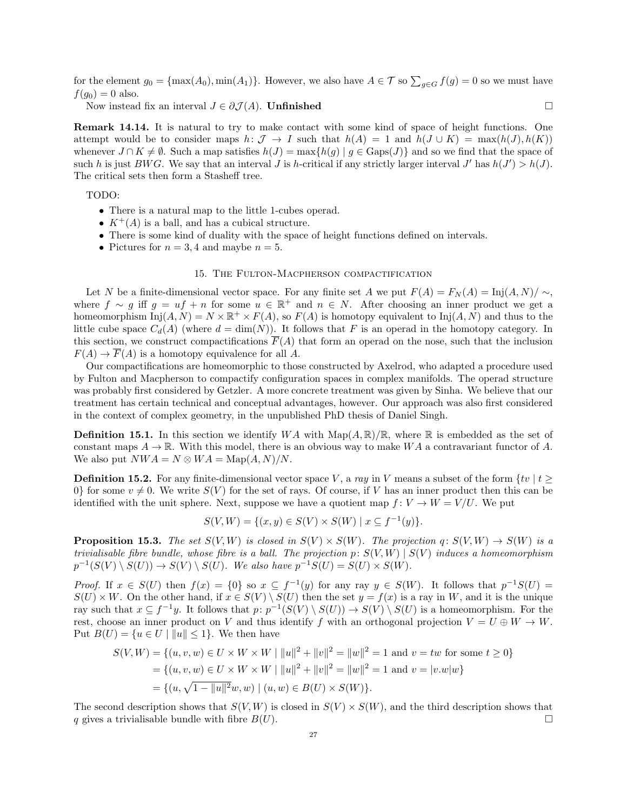for the element  $g_0 = \{\max(A_0), \min(A_1)\}\.$  However, we also have  $A \in \mathcal{T}$  so  $\sum_{g \in G} f(g) = 0$  so we must have  $f(g_0) = 0$  also.

Now instead fix an interval  $J \in \partial \mathcal{J}(A)$ . Unfinished  $\square$ 

Remark 14.14. It is natural to try to make contact with some kind of space of height functions. One attempt would be to consider maps  $h: \mathcal{J} \to I$  such that  $h(A) = 1$  and  $h(J \cup K) = \max(h(J), h(K))$ whenever  $J \cap K \neq \emptyset$ . Such a map satisfies  $h(J) = \max\{h(g) | g \in \text{Gaps}(J)\}\$ and so we find that the space of such h is just BWG. We say that an interval J is h-critical if any strictly larger interval  $J'$  has  $h(J') > h(J)$ . The critical sets then form a Stasheff tree.

TODO:

- There is a natural map to the little 1-cubes operad.
- $K^+(A)$  is a ball, and has a cubical structure.
- There is some kind of duality with the space of height functions defined on intervals.
- Pictures for  $n = 3, 4$  and maybe  $n = 5$ .

## 15. The Fulton-Macpherson compactification

Let N be a finite-dimensional vector space. For any finite set A we put  $F(A) = F<sub>N</sub>(A) = \text{Inj}(A, N)/ \sim$ , where  $f \sim g$  iff  $g = uf + n$  for some  $u \in \mathbb{R}^+$  and  $n \in N$ . After choosing an inner product we get a homeomorphism  $Inj(A, N) = N \times \mathbb{R}^+ \times F(A)$ , so  $F(A)$  is homotopy equivalent to  $Inj(A, N)$  and thus to the little cube space  $C_d(A)$  (where  $d = \dim(N)$ ). It follows that F is an operad in the homotopy category. In this section, we construct compactifications  $\overline{F}(A)$  that form an operad on the nose, such that the inclusion  $F(A) \to \overline{F}(A)$  is a homotopy equivalence for all A.

Our compactifications are homeomorphic to those constructed by Axelrod, who adapted a procedure used by Fulton and Macpherson to compactify configuration spaces in complex manifolds. The operad structure was probably first considered by Getzler. A more concrete treatment was given by Sinha. We believe that our treatment has certain technical and conceptual advantages, however. Our approach was also first considered in the context of complex geometry, in the unpublished PhD thesis of Daniel Singh.

**Definition 15.1.** In this section we identify  $WA$  with  $\text{Map}(A, \mathbb{R})/\mathbb{R}$ , where  $\mathbb{R}$  is embedded as the set of constant maps  $A \to \mathbb{R}$ . With this model, there is an obvious way to make WA a contravariant functor of A. We also put  $NWA = N \otimes WA = \text{Map}(A, N)/N$ .

**Definition 15.2.** For any finite-dimensional vector space V, a ray in V means a subset of the form  $\{tv \mid t \geq 0\}$ 0} for some  $v \neq 0$ . We write  $S(V)$  for the set of rays. Of course, if V has an inner product then this can be identified with the unit sphere. Next, suppose we have a quotient map  $f: V \to W = V/U$ . We put

$$
S(V, W) = \{(x, y) \in S(V) \times S(W) \mid x \subseteq f^{-1}(y)\}.
$$

**Proposition 15.3.** The set  $S(V, W)$  is closed in  $S(V) \times S(W)$ . The projection q:  $S(V, W) \rightarrow S(W)$  is a trivialisable fibre bundle, whose fibre is a ball. The projection  $p: S(V, W) | S(V)$  induces a homeomorphism  $p^{-1}(S(V) \setminus S(U)) \to S(V) \setminus S(U)$ . We also have  $p^{-1}S(U) = S(U) \times S(W)$ .

*Proof.* If  $x \in S(U)$  then  $f(x) = \{0\}$  so  $x \subseteq f^{-1}(y)$  for any ray  $y \in S(W)$ . It follows that  $p^{-1}S(U)$  $S(U) \times W$ . On the other hand, if  $x \in S(V) \setminus S(U)$  then the set  $y = f(x)$  is a ray in W, and it is the unique ray such that  $x \subseteq f^{-1}y$ . It follows that  $p: p^{-1}(S(V) \setminus S(U)) \to S(V) \setminus S(U)$  is a homeomorphism. For the rest, choose an inner product on V and thus identify f with an orthogonal projection  $V = U \oplus W \rightarrow W$ . Put  $B(U) = \{u \in U \mid ||u|| \leq 1\}$ . We then have

$$
S(V, W) = \{(u, v, w) \in U \times W \times W \mid ||u||^2 + ||v||^2 = ||w||^2 = 1 \text{ and } v = tw \text{ for some } t \ge 0\}
$$
  
=  $\{(u, v, w) \in U \times W \times W \mid ||u||^2 + ||v||^2 = ||w||^2 = 1 \text{ and } v = |v.w|w\}$   
=  $\{(u, \sqrt{1 - ||u||^2}w, w) \mid (u, w) \in B(U) \times S(W)\}.$ 

The second description shows that  $S(V, W)$  is closed in  $S(V) \times S(W)$ , and the third description shows that q gives a trivialisable bundle with fibre  $B(U)$ .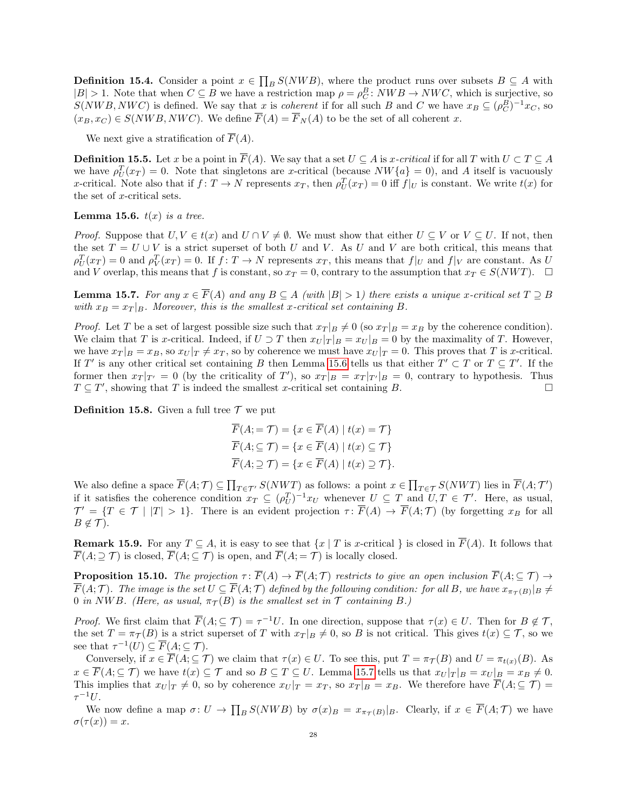**Definition 15.4.** Consider a point  $x \in \prod_B S(NWB)$ , where the product runs over subsets  $B \subseteq A$  with  $|B| > 1$ . Note that when  $C \subseteq B$  we have a restriction map  $\rho = \rho_C^B$ :  $NWB \to NWC$ , which is surjective, so  $S(NWB, NWC)$  is defined. We say that x is coherent if for all such B and C we have  $x_B \subseteq (\rho_C^B)^{-1}x_C$ , so  $(x_B, x_C) \in S(NWB, NWC)$ . We define  $\overline{F}(A) = \overline{F}_N(A)$  to be the set of all coherent x.

We next give a stratification of  $\overline{F}(A)$ .

**Definition 15.5.** Let x be a point in  $\overline{F}(A)$ . We say that a set  $U \subseteq A$  is x-critical if for all T with  $U \subset T \subseteq A$ we have  $\rho_U^T(x_T) = 0$ . Note that singletons are x-critical (because  $NW\{a\} = 0$ ), and A itself is vacuously x-critical. Note also that if  $f: T \to N$  represents  $x_T$ , then  $\rho_U^T(x_T) = 0$  iff  $f|_U$  is constant. We write  $t(x)$  for the set of x-critical sets.

<span id="page-27-0"></span>**Lemma 15.6.**  $t(x)$  is a tree.

*Proof.* Suppose that  $U, V \in t(x)$  and  $U \cap V \neq \emptyset$ . We must show that either  $U \subseteq V$  or  $V \subseteq U$ . If not, then the set  $T = U \cup V$  is a strict superset of both U and V. As U and V are both critical, this means that  $\rho_U^T(x_T) = 0$  and  $\rho_V^T(x_T) = 0$ . If  $f: T \to N$  represents  $x_T$ , this means that  $f|_U$  and  $f|_V$  are constant. As U and V overlap, this means that f is constant, so  $x_T = 0$ , contrary to the assumption that  $x_T \in S(NWT)$ .  $\Box$ 

<span id="page-27-1"></span>**Lemma 15.7.** For any  $x \in \overline{F}(A)$  and any  $B \subseteq A$  (with  $|B| > 1$ ) there exists a unique x-critical set  $T \supseteq B$ with  $x_B = x_T |_B$ . Moreover, this is the smallest x-critical set containing B.

*Proof.* Let T be a set of largest possible size such that  $x_T | B \neq 0$  (so  $x_T | B = x_B$  by the coherence condition). We claim that T is x-critical. Indeed, if  $U \supset T$  then  $x_U |_{T|B} = x_U |_{B} = 0$  by the maximality of T. However, we have  $x_T |_{B} = x_B$ , so  $x_U |_{T} \neq x_T$ , so by coherence we must have  $x_U |_{T} = 0$ . This proves that T is x-critical. If T' is any other critical set containing B then Lemma [15.6](#page-27-0) tells us that either  $T' \subset T$  or  $T \subseteq T'$ . If the former then  $x_T |_{T'} = 0$  (by the criticality of T'), so  $x_T |_{B} = x_T |_{T'} |_{B} = 0$ , contrary to hypothesis. Thus  $T \subseteq T'$ , showing that T is indeed the smallest x-critical set containing B.

**Definition 15.8.** Given a full tree  $\mathcal T$  we put

$$
\overline{F}(A; = \mathcal{T}) = \{x \in \overline{F}(A) \mid t(x) = \mathcal{T}\}
$$
\n
$$
\overline{F}(A; \subseteq \mathcal{T}) = \{x \in \overline{F}(A) \mid t(x) \subseteq \mathcal{T}\}
$$
\n
$$
\overline{F}(A; \supseteq \mathcal{T}) = \{x \in \overline{F}(A) \mid t(x) \supseteq \mathcal{T}\}.
$$

We also define a space  $\overline{F}(A; \mathcal{T}) \subseteq \prod_{T \in \mathcal{T}'} S(NWT)$  as follows: a point  $x \in \prod_{T \in \mathcal{T}} S(NWT)$  lies in  $\overline{F}(A; \mathcal{T}')$ if it satisfies the coherence condition  $x_T \subseteq (\rho_U^T)^{-1}x_U$  whenever  $U \subseteq T$  and  $U, T \in \mathcal{T}'$ . Here, as usual,  $\mathcal{T}' = \{T \in \mathcal{T} \mid |T| > 1\}.$  There is an evident projection  $\tau: \overline{F}(A) \to \overline{F}(A; \mathcal{T})$  (by forgetting  $x_B$  for all  $B \notin \mathcal{T}$ ).

**Remark 15.9.** For any  $T \subseteq A$ , it is easy to see that  $\{x \mid T \text{ is } x\text{-critical }\}$  is closed in  $\overline{F}(A)$ . It follows that  $\overline{F}(A; \supseteq \mathcal{T})$  is closed,  $\overline{F}(A; \subseteq \mathcal{T})$  is open, and  $\overline{F}(A; = \mathcal{T})$  is locally closed.

**Proposition 15.10.** The projection  $\tau : \overline{F}(A) \to \overline{F}(A; \mathcal{T})$  restricts to give an open inclusion  $\overline{F}(A; \subseteq \mathcal{T}) \to$  $\overline{F}(A;\mathcal{T})$ . The image is the set  $U\subseteq \overline{F}(A;\mathcal{T})$  defined by the following condition: for all B, we have  $x_{\pi_{\mathcal{T}}(B)}|_B\neq 0$ 0 in NWB. (Here, as usual,  $\pi_{\mathcal{T}}(B)$  is the smallest set in  $\mathcal T$  containing B.)

*Proof.* We first claim that  $\overline{F}(A; \subseteq \mathcal{T}) = \tau^{-1}U$ . In one direction, suppose that  $\tau(x) \in U$ . Then for  $B \notin \mathcal{T}$ , the set  $T = \pi_{\mathcal{T}}(B)$  is a strict superset of T with  $x_T |_{B} \neq 0$ , so B is not critical. This gives  $t(x) \subseteq \mathcal{T}$ , so we see that  $\tau^{-1}(U) \subseteq \overline{F}(A; \subseteq \mathcal{T})$ .

Conversely, if  $x \in \overline{F}(A; \subseteq \mathcal{T})$  we claim that  $\tau(x) \in U$ . To see this, put  $T = \pi_{\mathcal{T}}(B)$  and  $U = \pi_{t(x)}(B)$ . As  $x \in \overline{F}(A; \subseteq \mathcal{T})$  we have  $t(x) \subseteq \mathcal{T}$  and so  $B \subseteq T \subseteq U$ . Lemma [15.7](#page-27-1) tells us that  $x_U |_{T|B} = x_U |_{B} = x_B \neq 0$ . This implies that  $x_U |_T \neq 0$ , so by coherence  $x_U |_T = x_T$ , so  $x_T |_B = x_B$ . We therefore have  $\overline{F}(A; \subseteq \mathcal{T}) =$  $\tau^{-1}U.$ 

We now define a map  $\sigma: U \to \prod_B S(NWB)$  by  $\sigma(x)_B = x_{\pi_{\mathcal{T}}(B)}|_B$ . Clearly, if  $x \in \overline{F}(A; \mathcal{T})$  we have  $\sigma(\tau(x)) = x.$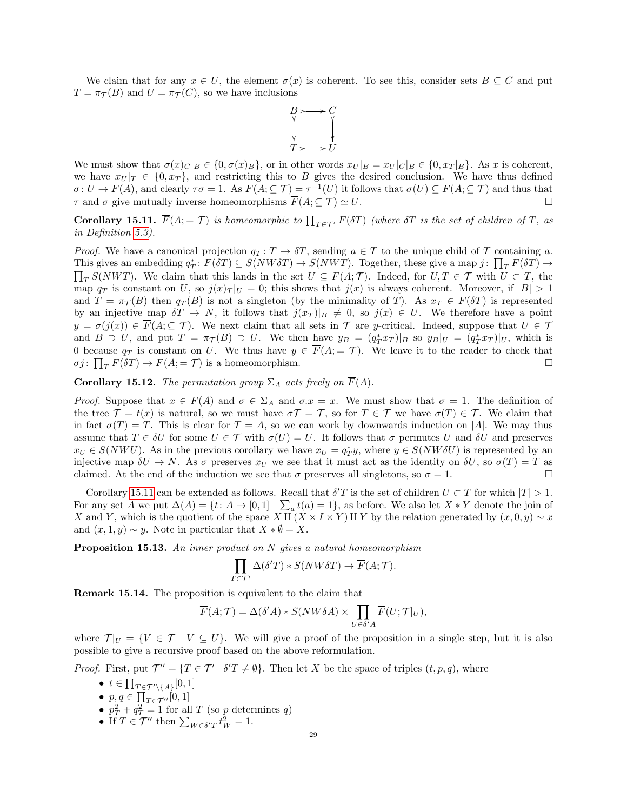We claim that for any  $x \in U$ , the element  $\sigma(x)$  is coherent. To see this, consider sets  $B \subseteq C$  and put  $T = \pi_{\mathcal{T}}(B)$  and  $U = \pi_{\mathcal{T}}(C)$ , so we have inclusions



We must show that  $\sigma(x)_C|_B \in \{0, \sigma(x)_B\}$ , or in other words  $x_U|_B = x_U|_C|_B \in \{0, x_T|_B\}$ . As x is coherent, we have  $x_U |_{T} \in \{0, x_T\}$ , and restricting this to B gives the desired conclusion. We have thus defined  $\sigma: U \to \overline{F}(A)$ , and clearly  $\tau\sigma = 1$ . As  $\overline{F}(A; \subseteq \mathcal{T}) = \tau^{-1}(U)$  it follows that  $\sigma(U) \subseteq \overline{F}(A; \subseteq \mathcal{T})$  and thus that  $\tau$  and  $\sigma$  give mutually inverse homeomorphisms  $\overline{F}(A; \subseteq \mathcal{T}) \simeq U$ .

<span id="page-28-0"></span>**Corollary 15.11.**  $\overline{F}(A; = \mathcal{T})$  is homeomorphic to  $\prod_{T \in \mathcal{T}'} F(\delta T)$  (where  $\delta T$  is the set of children of T, as in Definition [5.3\)](#page-5-0).

*Proof.* We have a canonical projection  $q_T : T \to \delta T$ , sending  $a \in T$  to the unique child of T containing a. This gives an embedding  $q_T^*: F(\delta T) \subseteq S(NW \delta T) \to S(NWT)$ . Together, these give a map  $j: \prod_T F(\delta T) \to S(NWT)$  $\prod_{T} S(NWT)$ . We claim that this lands in the set  $U \subseteq \overline{F}(A; \mathcal{T})$ . Indeed, for  $U, T \in \mathcal{T}$  with  $U \subset T$ , the map  $q_T$  is constant on U, so  $j(x)_T |_{U} = 0$ ; this shows that  $j(x)$  is always coherent. Moreover, if  $|B| > 1$ and  $T = \pi_{\mathcal{T}}(B)$  then  $q_T(B)$  is not a singleton (by the minimality of T). As  $x_T \in F(\delta T)$  is represented by an injective map  $\delta T \to N$ , it follows that  $j(x_T)|_B \neq 0$ , so  $j(x) \in U$ . We therefore have a point  $y = \sigma(j(x)) \in \overline{F}(A; \subseteq \mathcal{T})$ . We next claim that all sets in  $\mathcal{T}$  are y-critical. Indeed, suppose that  $U \in \mathcal{T}$ and  $B \supset U$ , and put  $T = \pi_{\mathcal{T}}(B) \supset U$ . We then have  $y_B = (q_T^* x_T)|_B$  so  $y_B|_U = (q_T^* x_T)|_U$ , which is 0 because  $q_T$  is constant on U. We thus have  $y \in \overline{F}(A; = \mathcal{T})$ . We leave it to the reader to check that  $\sigma j: \prod_T F(\delta T) \to \overline{F}(A; = \mathcal{T})$  is a homeomorphism.

Corollary 15.12. The permutation group  $\Sigma_A$  acts freely on  $\overline{F}(A)$ .

*Proof.* Suppose that  $x \in \overline{F}(A)$  and  $\sigma \in \Sigma_A$  and  $\sigma \in \mathcal{X}$ . We must show that  $\sigma = 1$ . The definition of the tree  $\mathcal{T} = t(x)$  is natural, so we must have  $\sigma \mathcal{T} = \mathcal{T}$ , so for  $T \in \mathcal{T}$  we have  $\sigma(T) \in \mathcal{T}$ . We claim that in fact  $\sigma(T) = T$ . This is clear for  $T = A$ , so we can work by downwards induction on |A|. We may thus assume that  $T \in \delta U$  for some  $U \in \mathcal{T}$  with  $\sigma(U) = U$ . It follows that  $\sigma$  permutes U and  $\delta U$  and preserves  $x_U \in S(NWU)$ . As in the previous corollary we have  $x_U = q_T^*y$ , where  $y \in S(NW\delta U)$  is represented by an injective map  $\delta U \to N$ . As  $\sigma$  preserves  $x_U$  we see that it must act as the identity on  $\delta U$ , so  $\sigma(T) = T$  as claimed. At the end of the induction we see that  $\sigma$  preserves all singletons, so  $\sigma = 1$ .

Corollary [15.11](#page-28-0) can be extended as follows. Recall that  $\delta' T$  is the set of children  $U \subset T$  for which  $|T| > 1$ . For any set A we put  $\Delta(A) = \{t: A \to [0,1] \mid \sum_a t(a) = 1\}$ , as before. We also let  $X * Y$  denote the join of X and Y, which is the quotient of the space X  $\mathbb{H} (X \times I \times Y) \mathbb{H} Y$  by the relation generated by  $(x, 0, y) \sim x$ and  $(x, 1, y) \sim y$ . Note in particular that  $X * \emptyset = X$ .

<span id="page-28-1"></span>**Proposition 15.13.** An inner product on N gives a natural homeomorphism

$$
\prod_{T \in \mathcal{T}'} \Delta(\delta' T) * S(NW \delta T) \to \overline{F}(A; \mathcal{T}).
$$

Remark 15.14. The proposition is equivalent to the claim that

$$
\overline{F}(A;\mathcal{T}) = \Delta(\delta'A) * S(NW\delta A) \times \prod_{U \in \delta'A} \overline{F}(U;\mathcal{T}|_U),
$$

where  $\mathcal{T}|_U = \{V \in \mathcal{T} \mid V \subseteq U\}$ . We will give a proof of the proposition in a single step, but it is also possible to give a recursive proof based on the above reformulation.

*Proof.* First, put  $\mathcal{T}'' = \{T \in \mathcal{T}' \mid \delta' T \neq \emptyset\}$ . Then let X be the space of triples  $(t, p, q)$ , where

- $t \in \prod_{T \in \mathcal{T}' \setminus \{A\}}[0,1]$
- $p, q \in \prod_{T \in \mathcal{T}''}[0,1]$
- $p_T^2 + q_T^2 = 1$  for all T (so p determines q)
- If  $T \in \mathcal{T}''$  then  $\sum_{W \in \delta T} t_W^2 = 1$ .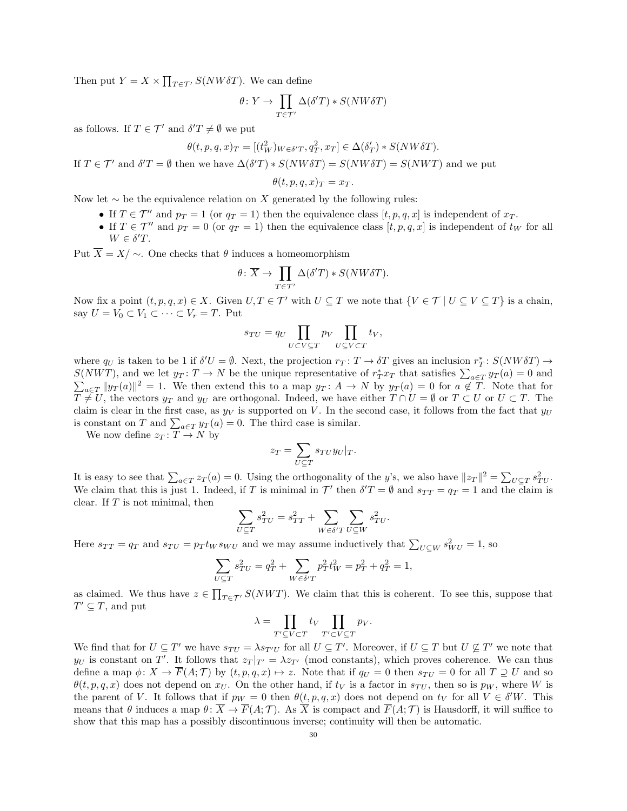Then put  $Y = X \times \prod_{T \in \mathcal{T}'} S(NW \delta T)$ . We can define

$$
\theta \colon Y \to \prod_{T \in \mathcal{T}'} \Delta(\delta' T) * S(NW \delta T)
$$

as follows. If  $T \in \mathcal{T}'$  and  $\delta' T \neq \emptyset$  we put

$$
\theta(t, p, q, x)_T = [(t_W^2)_{W \in \delta'}^T, q_T^2, x_T] \in \Delta(\delta'_T) * S(NW \delta T).
$$

If  $T \in \mathcal{T}'$  and  $\delta' T = \emptyset$  then we have  $\Delta(\delta' T) * S(NW \delta T) = S(NW \delta T) = S(NWT)$  and we put

$$
\theta(t,p,q,x)_T=x_T.
$$

Now let  $\sim$  be the equivalence relation on X generated by the following rules:

- If  $T \in \mathcal{T}''$  and  $p_T = 1$  (or  $q_T = 1$ ) then the equivalence class  $[t, p, q, x]$  is independent of  $x_T$ .
- If  $T \in \mathcal{T}''$  and  $p_T = 0$  (or  $q_T = 1$ ) then the equivalence class  $[t, p, q, x]$  is independent of  $t_W$  for all  $W \in \delta' T$ .

Put  $\overline{X} = X / \sim$ . One checks that  $\theta$  induces a homeomorphism

$$
\theta\colon \overline{X}\to \prod_{T\in \mathcal{T}'}\Delta(\delta' T)*S(NW\delta T).
$$

Now fix a point  $(t, p, q, x) \in X$ . Given  $U, T \in \mathcal{T}'$  with  $U \subseteq T$  we note that  $\{V \in \mathcal{T} \mid U \subseteq V \subseteq T\}$  is a chain, say  $U = V_0 \subset V_1 \subset \cdots \subset V_r = T$ . Put

$$
s_{TU} = q_U \prod_{U \subset V \subseteq T} p_V \prod_{U \subseteq V \subset T} t_V,
$$

where  $q_U$  is taken to be 1 if  $\delta'U = \emptyset$ . Next, the projection  $r_T : T \to \delta T$  gives an inclusion  $r_T^* : S(NW \delta T) \to T$  $S(NWT)$ , and we let  $y_T: T \to N$  be the unique representative of  $r_T^*x_T$  that satisfies  $\sum_{a \in T} y_T(a) = 0$  and  $\sum_{a \in \mathcal{T}} ||y_T(a)||^2 = 1$ . We then extend this to a map  $y_T: A \to N$  by  $y_T(a) = 0$  for  $a \notin \mathcal{T}$ . Note that for  $T \neq U$ , the vectors  $y_T$  and  $y_U$  are orthogonal. Indeed, we have either  $T \cap U = \emptyset$  or  $T \subset U$  or  $U \subset T$ . The claim is clear in the first case, as  $y_V$  is supported on V. In the second case, it follows from the fact that  $y_U$ is constant on T and  $\sum_{a \in T} y_T(a) = 0$ . The third case is similar.

We now define  $z_T : T \to N$  by

$$
z_T = \sum_{U \subseteq T} s_{TU} y_U |_T.
$$

It is easy to see that  $\sum_{a \in T} z_T(a) = 0$ . Using the orthogonality of the y's, we also have  $||z_T||^2 = \sum_{U \subseteq T} s_{TU}^2$ . We claim that this is just 1. Indeed, if T is minimal in  $\mathcal{T}'$  then  $\delta' T = \emptyset$  and  $s_{TT} = q_T = 1$  and the claim is clear. If  $T$  is not minimal, then

$$
\sum_{U \subseteq T} s_{TU}^2 = s_{TT}^2 + \sum_{W \in \delta'T} \sum_{U \subseteq W} s_{TU}^2.
$$

Here  $s_{TT} = q_T$  and  $s_{TU} = p_T t_W s_{WU}$  and we may assume inductively that  $\sum_{U \subseteq W} s_{WU}^2 = 1$ , so

$$
\sum_{U \subseteq T} s_{TU}^2 = q_T^2 + \sum_{W \in \delta'T} p_T^2 t_W^2 = p_T^2 + q_T^2 = 1,
$$

as claimed. We thus have  $z \in \prod_{T \in \mathcal{T}'} S(NWT)$ . We claim that this is coherent. To see this, suppose that  $T' \subseteq T$ , and put

$$
\lambda = \prod_{T' \subseteq V \subset T} t_V \prod_{T' \subset V \subseteq T} p_V.
$$

We find that for  $U \subseteq T'$  we have  $s_{TU} = \lambda s_{T'U}$  for all  $U \subseteq T'$ . Moreover, if  $U \subseteq T$  but  $U \nsubseteq T'$  we note that  $y_U$  is constant on T'. It follows that  $z_T |_{T'} = \lambda z_{T'}$  (mod constants), which proves coherence. We can thus define a map  $\phi: X \to \overline{F}(A; \mathcal{T})$  by  $(t, p, q, x) \mapsto z$ . Note that if  $q_U = 0$  then  $s_{TU} = 0$  for all  $T \supseteq U$  and so  $\theta(t, p, q, x)$  does not depend on  $x_U$ . On the other hand, if  $t_V$  is a factor in  $s_{TU}$ , then so is  $p_W$ , where W is the parent of V. It follows that if  $p_W = 0$  then  $\theta(t, p, q, x)$  does not depend on  $t_V$  for all  $V \in \delta^{\prime}W$ . This means that  $\theta$  induces a map  $\theta \colon \overline{X} \to \overline{F}(A; \mathcal{T})$ . As  $\overline{X}$  is compact and  $\overline{F}(A; \mathcal{T})$  is Hausdorff, it will suffice to show that this map has a possibly discontinuous inverse; continuity will then be automatic.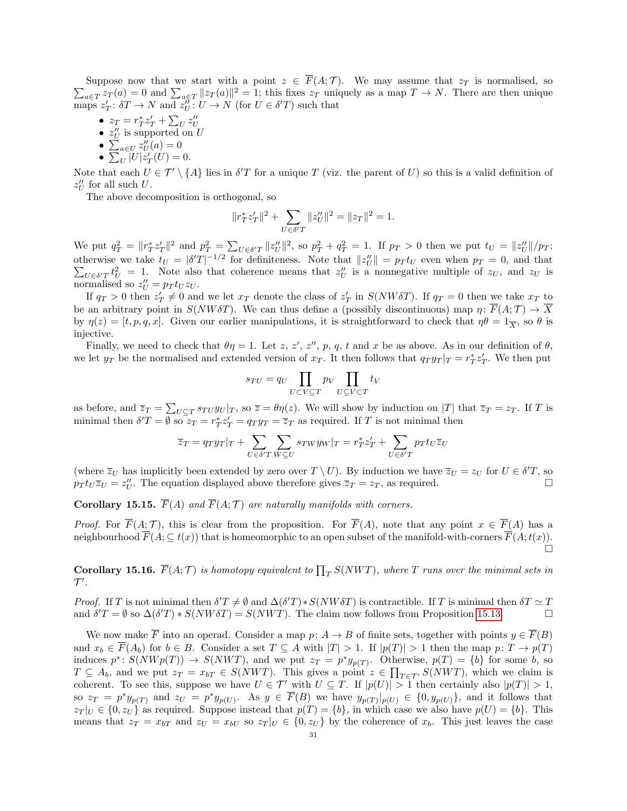$\sum_{a \in T} z_T(a) = 0$  and  $\sum_{a \in T} ||z_T(a)||^2 = 1$ ; this fixes  $z_T$  uniquely as a map  $T \to N$ . There are then unique Suppose now that we start with a point  $z \in \overline{F}(A; \mathcal{T})$ . We may assume that  $z_T$  is normalised, so maps  $z'_T: \delta T \to N$  and  $z''_U: U \to N$  (for  $U \in \delta' T$ ) such that

- $z_T = r_T^* z'_T + \sum_U z''_U$ <br>•  $z''_U$  is supported on U
- 
- $\sum_{a \in U} z''_U(a) = 0$
- $\sum_{U} |U| z'_{T}(U) = 0.$

Note that each  $U \in \mathcal{T}' \setminus \{A\}$  lies in  $\delta' T$  for a unique T (viz. the parent of U) so this is a valid definition of  $z_U''$  for all such U.

The above decomposition is orthogonal, so

$$
\|r^*_Tz'_T\|^2+\sum_{U\in\delta'T}\|z''_U\|^2=\|z_T\|^2=1.
$$

We put  $q_T^2 = ||r_T^* z'_T||^2$  and  $p_T^2 = \sum_{U \in \delta' T} ||z''_U||^2$ , so  $p_T^2 + q_T^2 = 1$ . If  $p_T > 0$  then we put  $t_U = ||z''_U||/p_T$ ; otherwise we take  $t_U = |\delta' T|^{-1/2}$  for definiteness. Note that  $||z''_U|| = p_T t_U$  even when  $p_T = 0$ , and that  $\sum_{U \in \delta' T} t_U^2 = 1$ . Note also that coherence means that  $z_U''$  is a nonnegative multiple of  $z_U$ , and  $z_U$  is normalised so  $z_U'' = p_T t_U z_U$ .

If  $q_T > 0$  then  $z'_T \neq 0$  and we let  $x_T$  denote the class of  $z'_T$  in  $S(NW\delta T)$ . If  $q_T = 0$  then we take  $x_T$  to be an arbitrary point in  $S(NW\delta T)$ . We can thus define a (possibly discontinuous) map  $\eta\colon \overline{F}(A;\mathcal{T})\to \overline{X}$ by  $\eta(z) = [t, p, q, x]$ . Given our earlier manipulations, it is straightforward to check that  $\eta \theta = 1_{\overline{X}}$ , so  $\theta$  is injective.

Finally, we need to check that  $\theta \eta = 1$ . Let z, z', z'', p, q, t and x be as above. As in our definition of  $\theta$ , we let  $y_T$  be the normalised and extended version of  $x_T$ . It then follows that  $q_T y_T |_{T} = r_T^* z'_T$ . We then put

$$
s_{TU} = q_U \prod_{U \subset V \subseteq T} p_V \prod_{U \subseteq V \subset T} t_V
$$

as before, and  $\overline{z}_T = \sum_{U \subseteq T} s_{T} U y_U |_{T}$ , so  $\overline{z} = \theta \eta(z)$ . We will show by induction on |T| that  $\overline{z}_T = z_T$ . If T is minimal then  $\delta' T = \emptyset$  so  $z_T = r_T^* z_T' = q_T y_T = \overline{z}_T$  as required. If T is not minimal then

$$
\overline{z}_T = q_T y_T |_T + \sum_{U \in \delta' T} \sum_{W \subseteq U} s_{TW} y_W |_T = r_T^* z'_T + \sum_{U \in \delta' T} p_T t_U \overline{z}_U
$$

(where  $\overline{z}_U$  has implicitly been extended by zero over  $T \setminus U$ ). By induction we have  $\overline{z}_U = z_U$  for  $U \in \delta' T$ , so  $p_T t_U \overline{z}_U = z''_U$ . The equation displayed above therefore gives  $\overline{z}_T = z_T$ , as required.

**Corollary 15.15.**  $\overline{F}(A)$  and  $\overline{F}(A; \mathcal{T})$  are naturally manifolds with corners.

*Proof.* For  $\overline{F}(A; \mathcal{T})$ , this is clear from the proposition. For  $\overline{F}(A)$ , note that any point  $x \in \overline{F}(A)$  has a neighbourhood  $\overline{F}(A; \subseteq t(x))$  that is homeomorphic to an open subset of the manifold-with-corners  $\overline{F}(A; t(x))$ .  $\Box$ 

**Corollary 15.16.**  $\overline{F}(A;\mathcal{T})$  is homotopy equivalent to  $\prod_{T} S(NWT)$ , where T runs over the minimal sets in  $\mathcal{T}^{\prime}$  .

*Proof.* If T is not minimal then  $\delta' T \neq \emptyset$  and  $\Delta(\delta' T) * S(NW \delta T)$  is contractible. If T is minimal then  $\delta T \simeq T$ and  $\delta' T = \emptyset$  so  $\Delta(\delta' T) * S(NW \delta T) = S(NWT)$ . The claim now follows from Proposition [15.13.](#page-28-1)

We now make  $\overline{F}$  into an operad. Consider a map  $p: A \to B$  of finite sets, together with points  $y \in \overline{F}(B)$ and  $x_b \in \overline{F}(A_b)$  for  $b \in B$ . Consider a set  $T \subseteq A$  with  $|T| > 1$ . If  $|p(T)| > 1$  then the map  $p: T \to p(T)$ induces  $p^*: S(NWp(T)) \to S(NWT)$ , and we put  $z_T = p^*y_{p(T)}$ . Otherwise,  $p(T) = \{b\}$  for some b, so  $T \subseteq A_b$ , and we put  $z_T = x_{bT} \in S(NWT)$ . This gives a point  $z \in \prod_{T \in \mathcal{T}'} S(NWT)$ , which we claim is coherent. To see this, suppose we have  $U \in \mathcal{T}'$  with  $U \subseteq T$ . If  $|p(U)| > 1$  then certainly also  $|p(T)| > 1$ , so  $z_T = p^* y_{p(T)}$  and  $z_U = p^* y_{p(U)}$ . As  $y \in \overline{F}(B)$  we have  $y_{p(T)}|_{p(U)} \in \{0, y_{p(U)}\}$ , and it follows that  $z_T |_{U} \in \{0, z_U\}$  as required. Suppose instead that  $p(T) = \{b\}$ , in which case we also have  $p(U) = \{b\}$ . This means that  $z_T = x_{bT}$  and  $z_U = x_{bU}$  so  $z_T |_{U} \in \{0, z_U\}$  by the coherence of  $x_b$ . This just leaves the case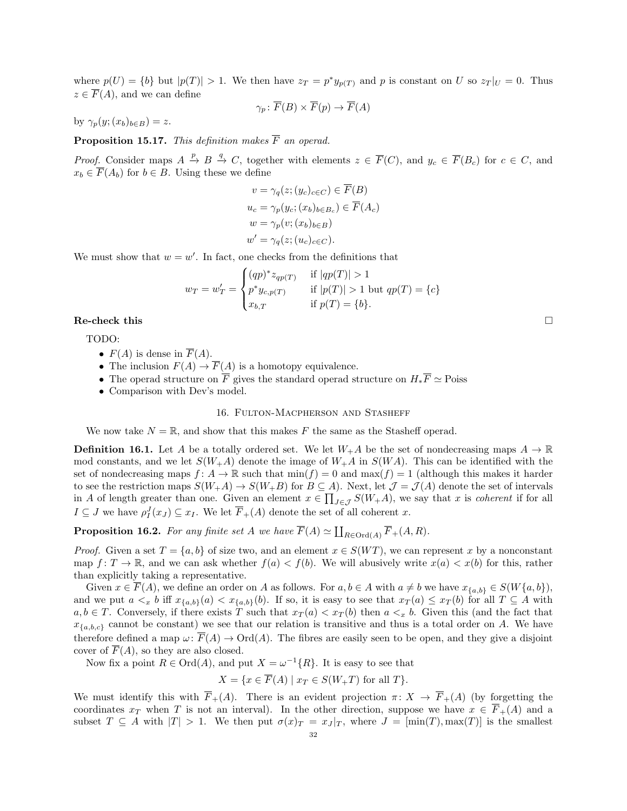where  $p(U) = \{b\}$  but  $|p(T)| > 1$ . We then have  $z_T = p^* y_{p(T)}$  and p is constant on U so  $z_T |_{U} = 0$ . Thus  $z \in \overline{F}(A)$ , and we can define

$$
\gamma_p \colon \overline{F}(B) \times \overline{F}(p) \to \overline{F}(A)
$$

by  $\gamma_p(y;(x_b)_{b\in B})=z.$ 

**Proposition 15.17.** This definition makes  $\overline{F}$  an operad.

*Proof.* Consider maps  $A \stackrel{p}{\to} B \stackrel{q}{\to} C$ , together with elements  $z \in \overline{F}(C)$ , and  $y_c \in \overline{F}(B_c)$  for  $c \in C$ , and  $x_b \in \overline{F}(A_b)$  for  $b \in B$ . Using these we define

$$
v = \gamma_q(z; (y_c)_{c \in C}) \in \overline{F}(B)
$$
  
\n
$$
u_c = \gamma_p(y_c; (x_b)_{b \in B_c}) \in \overline{F}(A_c)
$$
  
\n
$$
w = \gamma_p(v; (x_b)_{b \in B})
$$
  
\n
$$
w' = \gamma_q(z; (u_c)_{c \in C}).
$$

We must show that  $w = w'$ . In fact, one checks from the definitions that

$$
w_T = w'_T = \begin{cases} (qp)^* z_{qp(T)} & \text{if } |qp(T)| > 1\\ p^* y_{c,p(T)} & \text{if } |p(T)| > 1 \text{ but } qp(T) = \{c\} \\ x_{b,T} & \text{if } p(T) = \{b\}. \end{cases}
$$

 $\mathbf{Re}\text{-check this}$  is the check this interval that  $\Box$ 

TODO:

- $F(A)$  is dense in  $\overline{F}(A)$ .
- The inclusion  $F(A) \to \overline{F}(A)$  is a homotopy equivalence.
- The operad structure on  $\overline{F}$  gives the standard operad structure on  $H_*\overline{F} \simeq$  Poiss
- Comparison with Dev's model.

#### 16. Fulton-Macpherson and Stasheff

We now take  $N = \mathbb{R}$ , and show that this makes F the same as the Stasheff operad.

**Definition 16.1.** Let A be a totally ordered set. We let  $W_+A$  be the set of nondecreasing maps  $A \to \mathbb{R}$ mod constants, and we let  $S(W_{+}A)$  denote the image of  $W_{+}A$  in  $S(WA)$ . This can be identified with the set of nondecreasing maps  $f: A \to \mathbb{R}$  such that  $\min(f) = 0$  and  $\max(f) = 1$  (although this makes it harder to see the restriction maps  $S(W_+A) \to S(W_+B)$  for  $B \subseteq A$ ). Next, let  $\mathcal{J} = \mathcal{J}(A)$  denote the set of intervals in A of length greater than one. Given an element  $x \in \prod_{J \in \mathcal{J}} S(W_+ A)$ , we say that x is *coherent* if for all  $I \subseteq J$  we have  $\rho_I^J(x_J) \subseteq x_I$ . We let  $\overline{F}_+(A)$  denote the set of all coherent x.

**Proposition 16.2.** For any finite set A we have  $\overline{F}(A) \simeq \coprod_{R \in \text{Ord}(A)} \overline{F}_+(A, R)$ .

*Proof.* Given a set  $T = \{a, b\}$  of size two, and an element  $x \in S(WT)$ , we can represent x by a nonconstant map  $f: T \to \mathbb{R}$ , and we can ask whether  $f(a) < f(b)$ . We will abusively write  $x(a) < x(b)$  for this, rather than explicitly taking a representative.

Given  $x \in \overline{F}(A)$ , we define an order on A as follows. For  $a, b \in A$  with  $a \neq b$  we have  $x_{\{a,b\}} \in S(W\{a,b\}),$ and we put  $a \leq_x b$  iff  $x_{\{a,b\}}(a) \leq x_{\{a,b\}}(b)$ . If so, it is easy to see that  $x_T(a) \leq x_T(b)$  for all  $T \subseteq A$  with  $a, b \in T$ . Conversely, if there exists T such that  $x_T(a) < x_T(b)$  then  $a <_x b$ . Given this (and the fact that  $x_{\{a,b,c\}}$  cannot be constant) we see that our relation is transitive and thus is a total order on A. We have therefore defined a map  $\omega \colon \overline{F}(A) \to \text{Ord}(A)$ . The fibres are easily seen to be open, and they give a disjoint cover of  $\overline{F}(A)$ , so they are also closed.

Now fix a point  $R \in \text{Ord}(A)$ , and put  $X = \omega^{-1}{R}$ . It is easy to see that

$$
X = \{ x \in \overline{F}(A) \mid x_T \in S(W_+T) \text{ for all } T \}.
$$

We must identify this with  $\overline{F}_+(A)$ . There is an evident projection  $\pi: X \to \overline{F}_+(A)$  (by forgetting the coordinates  $x_T$  when T is not an interval). In the other direction, suppose we have  $x \in \overline{F}_+(A)$  and a subset  $T \subseteq A$  with  $|T| > 1$ . We then put  $\sigma(x)_T = x_J |_{T}$ , where  $J = [\min(T), \max(T)]$  is the smallest